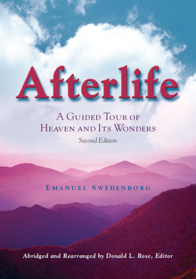# fterlife

# **A GUIDED TOUR OF** HEAVEN AND ITS WONDERS

Second Edition

**EMANUEL SWEDENBORG** 

Abridged and Rearranged by Donald L. Rose, Editor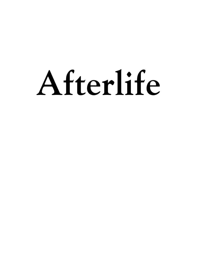# **Afterlife**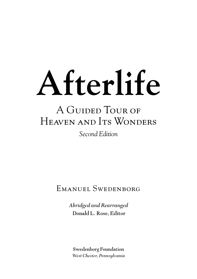# **Afterlife**

# A Guided Tour of Heaven and Its Wonders

*Second Edition*

EMANUEL SWEDENBORG

*Abridged and Rearranged* Donald L. Rose, Editor

Swedenborg Foundation *West Chester, Pennsylvania*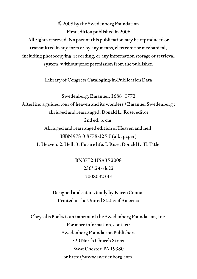©2008 by the Swedenborg Foundation First edition published in 2006

All rights reserved. No part of this publication may be reproduced or transmitted in any form or by any means, electronic or mechanical, including photocopying, recording, or any information storage or retrieval system, without prior permission from the publisher.

Library of Congress Cataloging-in-Publication Data

Swedenborg, Emanuel, 1688–1772 Afterlife: a guided tour of heaven and its wonders / Emanuel Swedenborg ; abridged and rearranged, Donald L. Rose, editor 2nd ed. p. cm. Abridged and rearranged edition of Heaven and hell. ISBN 978-0-8778-325-1 (alk. paper) 1. Heaven. 2. Hell. 3. Future life. I. Rose, Donald L. II. Title.

> BX8712.H5A35 2008 236'.24-dc22 2008032333

Designed and set in Goudy by Karen Connor Printed in the United States of America

Chrysalis Books is an imprint of the Swedenborg Foundation, Inc.

For more information, contact: Swedenborg Foundation Publishers 320 North Church Street West Chester, PA 19380 or http://www.swedenborg.com.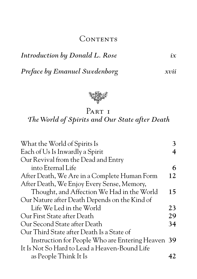# CONTENTS

*Introduction by Donald L. Rose ix*

*Preface by Emanuel Swedenborg xvii*



PART<sub>I</sub> *The World of Spirits and Our State after Death*

| What the World of Spirits Is                      |    |
|---------------------------------------------------|----|
| Each of Us Is Inwardly a Spirit                   |    |
| Our Revival from the Dead and Entry               |    |
| into Eternal Life                                 | 6  |
| After Death, We Are in a Complete Human Form      | 12 |
| After Death, We Enjoy Every Sense, Memory,        |    |
| Thought, and Affection We Had in the World        | 15 |
| Our Nature after Death Depends on the Kind of     |    |
| Life We Led in the World                          | 23 |
| Our First State after Death                       | 29 |
| Our Second State after Death                      | 34 |
| Our Third State after Death Is a State of         |    |
| Instruction for People Who are Entering Heaven 39 |    |
| It Is Not So Hard to Lead a Heaven-Bound Life     |    |
| as People Think It Is                             | 42 |
|                                                   |    |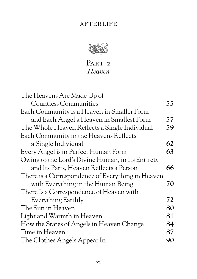

PART<sub>2</sub> *Heaven*

| The Heavens Are Made Up of                        |    |
|---------------------------------------------------|----|
| Countless Communities                             | 55 |
| Each Community Is a Heaven in Smaller Form        |    |
| and Each Angel a Heaven in Smallest Form          | 57 |
| The Whole Heaven Reflects a Single Individual     | 59 |
| Each Community in the Heavens Reflects            |    |
| a Single Individual                               | 62 |
| Every Angel is in Perfect Human Form              | 63 |
| Owing to the Lord's Divine Human, in Its Entirety |    |
| and Its Parts, Heaven Reflects a Person           | 66 |
| There is a Correspondence of Everything in Heaven |    |
| with Everything in the Human Being                | 70 |
| There Is a Correspondence of Heaven with          |    |
| Everything Earthly                                | 72 |
| The Sun in Heaven                                 | 80 |
| Light and Warmth in Heaven                        | 81 |
| How the States of Angels in Heaven Change         | 84 |
| Time in Heaven                                    | 87 |
| The Clothes Angels Appear In                      | 90 |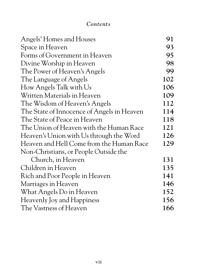#### *Contents*

| Angels' Homes and Houses                   | 91  |
|--------------------------------------------|-----|
| Space in Heaven                            | 93  |
| Forms of Government in Heaven              | 95  |
| Divine Worship in Heaven                   | 98  |
| The Power of Heaven's Angels               | 99  |
| The Language of Angels                     | 102 |
| How Angels Talk with Us                    | 106 |
| Written Materials in Heaven                | 109 |
| The Wisdom of Heaven's Angels              | 112 |
| The State of Innocence of Angels in Heaven | 114 |
| The State of Peace in Heaven               | 118 |
| The Union of Heaven with the Human Race    | 121 |
| Heaven's Union with Us through the Word    | 126 |
| Heaven and Hell Come from the Human Race   | 129 |
| Non-Christians, or People Outside the      |     |
| Church, in Heaven                          | 131 |
| Children in Heaven                         | 135 |
| Rich and Poor People in Heaven             | 141 |
| Marriages in Heaven                        | 146 |
| What Angels Do in Heaven                   | 152 |
| Heavenly Joy and Happiness                 | 156 |
| The Vastness of Heaven                     | 166 |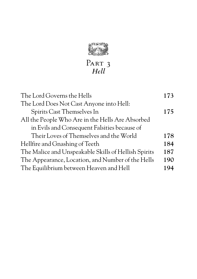

PART<sub>3</sub> *Hell*

| The Lord Governs the Hells                           | 173 |
|------------------------------------------------------|-----|
| The Lord Does Not Cast Anyone into Hell:             |     |
| Spirits Cast Themselves In                           | 175 |
| All the People Who Are in the Hells Are Absorbed     |     |
| in Evils and Consequent Falsities because of         |     |
| Their Loves of Themselves and the World              | 178 |
| Hellfire and Gnashing of Teeth                       | 184 |
| The Malice and Unspeakable Skills of Hellish Spirits | 187 |
| The Appearance, Location, and Number of the Hells    | 190 |
| The Equilibrium between Heaven and Hell              | 194 |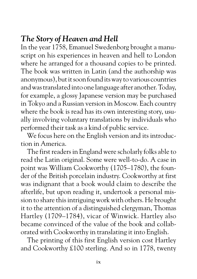# *The Story of Heaven and Hell*

In the year 1758, Emanuel Swedenborg brought a manuscript on his experiences in heaven and hell to London where he arranged for a thousand copies to be printed. The book was written in Latin (and the authorship was anonymous), but it soon found its way to various countries and was translated into one language after another. Today, for example, a glossy Japanese version may be purchased in Tokyo and a Russian version in Moscow. Each country where the book is read has its own interesting story, usually involving voluntary translations by individuals who performed their task as a kind of public service.

We focus here on the English version and its introduction in America.

The first readers in England were scholarly folks able to read the Latin original. Some were well-to-do. A case in point was William Cookworthy (1705–1780), the founder of the British porcelain industry. Cookworthy at first was indignant that a book would claim to describe the afterlife, but upon reading it, undertook a personal mission to share this intriguing work with others. He brought it to the attention of a distinguished clergyman, Thomas Hartley (1709–1784), vicar of Winwick. Hartley also became convinced of the value of the book and collaborated with Cook worthy in translating it into English.

The printing of this first English version cost Hartley and Cookworthy £100 sterling. And so in 1778, twenty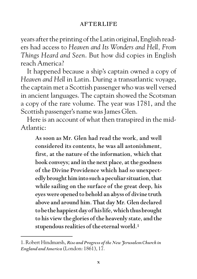years after the printing of the Latin original, English read ers had access to *Heaven and Its Wonders and Hell, From Things Heard and Seen*. But how did copies in English reach America?

It happened because a ship's captain owned a copy of *Heaven and Hell* in Latin. During a transatlantic voyage, the captain met a Scottish passenger who was well versed in ancient languages. The captain showed the Scotsman a copy of the rare volume. The year was 1781, and the Scottish passenger's name was James Glen.

Here is an account of what then transpired in the mid-Atlantic:

As soon as Mr. Glen had read the work, and well considered its contents, he was all astonishment, first, at the nature of the information, which that book conveys; and in the next place, at the goodness of the Divine Providence which had so unexpectedly brought him into such a peculiar situation, that while sailing on the surface of the great deep, his eyes were opened to behold an abyss of divine truth above and around him. That day Mr. Glen declared to be the happiest day of his life, which thus brought to his view the glories of the heavenly state, and the stupendous realities of the eternal world.**<sup>1</sup>**

<sup>1.</sup> Robert Hindmarsh, *Rise and Progress of the New Jerusalem Church in England and America* (London: 1861), 17.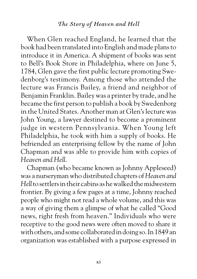### *The Story of Heaven and Hell*

When Glen reached England, he learned that the book had been translated into English and made plans to introduce it in America. A shipment of books was sent to Bell's Book Store in Philadelphia, where on June 5, 1784, Glen gave the first public lecture promoting Swe den borg's testimony. Among those who attended the lecture was Francis Bailey, a friend and neighbor of Benjamin Franklin. Bailey was a printer by trade, and he became the first person to publish a book by Swedenborg in the United States. Another man at Glen's lecture was John Young, a lawyer destined to become a prominent judge in western Pennsylvania. When Young left Philadelphia, he took with him a supply of books. He befriended an enterprising fellow by the name of John Chapman and was able to provide him with copies of *Heaven and Hell*.

Chapman (who became known as Johnny Appleseed) was a nurseryman who distributed chapters of *Heaven and Hell*to settlers in their cabins as he walked the mid western frontier. By giving a few pages at a time, Johnny reached people who might not read a whole volume, and this was a way of giving them a glimpse of what he called "Good news, right fresh from heaven." Individuals who were receptive to the good news were often moved to share it with others, and some collaborated in doing so. In 1849 an organization was established with a purpose expressed in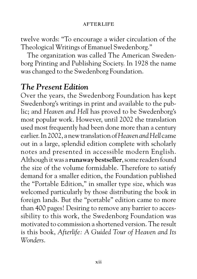twelve words: "To encourage a wider circulation of the Theological Writings of Emanuel Swedenborg."

The organization was called The American Swedenborg Printing and Publishing Society. In 1928 the name was changed to the Swedenborg Foundation.

# *The Present Edition*

Over the years, the Swedenborg Foundation has kept Swedenborg's writings in print and available to the public; and *Heaven and Hell* has proved to be Swedenborg's most popular work. However, until 2002 the translation used most frequently had been done more than a century earlier. In 2002, a new translation of *Heaven and Hell* came out in a large, splendid edition complete with scholarly notes and presented in accessible modern English. Although it was a **runaway bestseller**, some readers found the size of the volume formidable. Therefore to satisfy demand for a smaller edition, the Foundation published the "Portable Edition," in smaller type size, which was welcomed particularly by those distributing the book in foreign lands. But the "portable" edition came to more than 400 pages! Desiring to remove any barrier to acces sibility to this work, the Swedenborg Foundation was motivated to commission a shortened version. The result is this book, *Afterlife: A Guided Tour of Heaven and Its Wonders*.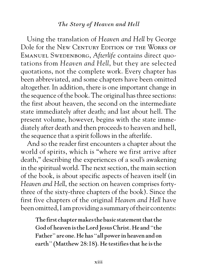# *The Story of Heaven and Hell*

Using the translation of *Heaven and Hell* by George Dole for the New CENTURY EDITION OF THE WORKS OF EMANUEL SWEDENBORG, Afterlife contains direct quotations from *Heaven and Hell*, but they are selected quotations, not the complete work. Every chapter has been abbreviated, and some chapters have been omitted altogether. In addition, there is one important change in the sequence of the book. The original has three sections: the first about heaven, the second on the intermediate state immediately after death; and last about hell. The present volume, however, begins with the state imme diately after death and then proceeds to heaven and hell, the sequence that a spirit follows in the afterlife.

And so the reader first encounters a chapter about the world of spirits, which is "where we first arrive after death," describing the experiences of a soul's awakening in the spiritual world. The next section, the main section of the book, is about specific aspects of heaven itself (in *Heaven and Hell*, the section on heaven comprises fortythree of the sixty-three chapters of the book). Since the first five chapters of the original *Heaven and Hell* have been omitted, I am providing a summary of their contents:

The first chapter makes the basic statement that the God of heaven is the Lord Jesus Christ. He and "the Father" are one. He has "all power in heaven and on earth" (Matthew 28:18). He testifies that he is the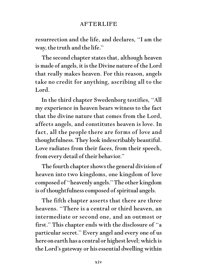resurrection and the life, and declares, "I am the way, the truth and the life."

The second chapter states that, although heaven is made of angels, it is the Divine nature of the Lord that really makes heaven. For this reason, angels take no credit for anything, ascribing all to the Lord.

In the third chapter Swedenborg testifies, "All my experience in heaven bears witness to the fact that the divine nature that comes from the Lord, affects angels, and constitutes heaven is love. In fact, all the people there are forms of love and thoughtfulness. They look indescribably beautiful. Love radiates from their faces, from their speech, from every detail of their behavior."

The fourth chapter shows the general division of heaven into two kingdoms, one kingdom of love composed of "heavenly angels." The other kingdom is of thoughtfulness composed of spiritual angels.

The fifth chapter asserts that there are three heavens. "There is a central or third heaven, an intermediate or second one, and an outmost or first." This chapter ends with the disclosure of "a particular secret." Every angel and every one of us here on earth has a central or highest level; which is the Lord's gateway or his essential dwelling within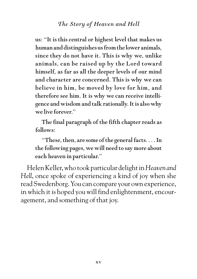# *The Story of Heaven and Hell*

us: "It is this central or highest level that makes us human and distinguishes us from the lower animals, since they do not have it. This is why we, unlike animals, can be raised up by the Lord toward himself, as far as all the deeper levels of our mind and character are concerned. This is why we can believe in him, be moved by love for him, and therefore see him. It is why we can receive intelligence and wisdom and talk rationally. It is also why we live forever."

The final paragraph of the fifth chapter reads as follows:

"These, then, are some of the general facts. . . . In the following pages, we will need to say more about each heaven in particular."

Helen Keller, who took particular delight in *Heaven and Hell*, once spoke of experiencing a kind of joy when she read Swedenborg. You can compare your own experience, in which it is hoped you will find enlightenment, encouragement, and something of that joy.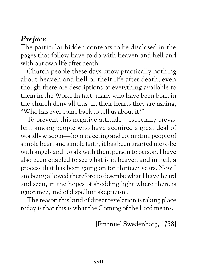# *Preface*

The particular hidden contents to be disclosed in the pages that follow have to do with heaven and hell and with our own life after death.

Church people these days know practically nothing about heaven and hell or their life after death, even though there are descriptions of everything available to them in the Word. In fact, many who have been born in the church deny all this. In their hearts they are asking, "Who has ever come back to tell us about it?"

To prevent this negative attitude—especially prevalent among people who have acquired a great deal of worldly wisdom—from infecting and corrupting people of simple heart and simple faith, it has been granted me to be with angels and to talk with them person to person. I have also been enabled to see what is in heaven and in hell, a process that has been going on for thirteen years. Now I am being allowed therefore to describe what I have heard and seen, in the hopes of shedding light where there is ignorance, and of dispelling skepticism.

The reason this kind of direct revelation is taking place today is that this is what the Coming of the Lord means.

[Emanuel Swedenborg, 1758]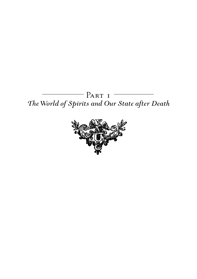#### PART I  $\overline{\phantom{0}}$ *The World of Spirits and Our State after Death*

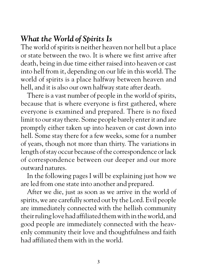# *What the World of Spirits Is*

The world of spirits is neither heaven nor hell but a place or state between the two. It is where we first arrive after death, being in due time either raised into heaven or cast into hell from it, depending on our life in this world. The world of spirits is a place halfway between heaven and hell, and it is also our own halfway state after death.

There is a vast number of people in the world of spirits, because that is where everyone is first gathered, where every one is examined and prepared. There is no fixed limit to our stay there. Some people barely enter it and are promptly either taken up into heaven or cast down into hell. Some stay there for a few weeks, some for a number of years, though not more than thirty. The variations in length of stay occur because of the correspondence or lack of correspondence between our deeper and our more outward natures.

In the following pages I will be explaining just how we are led from one state into another and prepared.

After we die, just as soon as we arrive in the world of spirits, we are carefully sorted out by the Lord. Evil people are immediately connected with the hellish community their ruling love had affiliated them with in the world, and good people are immediately connected with the heav enly community their love and thoughtfulness and faith had affiliated them with in the world.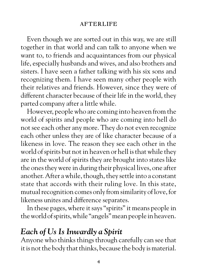Even though we are sorted out in this way, we are still together in that world and can talk to anyone when we want to, to friends and acquaintances from our physical life, especially husbands and wives, and also brothers and sisters. I have seen a father talking with his six sons and recognizing them. I have seen many other people with their relatives and friends. However, since they were of different character because of their life in the world, they parted company after a little while.

However, people who are coming into heaven from the world of spirits and people who are coming into hell do not see each other any more. They do not even recognize each other unless they are of like character because of a likeness in love. The reason they see each other in the world of spirits but not in heaven or hell is that while they are in the world of spirits they are brought into states like the ones they were in during their physical lives, one after another. After a while, though, they settle into a constant state that accords with their ruling love. In this state, mutual recognition comes only from similarity of love, for likeness unites and difference separates.

In these pages, where it says "spirits" it means people in the world of spirits, while "angels" mean people in heaven.

# *Each of Us Is Inwardly a Spirit*

Anyone who thinks things through carefully can see that it is not the body that thinks, because the body is material.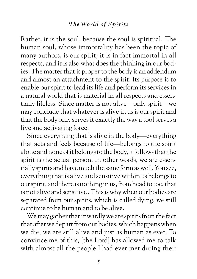# *The World of Spirits*

Rather, it is the soul, because the soul is spiritual. The human soul, whose immortality has been the topic of many authors, is our spirit; it is in fact immortal in all respects, and it is also what does the thinking in our bodies. The matter that is proper to the body is an addendum and almost an attachment to the spirit. Its purpose is to enable our spirit to lead its life and perform its services in a natural world that is material in all respects and essen tially lifeless. Since matter is not alive—only spirit—we may conclude that whatever is alive in us is our spirit and that the body only serves it exactly the way a tool serves a live and activating force.

Since everything that is alive in the body—everything that acts and feels because of life—belongs to the spirit alone and none of it belongs to the body, it follows that the spirit is the actual person. In other words, we are essentially spirits and have much the same form as well. You see, everything that is alive and sensitive within us belongs to our spirit, and there is nothing in us, from head to toe, that is not alive and sensitive . This is why when our bodies are separated from our spirits, which is called dying, we still continue to be human and to be alive.

We may gather that inwardly we are spirits from the fact that after we depart from our bodies, which happens when we die, we are still alive and just as human as ever. To convince me of this, [the Lord] has allowed me to talk with almost all the people I had ever met during their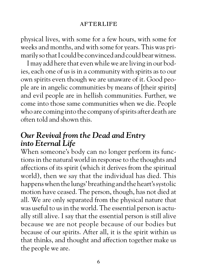physical lives, with some for a few hours, with some for weeks and months, and with some for years. This was primarily so that I could be convinced and could bear witness.

I may add here that even while we are living in our bodies, each one of us is in a community with spirits as to our own spirits even though we are unaware of it. Good people are in angelic communities by means of [their spirits] and evil people are in hellish communities. Further, we come into those same communities when we die. People who are coming into the company of spirits after death are often told and shown this.

# *Our Revival from the Dead and Entry into Eternal Life*

When someone's body can no longer perform its functions in the natural world in response to the thoughts and affections of its spirit (which it derives from the spiritual world), then we say that the individual has died. This happens when the lungs' breathing and the heart's systolic motion have ceased. The person, though, has not died at all. We are only separated from the physical nature that was useful to us in the world. The essential person is actually still alive. I say that the essential person is still alive because we are not people because of our bodies but because of our spirits. After all, it is the spirit within us that thinks, and thought and affection together make us the people we are.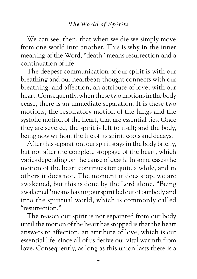We can see, then, that when we die we simply move from one world into another. This is why in the inner meaning of the Word, "death" means resurrection and a continuation of life.

The deepest communication of our spirit is with our breathing and our heartbeat; thought connects with our breathing, and affection, an attribute of love, with our heart. Consequently, when these two motions in the body cease, there is an immediate separation. It is these two motions, the respiratory motion of the lungs and the systolic motion of the heart, that are essential ties. Once they are severed, the spirit is left to itself; and the body, being now without the life of its spirit, cools and decays.

After this separation, our spirit stays in the body briefly, but not after the complete stoppage of the heart, which varies depending on the cause of death. In some cases the motion of the heart continues for quite a while, and in others it does not. The moment it does stop, we are awakened, but this is done by the Lord alone. "Being awakened" means having our spirit led out of our body and into the spiritual world, which is commonly called "resurrection."

The reason our spirit is not separated from our body until the motion of the heart has stopped is that the heart answers to affection, an attribute of love, which is our essential life, since all of us derive our vital warmth from love. Consequently, as long as this union lasts there is a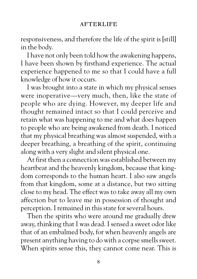responsiveness, and therefore the life of the spirit is [still] in the body.

I have not only been told how the awakening happens, I have been shown by firsthand experience. The actual experience happened to me so that I could have a full knowledge of how it occurs.

I was brought into a state in which my physical senses were inoperative—very much, then, like the state of people who are dying. However, my deeper life and thought remained intact so that I could perceive and retain what was happening to me and what does happen to people who are being awakened from death. I noticed that my physical breathing was almost suspended, with a deeper breathing, a breathing of the spirit, continuing along with a very slight and silent physical one.

At first then a connection was established between my heartbeat and the heavenly kingdom, because that kingdom corresponds to the human heart. I also saw angels from that kingdom, some at a distance, but two sitting close to my head. The effect was to take away all my own affection but to leave me in possession of thought and perception. I remained in this state for several hours.

Then the spirits who were around me gradually drew away, thinking that I was dead. I sensed a sweet odor like that of an embalmed body, for when heavenly angels are present anything having to do with a corpse smells sweet. When spirits sense this, they cannot come near. This is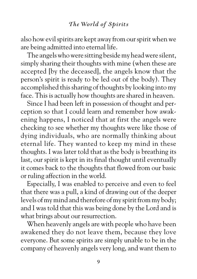also how evil spirits are kept away from our spirit when we are being admitted into eternal life.

The angels who were sitting beside my head were silent, simply sharing their thoughts with mine (when these are accepted [by the deceased], the angels know that the person's spirit is ready to be led out of the body). They accomplished this sharing of thoughts by looking into my face. This is actually how thoughts are shared in heaven.

Since I had been left in possession of thought and perception so that I could learn and remember how awak ening happens, I noticed that at first the angels were checking to see whether my thoughts were like those of dying individuals, who are normally thinking about eternal life. They wanted to keep my mind in these thoughts. I was later told that as the body is breathing its last, our spirit is kept in its final thought until eventually it comes back to the thoughts that flowed from our basic or ruling affection in the world.

Especially, I was enabled to perceive and even to feel that there was a pull, a kind of drawing out of the deeper levels of my mind and therefore of my spirit from my body; and I was told that this was being done by the Lord and is what brings about our resurrection.

When heavenly angels are with people who have been awakened they do not leave them, because they love everyone. But some spirits are simply unable to be in the company of heavenly angels very long, and want them to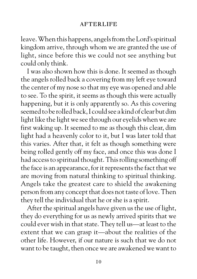leave. When this happens, angels from the Lord's spiritual kingdom arrive, through whom we are granted the use of light, since before this we could not see anything but could only think.

I was also shown how this is done. It seemed as though the angels rolled back a covering from my left eye toward the center of my nose so that my eye was opened and able to see. To the spirit, it seems as though this were actually happening, but it is only apparently so. As this covering seemed to be rolled back, I could see a kind of clear but dim light like the light we see through our eyelids when we are first waking up. It seemed to me as though this clear, dim light had a heavenly color to it, but I was later told that this varies. After that, it felt as though something were being rolled gently off my face, and once this was done I had access to spiritual thought. This rolling something off the face is an appearance, for it represents the fact that we are moving from natural thinking to spiritual thinking. Angels take the greatest care to shield the awakening person from any concept that does not taste of love. Then they tell the individual that he or she is a spirit.

After the spiritual angels have given us the use of light, they do everything for us as newly arrived spirits that we could ever wish in that state. They tell us—at least to the extent that we can grasp it—about the realities of the other life. However, if our nature is such that we do not want to be taught, then once we are awakened we want to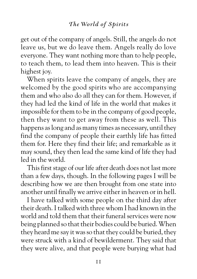get out of the company of angels. Still, the angels do not leave us, but we do leave them. Angels really do love every one. They want nothing more than to help people, to teach them, to lead them into heaven. This is their highest joy.

When spirits leave the company of angels, they are welcomed by the good spirits who are accompanying them and who also do all they can for them. However, if they had led the kind of life in the world that makes it impossible for them to be in the company of good people, then they want to get away from these as well. This happens as long and as many times as necessary, until they find the company of people their earthly life has fitted them for. Here they find their life; and remarkable as it may sound, they then lead the same kind of life they had led in the world.

This first stage of our life after death does not last more than a few days, though. In the following pages I will be describing how we are then brought from one state into another until finally we arrive either in heaven or in hell.

I have talked with some people on the third day after their death. I talked with three whom I had known in the world and told them that their funeral services were now being planned so that their bodies could be buried. When they heard me say it was so that they could be buried, they were struck with a kind of bewilderment. They said that they were alive, and that people were burying what had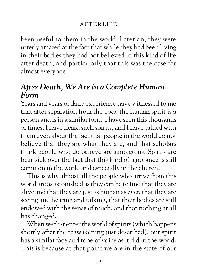been useful to them in the world. Later on, they were utterly amazed at the fact that while they had been living in their bodies they had not believed in this kind of life after death, and particularly that this was the case for almost everyone.

# *After Death, We Are in a Complete Human Form*

Years and years of daily experience have witnessed to me that after separation from the body the human spirit is a person and is in a similar form. I have seen this thousands of times, I have heard such spirits, and I have talked with them even about the fact that people in the world do not believe that they are what they are, and that scholars think people who do believe are simpletons. Spirits are heartsick over the fact that this kind of ignorance is still common in the world and especially in the church.

This is why almost all the people who arrive from this world are as astonished as they can be to find that they are alive and that they are just as human as ever, that they are seeing and hearing and talking, that their bodies are still endowed with the sense of touch, and that nothing at all has changed.

When we first enter the world of spirits (which happens shortly after the reawakening just described), our spirit has a similar face and tone of voice as it did in the world. This is because at that point we are in the state of our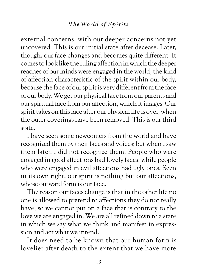# *The World of Spirits*

external concerns, with our deeper concerns not yet uncovered. This is our initial state after decease. Later, though, our face changes and becomes quite different. It comes to look like the ruling affection in which the deeper reaches of our minds were engaged in the world, the kind of affection characteristic of the spirit within our body, because the face of our spirit is very different from the face of our body. We get our physical face from our parents and our spiritual face from our affection, which it images. Our spirit takes on this face after our physical life is over, when the outer coverings have been removed. This is our third state.

I have seen some newcomers from the world and have recognized them by their faces and voices; but when I saw them later, I did not recognize them. People who were engaged in good affections had lovely faces, while people who were engaged in evil affections had ugly ones. Seen in its own right, our spirit is nothing but our affections, whose outward form is our face.

The reason our faces change is that in the other life no one is allowed to pretend to affections they do not really have, so we cannot put on a face that is contrary to the love we are engaged in. We are all refined down to a state in which we say what we think and manifest in expression and act what we intend.

It does need to be known that our human form is lovelier after death to the extent that we have more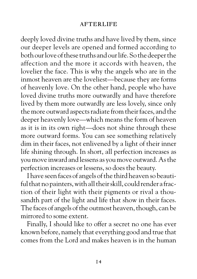deeply loved divine truths and have lived by them, since our deeper levels are opened and formed according to both our love of these truths and our life. So the deeper the affection and the more it accords with heaven, the lovelier the face. This is why the angels who are in the inmost heaven are the loveliest—because they are forms of heavenly love. On the other hand, people who have loved divine truths more outwardly and have therefore lived by them more outwardly are less lovely, since only the more outward aspects radiate from their faces, and the deeper heavenly love—which means the form of heaven as it is in its own right—does not shine through these more outward forms. You can see something relatively dim in their faces, not enlivened by a light of their inner life shining through. In short, all perfection increases as you move inward and lessens as you move outward. As the perfection increases or lessens, so does the beauty.

I have seen faces of angels of the third heaven so beautiful that no painters, with all their skill, could render a fraction of their light with their pigments or rival a thousandth part of the light and life that show in their faces. The faces of angels of the outmost heaven, though, can be mirrored to some extent.

Finally, I should like to offer a secret no one has ever known before, namely that everything good and true that comes from the Lord and makes heaven is in the human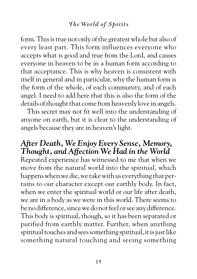# *The World of Spirits*

form. This is true not only of the greatest whole but also of every least part. This form influences everyone who accepts what is good and true from the Lord, and causes everyone in heaven to be in a human form according to that acceptance. This is why heaven is consistent with itself in general and in particular, why the human form is the form of the whole, of each community, and of each angel. I need to add here that this is also the form of the details of thought that come from heavenly love in angels.

This secret may not fit well into the understanding of anyone on earth, but it is clear to the understanding of angels because they are in heaven's light.

# *After Death, We Enjoy Every Sense, Memory, Thought, and Affection We Had in the World*

Repeated experience has witnessed to me that when we move from the natural world into the spiritual, which happens when we die, we take with us everything that pertains to our character except our earthly body. In fact, when we enter the spiritual world or our life after death, we are in a body as we were in this world. There seems to be no difference, since we do not feel or see any difference. This body is spiritual, though, so it has been separated or purified from earthly matter. Further, when anything spiritual touches and sees something spiritual, it is just like something natural touching and seeing something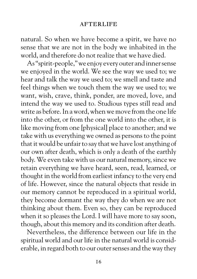natural. So when we have become a spirit, we have no sense that we are not in the body we inhabited in the world, and therefore do not realize that we have died.

As "spirit-people," we enjoy every outer and inner sense we enjoyed in the world. We see the way we used to; we hear and talk the way we used to; we smell and taste and feel things when we touch them the way we used to; we want, wish, crave, think, ponder, are moved, love, and intend the way we used to. Studious types still read and write as before. In a word, when we move from the one life into the other, or from the one world into the other, it is like moving from one [physical] place to another; and we take with us everything we owned as persons to the point that it would be unfair to say that we have lost anything of our own after death, which is only a death of the earthly body. We even take with us our natural memory, since we retain everything we have heard, seen, read, learned, or thought in the world from earliest infancy to the very end of life. However, since the natural objects that reside in our memory cannot be reproduced in a spiritual world, they become dormant the way they do when we are not thinking about them. Even so, they can be reproduced when it so pleases the Lord. I will have more to say soon, though, about this memory and its condition after death.

Nevertheless, the difference between our life in the spiritual world and our life in the natural world is considerable, in regard both to our outer senses and the way they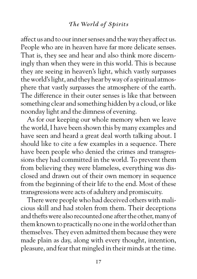# *The World of Spirits*

affect us and to our inner senses and the way they affect us. People who are in heaven have far more delicate senses. That is, they see and hear and also think more discerningly than when they were in this world. This is because they are seeing in heaven's light, which vastly surpasses the world's light, and they hear by way of a spiritual atmos phere that vastly surpasses the atmosphere of the earth. The difference in their outer senses is like that between something clear and something hidden by a cloud, or like noonday light and the dimness of evening.

As for our keeping our whole memory when we leave the world, I have been shown this by many examples and have seen and heard a great deal worth talking about. I should like to cite a few examples in a sequence. There have been people who denied the crimes and transgressions they had committed in the world. To prevent them from believing they were blameless, everything was dis closed and drawn out of their own memory in sequence from the beginning of their life to the end. Most of these transgressions were acts of adultery and promiscuity.

There were people who had deceived others with malicious skill and had stolen from them. Their deceptions and thefts were also recounted one after the other, many of them known to practically no one in the world other than them selves. They even admitted them because they were made plain as day, along with every thought, intention, pleasure, and fear that mingled in their minds at the time.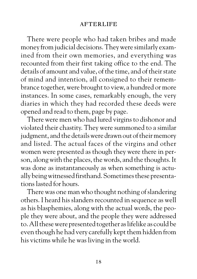There were people who had taken bribes and made money from judicial decisions. They were similarly exam ined from their own memories, and everything was recounted from their first taking office to the end. The details of amount and value, of the time, and of their state of mind and intention, all consigned to their remem brance together, were brought to view, a hundred or more instances. In some cases, remarkably enough, the very diaries in which they had recorded these deeds were opened and read to them, page by page.

There were men who had lured virgins to dishonor and violated their chastity. They were summoned to a similar judgment, and the details were drawn out of their memory and listed. The actual faces of the virgins and other women were presented as though they were there in person, along with the places, the words, and the thoughts. It was done as instantaneously as when something is actually being witnessed firsthand. Sometimes these presenta tions lasted for hours.

There was one man who thought nothing of slandering others. I heard his slanders recounted in sequence as well as his blasphemies, along with the actual words, the people they were about, and the people they were addressed to. All these were presented together as lifelike as could be even though he had very carefully kept them hidden from his victims while he was living in the world.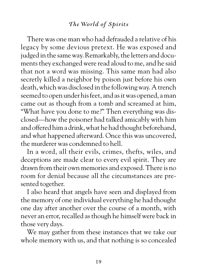There was one man who had defrauded a relative of his legacy by some devious pretext. He was exposed and judged in the same way. Remarkably, the letters and documents they exchanged were read aloud to me, and he said that not a word was missing. This same man had also secretly killed a neighbor by poison just before his own death, which was disclosed in the following way. A trench seemed to open under his feet, and as it was opened, a man came out as though from a tomb and screamed at him, "What have you done to me?" Then everything was disclosed—how the poisoner had talked amicably with him and offered him a drink, what he had thought beforehand, and what happened afterward. Once this was uncovered, the murderer was condemned to hell.

In a word, all their evils, crimes, thefts, wiles, and deceptions are made clear to every evil spirit. They are drawn from their own memories and exposed. There is no room for denial because all the circumstances are presented together.

I also heard that angels have seen and displayed from the memory of one individual everything he had thought one day after another over the course of a month, with never an error, recalled as though he himself were back in those very days.

We may gather from these instances that we take our whole memory with us, and that nothing is so concealed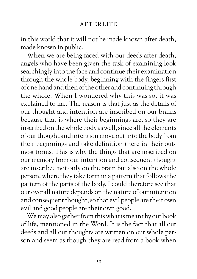in this world that it will not be made known after death, made known in public.

When we are being faced with our deeds after death, angels who have been given the task of examining look searchingly into the face and continue their examination through the whole body, beginning with the fingers first of one hand and then of the other and continuing through the whole. When I wondered why this was so, it was explained to me. The reason is that just as the details of our thought and intention are inscribed on our brains because that is where their beginnings are, so they are inscribed on the whole body as well, since all the elements of our thought and intention move out into the body from their beginnings and take definition there in their outmost forms. This is why the things that are inscribed on our memory from our intention and consequent thought are inscribed not only on the brain but also on the whole person, where they take form in a pattern that follows the pattern of the parts of the body. I could therefore see that our overall nature depends on the nature of our intention and consequent thought, so that evil people are their own evil and good people are their own good.

We may also gather from this what is meant by our book of life, mentioned in the Word. It is the fact that all our deeds and all our thoughts are written on our whole person and seem as though they are read from a book when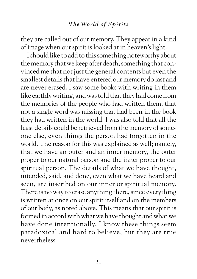they are called out of our memory. They appear in a kind of image when our spirit is looked at in heaven's light.

I should like to add to this something noteworthy about the memory that we keep after death, something that con vinced me that not just the general contents but even the smallest details that have entered our memory do last and are never erased. I saw some books with writing in them like earthly writing, and was told that they had come from the memories of the people who had written them, that not a single word was missing that had been in the book they had written in the world. I was also told that all the least details could be retrieved from the memory of some one else, even things the person had forgotten in the world. The reason for this was explained as well; namely, that we have an outer and an inner memory, the outer proper to our natural person and the inner proper to our spiritual person. The details of what we have thought, intended, said, and done, even what we have heard and seen, are inscribed on our inner or spiritual memory. There is no way to erase anything there, since everything is written at once on our spirit itself and on the members of our body, as noted above. This means that our spirit is formed in accord with what we have thought and what we have done intentionally. I know these things seem paradox ical and hard to believe, but they are true nevertheless.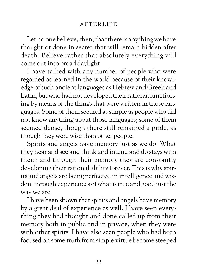Let no one believe, then, that there is anything we have thought or done in secret that will remain hidden after death. Believe rather that absolutely everything will come out into broad daylight.

I have talked with any number of people who were regarded as learned in the world because of their knowledge of such ancient languages as Hebrew and Greek and Latin, but who had not developed their rational functioning by means of the things that were written in those languages. Some of them seemed as simple as people who did not know anything about those languages; some of them seemed dense, though there still remained a pride, as though they were wise than other people.

Spirits and angels have memory just as we do. What they hear and see and think and intend and do stays with them; and through their memory they are constantly developing their rational ability forever. This is why spirits and angels are being perfected in intelligence and wisdom through experiences of what is true and good just the way we are.

I have been shown that spirits and angels have memory by a great deal of experience as well. I have seen everything they had thought and done called up from their memory both in public and in private, when they were with other spirits. I have also seen people who had been focused on some truth from simple virtue become steeped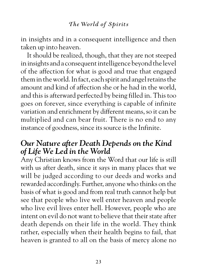in insights and in a consequent intelligence and then taken up into heaven.

It should be realized, though, that they are not steeped in insights and a consequent intelligence beyond the level of the affection for what is good and true that engaged them in the world. In fact, each spirit and angel retains the amount and kind of affection she or he had in the world, and this is afterward perfected by being filled in. This too goes on forever, since everything is capable of infinite variation and enrichment by different means, so it can be multiplied and can bear fruit. There is no end to any instance of goodness, since its source is the Infinite.

# *Our Nature after Death Depends on the Kind of Life We Led in the World*

Any Christian knows from the Word that our life is still with us after death, since it says in many places that we will be judged according to our deeds and works and rewarded accordingly. Further, anyone who thinks on the basis of what is good and from real truth cannot help but see that people who live well enter heaven and people who live evil lives enter hell. However, people who are intent on evil do not want to believe that their state after death depends on their life in the world. They think rather, especially when their health begins to fail, that heaven is granted to all on the basis of mercy alone no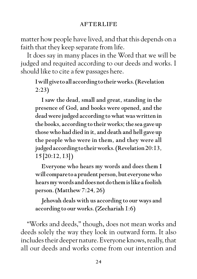matter how people have lived, and that this depends on a faith that they keep separate from life.

It does say in many places in the Word that we will be judged and requited according to our deeds and works. I should like to cite a few passages here.

I will give to all according to their works. (Revelation 2:23)

I saw the dead, small and great, standing in the presence of God, and books were opened, and the dead were judged according to what was written in the books, according to their works; the sea gave up those who had died in it, and death and hell gave up the people who were in them, and they were all judged according to their works. (Revelation 20:13, 15 [20:12, 13])

Everyone who hears my words and does them I will compare to a prudent person, but everyone who hears my words and does not do them is like a foolish person. (Matthew 7:24, 26)

Jehovah deals with us according to our ways and according to our works. (Zechariah 1:6)

"Works and deeds," though, does not mean works and deeds solely the way they look in outward form. It also includes their deeper nature. Everyone knows, really, that all our deeds and works come from our intention and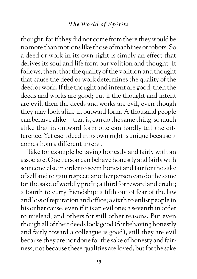thought, for if they did not come from there they would be no more than motions like those of machines or robots. So a deed or work in its own right is simply an effect that derives its soul and life from our volition and thought. It follows, then, that the quality of the volition and thought that cause the deed or work determines the quality of the deed or work. If the thought and intent are good, then the deeds and works are good; but if the thought and intent are evil, then the deeds and works are evil, even though they may look alike in outward form. A thousand people can behave alike—that is, can do the same thing, so much alike that in outward form one can hardly tell the difference. Yet each deed in its own right is unique because it comes from a different intent.

Take for example behaving honestly and fairly with an associate. One person can behave honestly and fairly with someone else in order to seem honest and fair for the sake of self and to gain respect; another person can do the same for the sake of worldly profit; a third for reward and credit; a fourth to curry friendship; a fifth out of fear of the law and loss of reputation and office; a sixth to enlist people in his or her cause, even if it is an evil one; a seventh in order to mislead; and others for still other reasons. But even though all of their deeds look good (for behaving honestly and fairly toward a colleague is good), still they are evil because they are not done for the sake of honesty and fair ness, not because these qualities are loved, but for the sake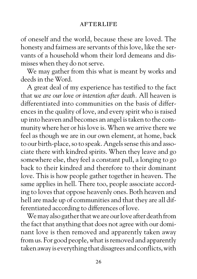of oneself and the world, because these are loved. The honesty and fairness are servants of this love, like the servants of a household whom their lord demeans and dismisses when they do not serve.

We may gather from this what is meant by works and deeds in the Word.

A great deal of my experience has testified to the fact that *we are our love or intention after death.* All heaven is differentiated into communities on the basis of differences in the quality of love, and every spirit who is raised up into heaven and becomes an angel is taken to the com munity where her or his love is. When we arrive there we feel as though we are in our own element, at home, back to our birth-place, so to speak. Angels sense this and asso ciate there with kindred spirits. When they leave and go somewhere else, they feel a constant pull, a longing to go back to their kindred and therefore to their dominant love. This is how people gather together in heaven. The same applies in hell. There too, people associate according to loves that oppose heavenly ones. Both heaven and hell are made up of communities and that they are all differentiated according to differences of love.

We may also gather that we are our love after death from the fact that anything that does not agree with our dominant love is then removed and apparently taken away from us. For good people, what is removed and apparently taken away is everything that disagrees and conflicts, with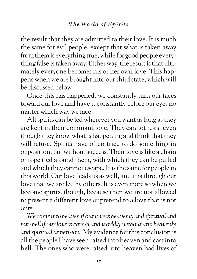the result that they are admitted to their love. It is much the same for evil people, except that what is taken away from them is everything true, while for good people every thing false is taken away. Either way, the result is that ultimately everyone becomes his or her own love. This happens when we are brought into our third state, which will be discussed below.

Once this has happened, we constantly turn our faces toward our love and have it constantly before our eyes no matter which way we face.

All spirits can be led wherever you want as long as they are kept in their dominant love. They cannot resist even though they know what is happening and think that they will refuse. Spirits have often tried to do something in opposition, but without success. Their love is like a chain or rope tied around them, with which they can be pulled and which they cannot escape. It is the same for people in this world. Our love leads us as well, and it is through our love that we are led by others. It is even more so when we become spirits, though, because then we are not allowed to present a different love or pretend to a love that is not ours.

*We come into heaven if our love is heavenly and spiritual and into hell if our love is carnal and worldly without any heavenly and spiritual dimension.* My evidence for this conclusion is all the people I have seen raised into heaven and cast into hell. The ones who were raised into heaven had lives of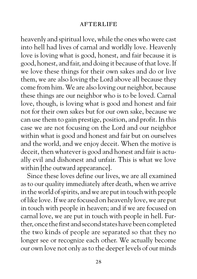heavenly and spiritual love, while the ones who were cast into hell had lives of carnal and worldly love. Heavenly love is loving what is good, honest, and fair because it is good, honest, and fair, and doing it because of that love. If we love these things for their own sakes and do or live them, we are also loving the Lord above all because they come from him. We are also loving our neighbor, because these things are our neighbor who is to be loved. Carnal love, though, is loving what is good and honest and fair not for their own sakes but for our own sake, because we can use them to gain prestige, position, and profit. In this case we are not focusing on the Lord and our neighbor within what is good and honest and fair but on ourselves and the world, and we enjoy deceit. When the motive is deceit, then whatever is good and honest and fair is actually evil and dishonest and unfair. This is what we love within [the outward appearance].

Since these loves define our lives, we are all examined as to our quality immediately after death, when we arrive in the world of spirits, and we are put in touch with people of like love. If we are focused on heavenly love, we are put in touch with people in heaven; and if we are focused on carnal love, we are put in touch with people in hell. Further, once the first and second states have been completed the two kinds of people are separated so that they no longer see or recognize each other. We actually become our own love not only as to the deeper levels of our minds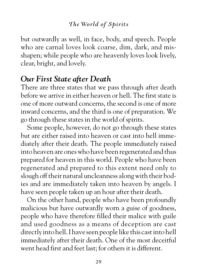but outwardly as well, in face, body, and speech. People who are carnal loves look coarse, dim, dark, and misshapen; while people who are heavenly loves look lively, clear, bright, and lovely.

# *Our First State after Death*

There are three states that we pass through after death before we arrive in either heaven or hell. The first state is one of more outward concerns, the second is one of more inward concerns, and the third is one of preparation. We go through these states in the world of spirits.

Some people, however, do not go through these states but are either raised into heaven or cast into hell imme diately after their death. The people immediately raised into heaven are ones who have been regenerated and thus prepared for heaven in this world. People who have been regenerated and prepared to this extent need only to slough off their natural uncleanness along with their bodies and are immediately taken into heaven by angels. I have seen people taken up an hour after their death.

On the other hand, people who have been profoundly malicious but have outwardly worn a guise of goodness, people who have therefore filled their malice with guile and used goodness as a means of deception are cast directly into hell. I have seen people like this cast into hell immediately after their death. One of the most deceitful went head first and feet last; for others it is different.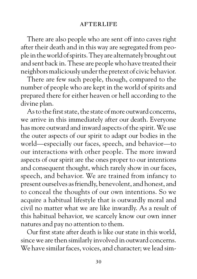There are also people who are sent off into caves right after their death and in this way are segregated from people in the world of spirits. They are alternately brought out and sent back in. These are people who have treated their neighbors maliciously under the pretext of civic behavior.

There are few such people, though, compared to the num ber of people who are kept in the world of spirits and prepared there for either heaven or hell according to the divine plan.

As to the first state, the state of more outward concerns, we arrive in this immediately after our death. Everyone has more outward and inward aspects of the spirit. We use the outer aspects of our spirit to adapt our bodies in the world—especially our faces, speech, and behavior—to our interactions with other people. The more inward aspects of our spirit are the ones proper to our intentions and consequent thought, which rarely show in our faces, speech, and behavior. We are trained from infancy to present ourselves as friendly, benevolent, and honest, and to conceal the thoughts of our own intentions. So we acquire a habitual lifestyle that is outwardly moral and civil no matter what we are like inwardly. As a result of this habitual behavior, we scarcely know our own inner natures and pay no attention to them.

Our first state after death is like our state in this world, since we are then similarly involved in outward concerns. We have similar faces, voices, and character; we lead sim-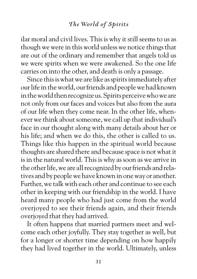ilar moral and civil lives. This is why it still seems to us as though we were in this world unless we notice things that are out of the ordinary and remember that angels told us we were spirits when we were awakened. So the one life carries on into the other, and death is only a passage.

Since this is what we are like as spirits immediately after our life in the world, our friends and people we had known in the world then recognize us. Spirits perceive who we are not only from our faces and voices but also from the aura of our life when they come near. In the other life, when ever we think about someone, we call up that individual's face in our thought along with many details about her or his life; and when we do this, the other is called to us. Things like this happen in the spiritual world because thoughts are shared there and because space is not what it is in the natural world. This is why as soon as we arrive in the other life, we are all recognized by our friends and rela tives and by people we have known in one way or another. Further, we talk with each other and continue to see each other in keeping with our friendship in the world. I have heard many people who had just come from the world overjoyed to see their friends again, and their friends overjoyed that they had arrived.

It often happens that married partners meet and welcome each other joyfully. They stay together as well, but for a longer or shorter time depending on how happily they had lived together in the world. Ultimately, unless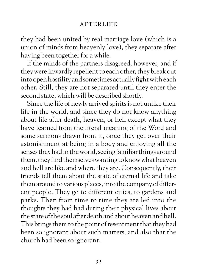they had been united by real marriage love (which is a union of minds from heavenly love), they separate after having been together for a while.

If the minds of the partners disagreed, however, and if they were inwardly repellent to each other, they break out into open hostility and sometimes actually fight with each other. Still, they are not separated until they enter the second state, which will be described shortly.

Since the life of newly arrived spirits is not unlike their life in the world, and since they do not know anything about life after death, heaven, or hell except what they have learned from the literal meaning of the Word and some sermons drawn from it, once they get over their astonishment at being in a body and enjoying all the senses they had in the world, seeing familiar things around them, they find themselves wanting to know what heaven and hell are like and where they are. Consequently, their friends tell them about the state of eternal life and take them around to various places, into the company of differ ent people. They go to different cities, to gardens and parks. Then from time to time they are led into the thoughts they had had during their physical lives about the state of the soul after death and about heaven and hell. This brings them to the point of resentment that they had been so ignorant about such matters, and also that the church had been so ignorant.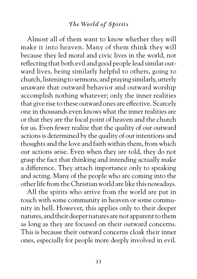Almost all of them want to know whether they will make it into heaven. Many of them think they will because they led moral and civic lives in the world, not reflecting that both evil and good people lead similar outward lives, being similarly helpful to others, going to church, listening to sermons, and praying similarly, utterly unaware that outward behavior and outward worship accomplish nothing whatever; only the inner realities that give rise to these outward ones are effective. Scarcely one in thousands even knows what the inner realities are or that they are the focal point of heaven and the church for us. Even fewer realize that the quality of our outward actions is determined by the quality of our intentions and thoughts and the love and faith within them, from which our actions arise. Even when they are told, they do not grasp the fact that thinking and intending actually make a difference. They attach importance only to speaking and acting. Many of the people who are coming into the other life from the Christian world are like this nowadays.

All the spirits who arrive from the world are put in touch with some community in heaven or some commu nity in hell. However, this applies only to their deeper natures, and their deeper natures are not apparent to them as long as they are focused on their outward concerns. This is because their outward concerns cloak their inner ones, especially for people more deeply involved in evil.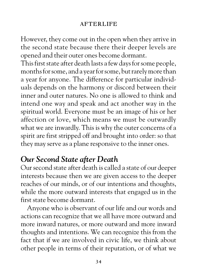However, they come out in the open when they arrive in the second state because there their deeper levels are opened and their outer ones become dormant.

This first state after death lasts a few days for some people, months for some, and a year for some, but rarely more than a year for anyone. The difference for particular individuals depends on the harmony or discord between their inner and outer natures. No one is allowed to think and intend one way and speak and act another way in the spiritual world. Everyone must be an image of his or her affection or love, which means we must be outwardly what we are inwardly. This is why the outer concerns of a spirit are first stripped off and brought into order: so that they may serve as a plane responsive to the inner ones.

# *Our Second State after Death*

Our second state after death is called a state of our deeper interests because then we are given access to the deeper reaches of our minds, or of our intentions and thoughts, while the more outward interests that engaged us in the first state become dormant.

Anyone who is observant of our life and our words and actions can recognize that we all have more outward and more inward natures, or more outward and more inward thoughts and intentions. We can recognize this from the fact that if we are involved in civic life, we think about other people in terms of their reputation, or of what we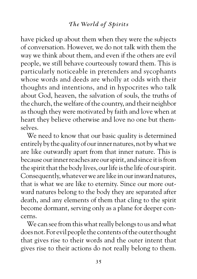have picked up about them when they were the subjects of conversation. However, we do not talk with them the way we think about them, and even if the others are evil people, we still behave courteously toward them. This is particularly noticeable in pretenders and sycophants whose words and deeds are wholly at odds with their thoughts and intentions, and in hypocrites who talk about God, heaven, the salvation of souls, the truths of the church, the welfare of the country, and their neighbor as though they were motivated by faith and love when at heart they believe otherwise and love no one but themselves.

We need to know that our basic quality is determined entirely by the quality of our inner natures, not by what we are like outwardly apart from that inner nature. This is because our inner reaches are our spirit, and since it is from the spirit that the body lives, our life is the life of our spirit. Consequently, whatever we are like in our inward natures, that is what we are like to eternity. Since our more outward natures belong to the body they are separated after death, and any elements of them that cling to the spirit become dormant, serving only as a plane for deeper concerns.

We can see from this what really belongs to us and what does not. For evil people the contents of the outer thought that gives rise to their words and the outer intent that gives rise to their actions do not really belong to them.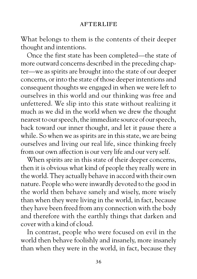What belongs to them is the contents of their deeper thought and intentions.

Once the first state has been completed—the state of more outward concerns described in the preceding chapter—we as spirits are brought into the state of our deeper concerns, or into the state of those deeper intentions and consequent thoughts we engaged in when we were left to ourselves in this world and our thinking was free and unfettered. We slip into this state without realizing it much as we did in the world when we drew the thought nearest to our speech, the immediate source of our speech, back toward our inner thought, and let it pause there a while. So when we as spirits are in this state, we are being our selves and living our real life, since thinking freely from our own affection is our very life and our very self.

When spirits are in this state of their deeper concerns, then it is obvious what kind of people they really were in the world. They actually behave in accord with their own nature. People who were inwardly devoted to the good in the world then behave sanely and wisely, more wisely than when they were living in the world, in fact, because they have been freed from any connection with the body and therefore with the earthly things that darken and cover with a kind of cloud.

In contrast, people who were focused on evil in the world then behave foolishly and insanely, more insanely than when they were in the world, in fact, because they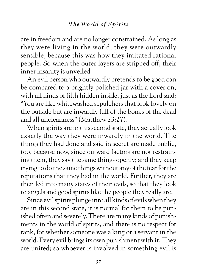are in freedom and are no longer constrained. As long as they were living in the world, they were outwardly sensible, because this was how they imitated rational people. So when the outer layers are stripped off, their inner insanity is unveiled.

An evil person who outwardly pretends to be good can be compared to a brightly polished jar with a cover on, with all kinds of filth hidden inside, just as the Lord said: "You are like whitewashed sepulchers that look lovely on the outside but are inwardly full of the bones of the dead and all uncleanness" (Matthew 23:27).

When spirits are in this second state, they actually look exactly the way they were inwardly in the world. The things they had done and said in secret are made public, too, because now, since outward factors are not restrain ing them, they say the same things openly; and they keep trying to do the same things without any of the fear for the reputations that they had in the world. Further, they are then led into many states of their evils, so that they look to angels and good spirits like the people they really are.

Since evil spirits plunge into all kinds of evils when they are in this second state, it is normal for them to be punished often and severely. There are many kinds of punishments in the world of spirits, and there is no respect for rank, for whether someone was a king or a servant in the world. Every evil brings its own punishment with it. They are united; so whoever is involved in something evil is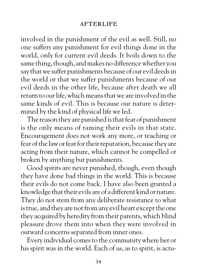involved in the punishment of the evil as well. Still, no one suffers any punishment for evil things done in the world, only for current evil deeds. It boils down to the same thing, though, and makes no difference whether you say that we suffer punishments because of our evil deeds in the world or that we suffer punishments because of our evil deeds in the other life, because after death we all return to our life, which means that we are involved in the same kinds of evil. This is because our nature is determined by the kind of physical life we led.

The reason they are punished is that fear of punishment is the only means of taming their evils in that state. Encour agement does not work any more, or teaching or fear of the law or fear for their reputation, because they are acting from their nature, which cannot be compelled or broken by anything but punishments.

Good spirits are never punished, though, even though they have done bad things in the world. This is because their evils do not come back. I have also been granted a knowledge that their evils are of a different kind or nature. They do not stem from any deliberate resistance to what is true, and they are not from any evil heart except the one they acquired by heredity from their parents, which blind pleasure drove them into when they were involved in outward concerns separated from inner ones.

Every individual comes to the community where her or his spirit was in the world. Each of us, as to spirit, is actu-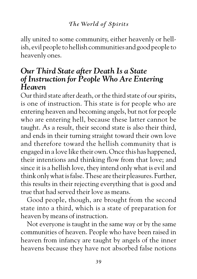ally united to some community, either heavenly or hellish, evil people to hellish communities and good people to heavenly ones.

# *Our Third State after Death Is a State of Instruc tion for People Who Are Entering Heaven*

Our third state after death, or the third state of our spirits, is one of instruction. This state is for people who are entering heaven and becoming angels, but not for people who are entering hell, because these latter cannot be taught. As a result, their second state is also their third, and ends in their turning straight toward their own love and therefore toward the hellish community that is engaged in a love like their own. Once this has happened, their intentions and thinking flow from that love; and since it is a hellish love, they intend only what is evil and think only what is false. These are their pleasures. Further, this results in their rejecting everything that is good and true that had served their love as means.

Good people, though, are brought from the second state into a third, which is a state of preparation for heaven by means of instruction.

Not everyone is taught in the same way or by the same communities of heaven. People who have been raised in heaven from infancy are taught by angels of the inner heavens because they have not absorbed false notions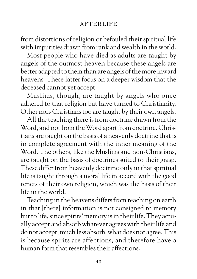from distortions of religion or befouled their spiritual life with impurities drawn from rank and wealth in the world.

Most people who have died as adults are taught by angels of the outmost heaven because these angels are better adapted to them than are angels of the more inward heavens. These latter focus on a deeper wisdom that the deceased cannot yet accept.

Muslims, though, are taught by angels who once adhered to that religion but have turned to Christianity. Other non-Christians too are taught by their own angels.

All the teaching there is from doctrine drawn from the Word, and not from the Word apart from doctrine. Christians are taught on the basis of a heavenly doctrine that is in complete agreement with the inner meaning of the Word. The others, like the Muslims and non-Christians, are taught on the basis of doctrines suited to their grasp. These differ from heavenly doctrine only in that spiritual life is taught through a moral life in accord with the good tenets of their own religion, which was the basis of their life in the world.

Teaching in the heavens differs from teaching on earth in that [there] information is not consigned to memory but to life, since spirits' memory is in their life. They actually accept and absorb whatever agrees with their life and do not accept, much less absorb, what does not agree. This is because spirits are affections, and therefore have a human form that resembles their affections.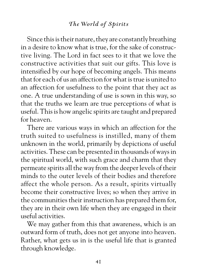Since this is their nature, they are constantly breathing in a desire to know what is true, for the sake of constructive living. The Lord in fact sees to it that we love the constructive activities that suit our gifts. This love is intensified by our hope of becoming angels. This means that for each of us an affection for what is true is united to an affection for usefulness to the point that they act as one. A true understanding of use is sown in this way, so that the truths we learn are true perceptions of what is useful. This is how angelic spirits are taught and prepared for heaven.

There are various ways in which an affection for the truth suited to usefulness is instilled, many of them unknown in the world, primarily by depictions of useful activities. These can be presented in thousands of ways in the spiritual world, with such grace and charm that they permeate spirits all the way from the deeper levels of their minds to the outer levels of their bodies and therefore affect the whole person. As a result, spirits virtually become their constructive lives; so when they arrive in the communities their instruction has prepared them for, they are in their own life when they are engaged in their useful activities.

We may gather from this that awareness, which is an out ward form of truth, does not get anyone into heaven. Rather, what gets us in is the useful life that is granted through knowledge.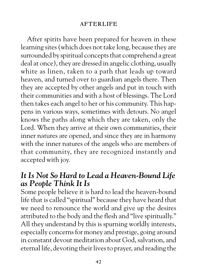After spirits have been prepared for heaven in these learning sites (which does not take long, because they are surrounded by spiritual concepts that comprehend a great deal at once), they are dressed in angelic clothing, usually white as linen, taken to a path that leads up toward heaven, and turned over to guardian angels there. Then they are accepted by other angels and put in touch with their communities and with a host of blessings. The Lord then takes each angel to her or his community. This hap pens in various ways, sometimes with detours. No angel knows the paths along which they are taken, only the Lord. When they arrive at their own communities, their inner natures are opened, and since they are in harmony with the inner natures of the angels who are members of that community, they are recognized instantly and accepted with joy.

# *It Is Not So Hard to Lead a Heaven-Bound Life as People Think It Is*

Some people believe it is hard to lead the heaven-bound life that is called "spiritual" because they have heard that we need to renounce the world and give up the desires attributed to the body and the flesh and "live spiritually." All they understand by this is spurning worldly interests, especially concerns for money and prestige, going around in constant devout meditation about God, salvation, and eternal life, devoting their lives to prayer, and reading the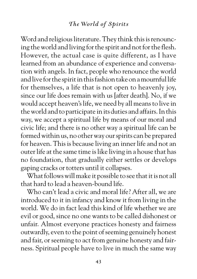Word and religious literature. They think this is renouncing the world and living for the spirit and not for the flesh. However, the actual case is quite different, as I have learned from an abundance of experience and conversation with angels. In fact, people who renounce the world and live for the spirit in this fashion take on a mournful life for themselves, a life that is not open to heavenly joy, since our life does remain with us [after death]. No, if we would accept heaven's life, we need by all means to live in the world and to participate in its duties and affairs. In this way, we accept a spiritual life by means of our moral and civic life; and there is no other way a spiritual life can be formed within us, no other way our spirits can be prepared for heaven. This is because living an inner life and not an outer life at the same time is like living in a house that has no foundation, that gradually either settles or develops gaping cracks or totters until it collapses.

What follows will make it possible to see that it is not all that hard to lead a heaven-bound life.

Who can't lead a civic and moral life? After all, we are introduced to it in infancy and know it from living in the world. We do in fact lead this kind of life whether we are evil or good, since no one wants to be called dishonest or unfair. Almost everyone practices honesty and fairness out wardly, even to the point of seeming genuinely honest and fair, or seeming to act from genuine honesty and fair ness. Spiritual people have to live in much the same way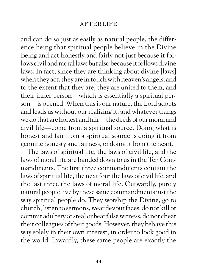and can do so just as easily as natural people, the differ ence being that spiritual people believe in the Divine Being and act honestly and fairly not just because it follows civil and moral laws but also because it follows divine laws. In fact, since they are thinking about divine [laws] when they act, they are in touch with heaven's angels; and to the extent that they are, they are united to them, and their inner person—which is essentially a spiritual person—is opened. When this is our nature, the Lord adopts and leads us without our realizing it, and whatever things we do that are honest and fair—the deeds of our moral and civil life—come from a spiritual source. Doing what is honest and fair from a spiritual source is doing it from genuine honesty and fairness, or doing it from the heart.

The laws of spiritual life, the laws of civil life, and the laws of moral life are handed down to us in the Ten Com mandments. The first three commandments contain the laws of spiritual life, the next four the laws of civil life, and the last three the laws of moral life. Outwardly, purely natural people live by these same commandments just the way spiritual people do. They worship the Divine, go to church, listen to sermons, wear devout faces, do not kill or commit adultery or steal or bear false witness, do not cheat their colleagues of their goods. However, they behave this way solely in their own interest, in order to look good in the world. Inwardly, these same people are exactly the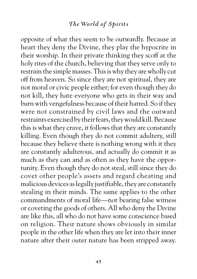opposite of what they seem to be outwardly. Because at heart they deny the Divine, they play the hypocrite in their worship. In their private thinking they scoff at the holy rites of the church, believing that they serve only to restrain the simple masses. This is why they are wholly cut off from heaven. So since they are not spiritual, they are not moral or civic people either; for even though they do not kill, they hate everyone who gets in their way and burn with vengefulness because of their hatred. So if they were not constrained by civil laws and the outward restraints exercised by their fears, they would kill. Because this is what they crave, it follows that they are constantly killing. Even though they do not commit adultery, still because they believe there is nothing wrong with it they are constantly adulterous, and actually do commit it as much as they can and as often as they have the opportunity. Even though they do not steal, still since they do covet other people's assets and regard cheating and malicious devices as legally justifiable, they are constantly stealing in their minds. The same applies to the other commandments of moral life—not bearing false witness or coveting the goods of others. All who deny the Divine are like this, all who do not have some conscience based on religion. Their nature shows obviously in similar people in the other life when they are let into their inner nature after their outer nature has been stripped away.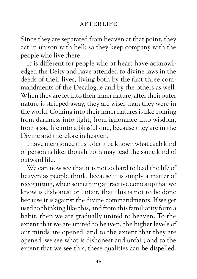Since they are separated from heaven at that point, they act in unison with hell; so they keep company with the people who live there.

It is different for people who at heart have acknowledged the Deity and have attended to divine laws in the deeds of their lives, living both by the first three commandments of the Decalogue and by the others as well. When they are let into their inner nature, after their outer nature is stripped away, they are wiser than they were in the world. Coming into their inner natures is like coming from darkness into light, from ignorance into wisdom, from a sad life into a blissful one, because they are in the Divine and therefore in heaven.

I have mentioned this to let it be known what each kind of person is like, though both may lead the same kind of outward life.

We can now see that it is not so hard to lead the life of heaven as people think, because it is simply a matter of recognizing, when something attractive comes up that we know is dishonest or unfair, that this is not to be done because it is against the divine commandments. If we get used to thinking like this, and from this familiarity form a habit, then we are gradually united to heaven. To the extent that we are united to heaven, the higher levels of our minds are opened, and to the extent that they are opened, we see what is dishonest and unfair; and to the extent that we see this, these qualities can be dispelled.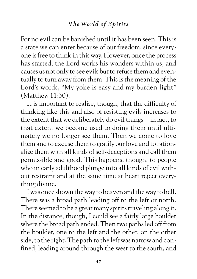For no evil can be banished until it has been seen. This is a state we can enter because of our freedom, since every one is free to think in this way. However, once the process has started, the Lord works his wonders within us, and causes us not only to see evils but to refuse them and even tually to turn away from them. This is the meaning of the Lord's words, "My yoke is easy and my burden light" (Matthew 11:30).

It is important to realize, though, that the difficulty of thinking like this and also of resisting evils increases to the extent that we deliberately do evil things—in fact, to that extent we become used to doing them until ultimately we no longer see them. Then we come to love them and to excuse them to gratify our love and to ration alize them with all kinds of self-deceptions and call them permissible and good. This happens, though, to people who in early adulthood plunge into all kinds of evil without restraint and at the same time at heart reject everything divine.

I was once shown the way to heaven and the way to hell. There was a broad path leading off to the left or north. There seemed to be a great many spirits traveling along it. In the distance, though, I could see a fairly large boulder where the broad path ended. Then two paths led off from the boulder, one to the left and the other, on the other side, to the right. The path to the left was narrow and con fined, leading around through the west to the south, and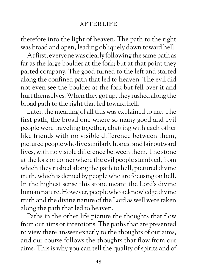therefore into the light of heaven. The path to the right was broad and open, leading obliquely down toward hell.

At first, everyone was clearly following the same path as far as the large boulder at the fork; but at that point they parted company. The good turned to the left and started along the confined path that led to heaven. The evil did not even see the boulder at the fork but fell over it and hurt themselves. When they got up, they rushed along the broad path to the right that led toward hell.

Later, the meaning of all this was explained to me. The first path, the broad one where so many good and evil people were traveling together, chatting with each other like friends with no visible difference between them, pictured people who live similarly honest and fair outward lives, with no visible difference between them. The stone at the fork or corner where the evil people stumbled, from which they rushed along the path to hell, pictured divine truth, which is denied by people who are focusing on hell. In the highest sense this stone meant the Lord's divine human nature. However, people who acknowledge divine truth and the divine nature of the Lord as well were taken along the path that led to heaven.

Paths in the other life picture the thoughts that flow from our aims or intentions. The paths that are presented to view there answer exactly to the thoughts of our aims, and our course follows the thoughts that flow from our aims. This is why you can tell the quality of spirits and of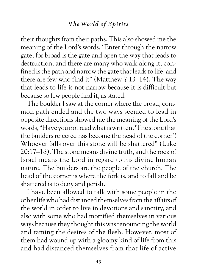their thoughts from their paths. This also showed me the meaning of the Lord's words, "Enter through the narrow gate, for broad is the gate and open the way that leads to destruction, and there are many who walk along it; confined is the path and narrow the gate that leads to life, and there are few who find it" (Matthew 7:13–14). The way that leads to life is not narrow because it is difficult but because so few people find it, as stated.

The boulder I saw at the corner where the broad, common path ended and the two ways seemed to lead in opposite directions showed me the meaning of the Lord's words, "Have you not read what is written, 'The stone that the builders rejected has become the head of the corner'? Whoever falls over this stone will be shattered" (Luke 20:17–18). The stone means divine truth, and the rock of Israel means the Lord in regard to his divine human nature. The builders are the people of the church. The head of the corner is where the fork is, and to fall and be shattered is to deny and perish.

I have been allowed to talk with some people in the other life who had distanced themselves from the affairs of the world in order to live in devotions and sanctity, and also with some who had mortified themselves in various ways because they thought this was renouncing the world and taming the desires of the flesh. However, most of them had wound up with a gloomy kind of life from this and had distanced themselves from that life of active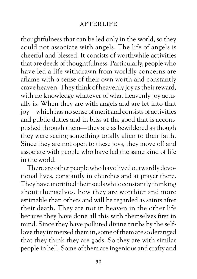thoughtfulness that can be led only in the world, so they could not associate with angels. The life of angels is cheerful and blessed. It consists of worthwhile activities that are deeds of thoughtfulness. Particularly, people who have led a life withdrawn from worldly concerns are aflame with a sense of their own worth and constantly crave heaven. They think of heavenly joy as their reward, with no knowledge whatever of what heavenly joy actually is. When they are with angels and are let into that joy—which has no sense of merit and consists of activities and public duties and in bliss at the good that is accomplished through them—they are as bewildered as though they were seeing something totally alien to their faith. Since they are not open to these joys, they move off and associate with people who have led the same kind of life in the world.

There are other people who have lived outwardly devotional lives, constantly in churches and at prayer there. They have mortified their souls while constantly thinking about themselves, how they are worthier and more estimable than others and will be regarded as saints after their death. They are not in heaven in the other life because they have done all this with themselves first in mind. Since they have polluted divine truths by the selflove they immersed them in, some of them are so deranged that they think they are gods. So they are with similar people in hell. Some of them are ingenious and crafty and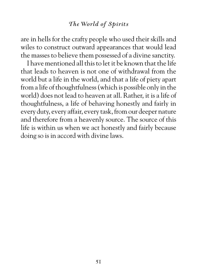are in hells for the crafty people who used their skills and wiles to construct outward appearances that would lead the masses to believe them possessed of a divine sanctity.

I have mentioned all this to let it be known that the life that leads to heaven is not one of withdrawal from the world but a life in the world, and that a life of piety apart from a life of thoughtfulness (which is possible only in the world) does not lead to heaven at all. Rather, it is a life of thoughtfulness, a life of behaving honestly and fairly in every duty, every affair, every task, from our deeper nature and therefore from a heavenly source. The source of this life is within us when we act honestly and fairly because doing so is in accord with divine laws.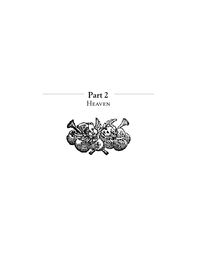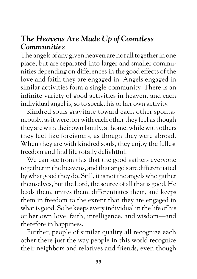## *The Heavens Are Made Up of Countless Communities*

The angels of any given heaven are not all together in one place, but are separated into larger and smaller commu nities depending on differences in the good effects of the love and faith they are engaged in. Angels engaged in similar activities form a single community. There is an infinite variety of good activities in heaven, and each individual angel is, so to speak, his or her own activity.

Kindred souls gravitate toward each other spontaneously, as it were, for with each other they feel as though they are with their own family, at home, while with others they feel like foreigners, as though they were abroad. When they are with kindred souls, they enjoy the fullest freedom and find life totally delightful.

We can see from this that the good gathers everyone together in the heavens, and that angels are differentiated by what good they do. Still, it is not the angels who gather themselves, but the Lord, the source of all that is good. He leads them, unites them, differentiates them, and keeps them in freedom to the extent that they are engaged in what is good. So he keeps every individual in the life of his or her own love, faith, intelligence, and wisdom—and therefore in happiness.

Further, people of similar quality all recognize each other there just the way people in this world recognize their neighbors and relatives and friends, even though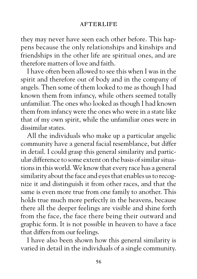they may never have seen each other before. This happens because the only relationships and kinships and friendships in the other life are spiritual ones, and are therefore matters of love and faith.

I have often been allowed to see this when I was in the spirit and therefore out of body and in the company of angels. Then some of them looked to me as though I had known them from infancy, while others seemed totally unfamiliar. The ones who looked as though I had known them from infancy were the ones who were in a state like that of my own spirit, while the unfamiliar ones were in dissimilar states.

All the individuals who make up a particular angelic community have a general facial resemblance, but differ in detail. I could grasp this general similarity and particular difference to some extent on the basis of similar situa tions in this world. We know that every race has a general similarity about the face and eyes that enables us to recognize it and distinguish it from other races, and that the same is even more true from one family to another. This holds true much more perfectly in the heavens, because there all the deeper feelings are visible and shine forth from the face, the face there being their outward and graphic form. It is not possible in heaven to have a face that differs from our feelings.

I have also been shown how this general similarity is varied in detail in the individuals of a single community.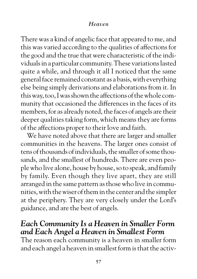There was a kind of angelic face that appeared to me, and this was varied according to the qualities of affections for the good and the true that were characteristic of the individuals in a particular community. These variations lasted quite a while, and through it all I noticed that the same general face remained constant as a basis, with everything else being simply derivations and elaborations from it. In this way, too, I was shown the affections of the whole com munity that occasioned the differences in the faces of its members, for as already noted, the faces of angels are their deeper qualities taking form, which means they are forms of the affections proper to their love and faith.

We have noted above that there are larger and smaller communities in the heavens. The larger ones consist of tens of thousands of individuals, the smaller of some thou sands, and the smallest of hundreds. There are even people who live alone, house by house, so to speak, and family by family. Even though they live apart, they are still arranged in the same pattern as those who live in communi ties, with the wiser of them in the center and the simpler at the periphery. They are very closely under the Lord's guidance, and are the best of angels.

## *Each Community Is a Heaven in Smaller Form and Each Angel a Heaven in Smallest Form*

The reason each community is a heaven in smaller form and each angel a heaven in smallest form is that the activ -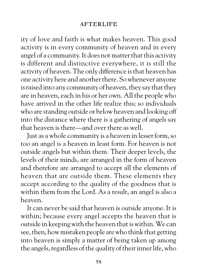ity of love and faith is what makes heaven. This good activity is in every community of heaven and in every angel of a community. It does not matter that this activity is different and distinctive everywhere, it is still the activity of heaven. The only difference is that heaven has one activity here and another there. So whenever anyone is raised into any community of heaven, they say that they are in heaven, each in his or her own. All the people who have arrived in the other life realize this; so individuals who are standing outside or below heaven and looking off into the distance where there is a gathering of angels say that heaven is there—and over there as well.

Just as a whole community is a heaven in lesser form, so too an angel is a heaven in least form. For heaven is not outside angels but within them. Their deeper levels, the levels of their minds, are arranged in the form of heaven and therefore are arranged to accept all the elements of heaven that are outside them. These elements they accept according to the quality of the goodness that is within them from the Lord. As a result, an angel is also a heaven.

It can never be said that heaven is outside anyone. It is within; because every angel accepts the heaven that is outside in keeping with the heaven that is within. We can see, then, how mistaken people are who think that getting into heaven is simply a matter of being taken up among the angels, regardless of the quality of their inner life, who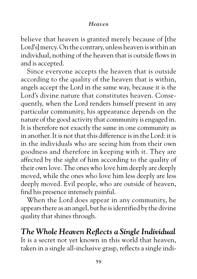believe that heaven is granted merely because of [the Lord's] mercy. On the contrary, unless heaven is within an individual, nothing of the heaven that is outside flows in and is accepted.

Since everyone accepts the heaven that is outside according to the quality of the heaven that is within, angels accept the Lord in the same way, because it is the Lord's divine nature that constitutes heaven. Consequently, when the Lord renders himself present in any particular community, his appearance depends on the nature of the good activity that community is engaged in. It is therefore not exactly the same in one community as in another. It is not that this difference is in the Lord: it is in the individuals who are seeing him from their own goodness and therefore in keeping with it. They are affected by the sight of him according to the quality of their own love. The ones who love him deeply are deeply moved, while the ones who love him less deeply are less deeply moved. Evil people, who are outside of heaven, find his presence intensely painful.

When the Lord does appear in any community, he appears there as an angel, but he is identified by the divine quality that shines through.

# *The Whole Heaven Reflects a Single Individual*

It is a secret not yet known in this world that heaven, taken in a single all-inclusive grasp, reflects a single indi-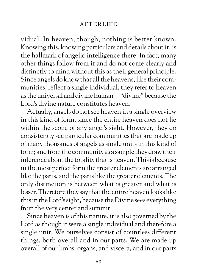vidual. In heaven, though, nothing is better known. Knowing this, knowing particulars and details about it, is the hallmark of angelic intelligence there. In fact, many other things follow from it and do not come clearly and distinctly to mind without this as their general principle. Since angels do know that all the heavens, like their com munities, reflect a single individual, they refer to heaven as the universal and divine human—"divine" because the Lord's divine nature constitutes heaven.

Actually, angels do not see heaven in a single overview in this kind of form, since the entire heaven does not lie within the scope of any angel's sight. However, they do consistently see particular communities that are made up of many thousands of angels as single units in this kind of form; and from the community as a sample they draw their inference about the totality that is heaven. This is because in the most perfect form the greater elements are arranged like the parts, and the parts like the greater elements. The only distinction is between what is greater and what is lesser. Therefore they say that the entire heaven looks like this in the Lord's sight, because the Divine sees everything from the very center and summit.

Since heaven is of this nature, it is also governed by the Lord as though it were a single individual and therefore a single unit. We ourselves consist of countless different things, both overall and in our parts. We are made up overall of our limbs, organs, and viscera, and in our parts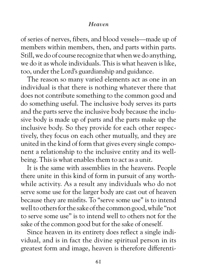of series of nerves, fibers, and blood vessels—made up of members within members, then, and parts within parts. Still, we do of course recognize that when we do anything, we do it as whole individuals. This is what heaven is like, too, under the Lord's guardianship and guidance.

The reason so many varied elements act as one in an individual is that there is nothing whatever there that does not contribute something to the common good and do something useful. The inclusive body serves its parts and the parts serve the inclusive body because the inclusive body is made up of parts and the parts make up the inclusive body. So they provide for each other respectively, they focus on each other mutually, and they are united in the kind of form that gives every single component a relationship to the inclusive entity and its wellbeing. This is what enables them to act as a unit.

It is the same with assemblies in the heavens. People there unite in this kind of form in pursuit of any worthwhile activity. As a result any individuals who do not serve some use for the larger body are cast out of heaven because they are misfits. To "serve some use" is to intend well to others for the sake of the common good, while "not to serve some use" is to intend well to others not for the sake of the common good but for the sake of oneself.

Since heaven in its entirety does reflect a single individual, and is in fact the divine spiritual person in its greatest form and image, heaven is therefore differenti-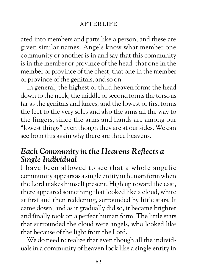ated into members and parts like a person, and these are given similar names. Angels know what member one community or another is in and say that this community is in the member or province of the head, that one in the member or province of the chest, that one in the member or province of the genitals, and so on.

In general, the highest or third heaven forms the head down to the neck, the middle or second forms the torso as far as the genitals and knees, and the lowest or first forms the feet to the very soles and also the arms all the way to the fingers, since the arms and hands are among our "lowest things" even though they are at our sides. We can see from this again why there are three heavens.

## *Each Community in the Heavens Reflects a Single Individual*

I have been allowed to see that a whole angelic community appears as a single entity in human form when the Lord makes himself present. High up toward the east, there appeared something that looked like a cloud, white at first and then reddening, surrounded by little stars. It came down, and as it gradually did so, it became brighter and finally took on a perfect human form. The little stars that surrounded the cloud were angels, who looked like that because of the light from the Lord.

We do need to realize that even though all the individuals in a community of heaven look like a single entity in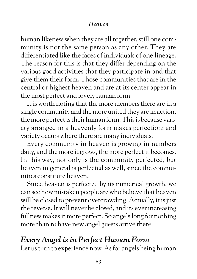human likeness when they are all together, still one community is not the same person as any other. They are differentiated like the faces of individuals of one lineage. The reason for this is that they differ depending on the various good activities that they participate in and that give them their form. Those communities that are in the central or highest heaven and are at its center appear in the most perfect and lovely human form.

It is worth noting that the more members there are in a single community and the more united they are in action, the more perfect is their human form. This is because vari ety arranged in a heavenly form makes perfection; and variety occurs where there are many individuals.

Every community in heaven is growing in numbers daily, and the more it grows, the more perfect it becomes. In this way, not only is the community perfected, but heaven in general is perfected as well, since the communities constitute heaven.

Since heaven is perfected by its numerical growth, we can see how mistaken people are who believe that heaven will be closed to prevent overcrowding. Actually, it is just the reverse. It will never be closed, and its ever increasing fullness makes it more perfect. So angels long for nothing more than to have new angel guests arrive there.

# *Every Angel is in Perfect Human Form*

Let us turn to experience now. As for angels being human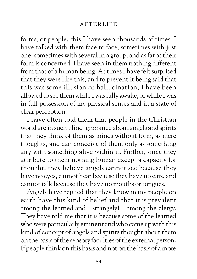forms, or people, this I have seen thousands of times. I have talked with them face to face, sometimes with just one, sometimes with several in a group, and as far as their form is concerned, I have seen in them nothing different from that of a human being. At times I have felt surprised that they were like this; and to prevent it being said that this was some illusion or hallucination, I have been allowed to see them while I was fully awake, or while I was in full possession of my physical senses and in a state of clear perception.

I have often told them that people in the Christian world are in such blind ignorance about angels and spirits that they think of them as minds without form, as mere thoughts, and can conceive of them only as something airy with something alive within it. Further, since they attribute to them nothing human except a capacity for thought, they believe angels cannot see because they have no eyes, cannot hear because they have no ears, and cannot talk because they have no mouths or tongues.

Angels have replied that they know many people on earth have this kind of belief and that it is prevalent among the learned and—strangely!—among the clergy. They have told me that it is because some of the learned who were particularly eminent and who came up with this kind of concept of angels and spirits thought about them on the basis of the sensory faculties of the external person. If people think on this basis and not on the basis of a more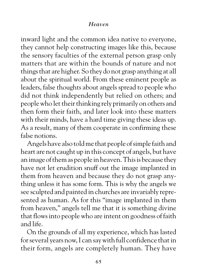inward light and the common idea native to everyone, they cannot help constructing images like this, because the sensory faculties of the external person grasp only matters that are within the bounds of nature and not things that are higher. So they do not grasp anything at all about the spiritual world. From these eminent people as leaders, false thoughts about angels spread to people who did not think independently but relied on others; and people who let their thinking rely primarily on others and then form their faith, and later look into these matters with their minds, have a hard time giving these ideas up. As a result, many of them cooperate in confirming these false notions.

Angels have also told me that people of simple faith and heart are not caught up in this concept of angels, but have an image of them as people in heaven. This is because they have not let erudition snuff out the image implanted in them from heaven and because they do not grasp anything unless it has some form. This is why the angels we see sculpted and painted in churches are invariably repre sented as human. As for this "image implanted in them from heaven," angels tell me that it is something divine that flows into people who are intent on goodness of faith and life.

On the grounds of all my experience, which has lasted for several years now, I can say with full confidence that in their form, angels are completely human. They have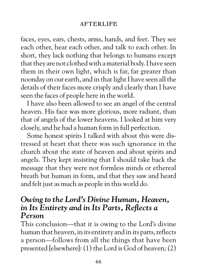faces, eyes, ears, chests, arms, hands, and feet. They see each other, hear each other, and talk to each other. In short, they lack nothing that belongs to humans except that they are not clothed with a material body. I have seen them in their own light, which is far, far greater than noonday on our earth, and in that light I have seen all the details of their faces more crisply and clearly than I have seen the faces of people here in the world.

I have also been allowed to see an angel of the central heaven. His face was more glorious, more radiant, than that of angels of the lower heavens. I looked at him very closely, and he had a human form in full perfection.

Some honest spirits I talked with about this were distressed at heart that there was such ignorance in the church about the state of heaven and about spirits and angels. They kept insisting that I should take back the message that they were not formless minds or ethereal breath but human in form, and that they saw and heard and felt just as much as people in this world do.

## *Owing to the Lord's Divine Human, Heaven, in Its Entirety and in Its Parts, Reflects a Person*

This conclusion—that it is owing to the Lord's divine human that heaven, in its entirety and in its parts, reflects a person—follows from all the things that have been presented [elsewhere]: (1) the Lord is God of heaven; (2)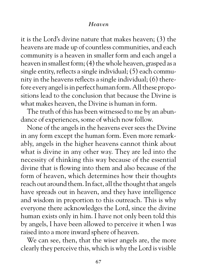it is the Lord's divine nature that makes heaven; (3) the heavens are made up of countless communities, and each community is a heaven in smaller form and each angel a heaven in smallest form; (4) the whole heaven, grasped as a single entity, reflects a single individual; (5) each community in the heavens reflects a single individual; (6) there fore every angel is in perfect human form. All these propo sitions lead to the conclusion that because the Divine is what makes heaven, the Divine is human in form.

The truth of this has been witnessed to me by an abundance of experiences, some of which now follow.

None of the angels in the heavens ever sees the Divine in any form except the human form. Even more remark ably, angels in the higher heavens cannot think about what is divine in any other way. They are led into the necessity of thinking this way because of the essential divine that is flowing into them and also because of the form of heaven, which determines how their thoughts reach out around them. In fact, all the thought that angels have spreads out in heaven, and they have intelligence and wisdom in proportion to this outreach. This is why everyone there acknowledges the Lord, since the divine human exists only in him. I have not only been told this by angels, I have been allowed to perceive it when I was raised into a more inward sphere of heaven.

We can see, then, that the wiser angels are, the more clearly they perceive this, which is why the Lord is visible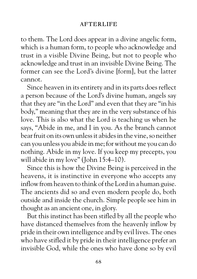to them. The Lord does appear in a divine angelic form, which is a human form, to people who acknowledge and trust in a visible Divine Being, but not to people who acknowl edge and trust in an invisible Divine Being. The former can see the Lord's divine [form], but the latter cannot.

Since heaven in its entirety and in its parts does reflect a person because of the Lord's divine human, angels say that they are "in the Lord" and even that they are "in his body," meaning that they are in the very substance of his love. This is also what the Lord is teaching us when he says, "Abide in me, and I in you. As the branch cannot bear fruit on its own unless it abides in the vine, so neither can you unless you abide in me; for without me you can do nothing. Abide in my love. If you keep my precepts, you will abide in my love" (John 15:4–10).

Since this is how the Divine Being is perceived in the heavens, it is instinctive in everyone who accepts any inflow from heaven to think of the Lord in a human guise. The ancients did so and even modern people do, both outside and inside the church. Simple people see him in thought as an ancient one, in glory.

But this instinct has been stifled by all the people who have distanced themselves from the heavenly inflow by pride in their own intelligence and by evil lives. The ones who have stifled it by pride in their intelligence prefer an invisible God, while the ones who have done so by evil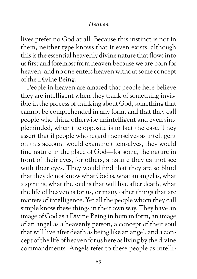lives prefer no God at all. Because this instinct is not in them, neither type knows that it even exists, although this is the essential heavenly divine nature that flows into us first and foremost from heaven because we are born for heaven; and no one enters heaven without some concept of the Divine Being.

People in heaven are amazed that people here believe they are intelligent when they think of something invisible in the process of thinking about God, something that cannot be comprehended in any form, and that they call people who think otherwise unintelligent and even simpleminded, when the opposite is in fact the case. They assert that if people who regard themselves as intelligent on this account would examine themselves, they would find nature in the place of God—for some, the nature in front of their eyes, for others, a nature they cannot see with their eyes. They would find that they are so blind that they do not know what God is, what an angel is, what a spirit is, what the soul is that will live after death, what the life of heaven is for us, or many other things that are matters of intelligence. Yet all the people whom they call simple know these things in their own way. They have an image of God as a Divine Being in human form, an image of an angel as a heavenly person, a concept of their soul that will live after death as being like an angel, and a con cept of the life of heaven for us here as living by the divine command ments. Angels refer to these people as intelli-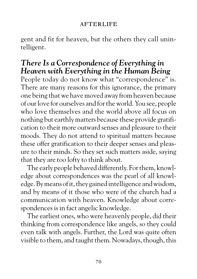gent and fit for heaven, but the others they call unin telligent.

## *There Is a Correspondence of Everything in Heaven with Everything in the Human Being*

People today do not know what "correspondence" is. There are many reasons for this ignorance, the primary one being that we have moved away from heaven because of our love for ourselves and for the world. You see, people who love themselves and the world above all focus on nothing but earthly matters because these provide gratification to their more outward senses and pleasure to their moods. They do not attend to spiritual matters because these offer gratification to their deeper senses and pleas ure to their minds. So they set such matters aside, saying that they are too lofty to think about.

The early people behaved differently. For them, knowledge about correspondences was the pearl of all knowledge. By means of it, they gained intelligence and wisdom, and by means of it those who were of the church had a communication with heaven. Knowledge about correspondences is in fact angelic knowledge.

The earliest ones, who were heavenly people, did their thinking from correspondence like angels, so they could even talk with angels. Further, the Lord was quite often visible to them, and taught them. Nowadays, though, this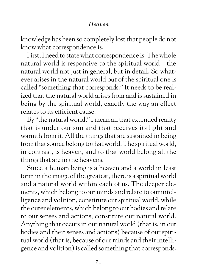knowledge has been so completely lost that people do not know what correspondence is.

First, I need to state what correspondence is. The whole natural world is responsive to the spiritual world—the natural world not just in general, but in detail. So whatever arises in the natural world out of the spiritual one is called "something that corresponds." It needs to be realized that the natural world arises from and is sustained in being by the spiritual world, exactly the way an effect relates to its efficient cause.

By "the natural world," I mean all that extended reality that is under our sun and that receives its light and warmth from it. All the things that are sustained in being from that source belong to that world. The spiritual world, in contrast, is heaven, and to that world belong all the things that are in the heavens.

Since a human being is a heaven and a world in least form in the image of the greatest, there is a spiritual world and a natural world within each of us. The deeper elements, which belong to our minds and relate to our intelligence and volition, constitute our spiritual world, while the outer elements, which belong to our bodies and relate to our senses and actions, constitute our natural world. Anything that occurs in our natural world (that is, in our bodies and their senses and actions) because of our spiritual world (that is, because of our minds and their intelli gence and volition) is called something that corresponds.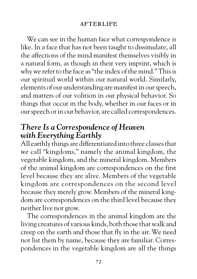We can see in the human face what correspondence is like. In a face that has not been taught to dissimulate, all the affections of the mind manifest themselves visibly in a natural form, as though in their very imprint, which is why we refer to the face as "the index of the mind." This is our spiritual world within our natural world. Similarly, elements of our understanding are manifest in our speech, and matters of our volition in our physical behavior. So things that occur in the body, whether in our faces or in our speech or in our behavior, are called correspondences.

## *There Is a Correspondence of Heaven with Everything Earthly*

All earthly things are differentiated into three classes that we call "kingdoms," namely the animal kingdom, the vegetable kingdom, and the mineral kingdom. Members of the animal kingdom are correspondences on the first level because they are alive. Members of the vegetable king dom are correspondences on the second level because they merely grow. Members of the mineral kingdom are correspondences on the third level because they neither live nor grow.

The correspondences in the animal kingdom are the liv ing creatures of various kinds, both those that walk and creep on the earth and those that fly in the air. We need not list them by name, because they are familiar. Correspon dences in the vegetable kingdom are all the things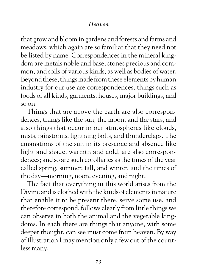that grow and bloom in gardens and forests and farms and meadows, which again are so familiar that they need not be listed by name. Correspondences in the mineral kingdom are metals noble and base, stones precious and common, and soils of various kinds, as well as bodies of water. Beyond these, things made from these elements by human industry for our use are correspondences, things such as foods of all kinds, garments, houses, major buildings, and so on.

Things that are above the earth are also correspondences, things like the sun, the moon, and the stars, and also things that occur in our atmospheres like clouds, mists, rainstorms, lightning bolts, and thunderclaps. The emanations of the sun in its presence and absence like light and shade, warmth and cold, are also correspondences; and so are such corollaries as the times of the year called spring, summer, fall, and winter, and the times of the day—morning, noon, evening, and night.

The fact that everything in this world arises from the Divine and is clothed with the kinds of elements in nature that enable it to be present there, serve some use, and therefore correspond, follows clearly from little things we can observe in both the animal and the vegetable kingdoms. In each there are things that anyone, with some deeper thought, can see must come from heaven. By way of illustration I may mention only a few out of the count less many.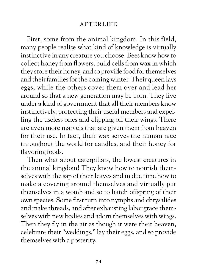First, some from the animal kingdom. In this field, many people realize what kind of knowledge is virtually instinctive in any creature you choose. Bees know how to collect honey from flowers, build cells from wax in which they store their honey, and so provide food for themselves and their families for the coming winter. Their queen lays eggs, while the others cover them over and lead her around so that a new generation may be born. They live under a kind of government that all their members know instinctively, protecting their useful members and expelling the useless ones and clipping off their wings. There are even more marvels that are given them from heaven for their use. In fact, their wax serves the human race throughout the world for candles, and their honey for flavoring foods.

Then what about caterpillars, the lowest creatures in the animal kingdom! They know how to nourish themselves with the sap of their leaves and in due time how to make a covering around themselves and virtually put them selves in a womb and so to hatch offspring of their own species. Some first turn into nymphs and chrysalides and make threads, and after exhausting labor grace them selves with new bodies and adorn themselves with wings. Then they fly in the air as though it were their heaven, celebrate their "weddings," lay their eggs, and so provide themselves with a posterity.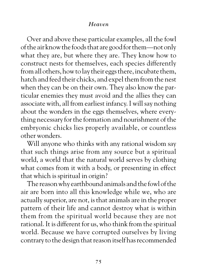Over and above these particular examples, all the fowl of the air know the foods that are good for them—not only what they are, but where they are. They know how to construct nests for themselves, each species differently from all others, how to lay their eggs there, incubate them, hatch and feed their chicks, and expel them from the nest when they can be on their own. They also know the particular enemies they must avoid and the allies they can associate with, all from earliest infancy. I will say nothing about the wonders in the eggs themselves, where everything necessary for the formation and nourishment of the embryonic chicks lies properly available, or countless other wonders.

Will anyone who thinks with any rational wisdom say that such things arise from any source but a spiritual world, a world that the natural world serves by clothing what comes from it with a body, or presenting in effect that which is spiritual in origin?

The reason why earthbound animals and the fowl of the air are born into all this knowledge while we, who are actually superior, are not, is that animals are in the proper pattern of their life and cannot destroy what is within them from the spiritual world because they are not rational. It is different for us, who think from the spiritual world. Because we have corrupted ourselves by living contrary to the design that reason itself has recommended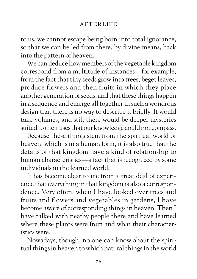to us, we cannot escape being born into total ignorance, so that we can be led from there, by divine means, back into the pattern of heaven.

We can deduce how members of the vegetable kingdom correspond from a multitude of instances—for example, from the fact that tiny seeds grow into trees, beget leaves, produce flowers and then fruits in which they place another generation of seeds, and that these things happen in a sequence and emerge all together in such a wondrous design that there is no way to describe it briefly. It would take volumes, and still there would be deeper mysteries suited to their uses that our knowledge could not compass.

Because these things stem from the spiritual world or heaven, which is in a human form, it is also true that the details of that kingdom have a kind of relationship to human characteristics—a fact that is recognized by some individuals in the learned world.

It has become clear to me from a great deal of experience that everything in that kingdom is also a correspondence. Very often, when I have looked over trees and fruits and flowers and vegetables in gardens, I have become aware of corresponding things in heaven. Then I have talked with nearby people there and have learned where these plants were from and what their characteristics were.

Nowadays, though, no one can know about the spiritual things in heaven to which natural things in the world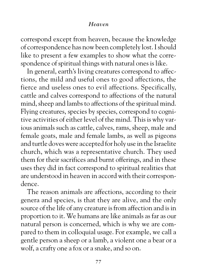correspond except from heaven, because the knowledge of correspondence has now been completely lost. I should like to present a few examples to show what the correspondence of spiritual things with natural ones is like.

In general, earth's living creatures correspond to affections, the mild and useful ones to good affections, the fierce and useless ones to evil affections. Specifically, cattle and calves correspond to affections of the natural mind, sheep and lambs to affections of the spiritual mind. Flying creatures, species by species, correspond to cognitive activities of either level of the mind. This is why various animals such as cattle, calves, rams, sheep, male and female goats, male and female lambs, as well as pigeons and turtle doves were accepted for holy use in the Israelite church, which was a representative church. They used them for their sacrifices and burnt offerings, and in these uses they did in fact correspond to spiritual realities that are understood in heaven in accord with their correspondence.

The reason animals are affections, according to their genera and species, is that they are alive, and the only source of the life of any creature is from affection and is in proportion to it. We humans are like animals as far as our natural person is concerned, which is why we are compared to them in colloquial usage. For example, we call a gen tle person a sheep or a lamb, a violent one a bear or a wolf, a crafty one a fox or a snake, and so on.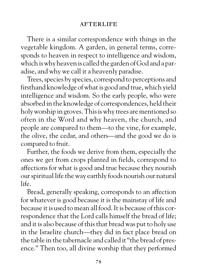There is a similar correspondence with things in the vegetable kingdom. A garden, in general terms, corresponds to heaven in respect to intelligence and wisdom, which is why heaven is called the garden of God and a paradise, and why we call it a heavenly paradise.

Trees, species by species, correspond to perceptions and firsthand knowledge of what is good and true, which yield intelligence and wisdom. So the early people, who were absorbed in the knowledge of correspondences, held their holy worship in groves. This is why trees are mentioned so often in the Word and why heaven, the church, and people are compared to them—to the vine, for example, the olive, the cedar, and others—and the good we do is compared to fruit.

Further, the foods we derive from them, especially the ones we get from crops planted in fields, correspond to affections for what is good and true because they nourish our spiritual life the way earthly foods nourish our natural life.

Bread, generally speaking, corresponds to an affection for whatever is good because it is the mainstay of life and because it is used to mean all food. It is because of this cor respondence that the Lord calls himself the bread of life; and it is also because of this that bread was put to holy use in the Israelite church—they did in fact place bread on the table in the tabernacle and called it "the bread of pres ence." Then too, all divine worship that they performed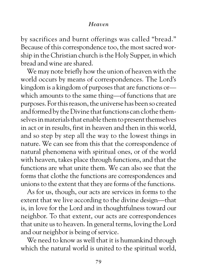by sacrifices and burnt offerings was called "bread." Because of this correspondence too, the most sacred worship in the Christian church is the Holy Supper, in which bread and wine are shared.

We may note briefly how the union of heaven with the world occurs by means of correspondences. The Lord's kingdom is a kingdom of purposes that are functions or which amounts to the same thing—of functions that are purposes. For this reason, the universe has been so created and formed by the Divine that functions can clothe them selves in materials that enable them to present themselves in act or in results, first in heaven and then in this world, and so step by step all the way to the lowest things in nature. We can see from this that the correspondence of natural phenomena with spiritual ones, or of the world with heaven, takes place through functions, and that the functions are what unite them. We can also see that the forms that clothe the functions are correspondences and unions to the extent that they are forms of the functions.

As for us, though, our acts are services in forms to the extent that we live according to the divine design—that is, in love for the Lord and in thoughtfulness toward our neighbor. To that extent, our acts are correspondences that unite us to heaven. In general terms, loving the Lord and our neighbor is being of service.

We need to know as well that it is humankind through which the natural world is united to the spiritual world,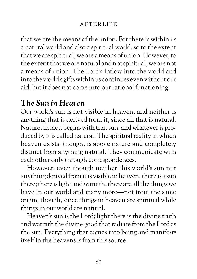that we are the means of the union. For there is within us a natural world and also a spiritual world; so to the extent that we are spiritual, we are a means of union. However, to the extent that we are natural and not spiritual, we are not a means of union. The Lord's inflow into the world and into the world's gifts within us continues even without our aid, but it does not come into our rational functioning.

## *The Sun in Heaven*

Our world's sun is not visible in heaven, and neither is any thing that is derived from it, since all that is natural. Nature, in fact, begins with that sun, and whatever is produced by it is called natural. The spiritual reality in which heaven exists, though, is above nature and completely distinct from anything natural. They communicate with each other only through correspondences.

However, even though neither this world's sun nor anything derived from it is visible in heaven, there is a sun there; there is light and warmth, there are all the things we have in our world and many more—not from the same origin, though, since things in heaven are spiritual while things in our world are natural.

Heaven's sun is the Lord; light there is the divine truth and warmth the divine good that radiate from the Lord as the sun. Everything that comes into being and manifests itself in the heavens is from this source.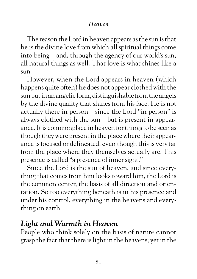The reason the Lord in heaven appears as the sun is that he is the divine love from which all spiritual things come into being—and, through the agency of our world's sun, all natural things as well. That love is what shines like a sun.

However, when the Lord appears in heaven (which happens quite often) he does not appear clothed with the sun but in an angelic form, distinguishable from the angels by the divine quality that shines from his face. He is not actually there in person—since the Lord "in person" is always clothed with the sun—but is present in appearance. It is commonplace in heaven for things to be seen as though they were present in the place where their appear ance is focused or delineated, even though this is very far from the place where they themselves actually are. This presence is called "a presence of inner sight."

Since the Lord is the sun of heaven, and since every thing that comes from him looks toward him, the Lord is the common center, the basis of all direction and orientation. So too everything beneath is in his presence and under his control, everything in the heavens and everything on earth.

## *Light and Warmth in Heaven*

People who think solely on the basis of nature cannot grasp the fact that there is light in the heavens; yet in the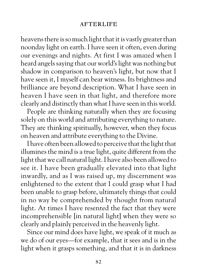heavens there is so much light that it is vastly greater than noonday light on earth. I have seen it often, even during our evenings and nights. At first I was amazed when I heard angels saying that our world's light was nothing but shadow in comparison to heaven's light, but now that I have seen it, I myself can bear witness. Its brightness and brilliance are beyond description. What I have seen in heaven I have seen in that light, and therefore more clearly and distinctly than what I have seen in this world.

People are thinking naturally when they are focusing solely on this world and attributing everything to nature. They are thinking spiritually, however, when they focus on heaven and attribute everything to the Divine.

I have often been allowed to perceive that the light that illumines the mind is a true light, quite different from the light that we call natural light. I have also been allowed to see it. I have been gradually elevated into that light inwardly, and as I was raised up, my discernment was enlightened to the extent that I could grasp what I had been unable to grasp before, ultimately things that could in no way be comprehended by thought from natural light. At times I have resented the fact that they were incomprehensible [in natural light] when they were so clearly and plainly perceived in the heavenly light.

Since our mind does have light, we speak of it much as we do of our eyes—for example, that it sees and is in the light when it grasps something, and that it is in darkness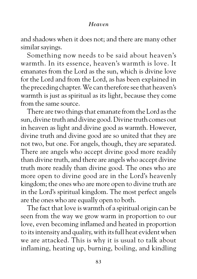and shadows when it does not; and there are many other similar sayings.

Something now needs to be said about heaven's warmth. In its essence, heaven's warmth is love. It emanates from the Lord as the sun, which is divine love for the Lord and from the Lord, as has been explained in the preceding chapter. We can therefore see that heaven's warmth is just as spiritual as its light, because they come from the same source.

There are two things that emanate from the Lord as the sun, divine truth and divine good. Divine truth comes out in heaven as light and divine good as warmth. However, divine truth and divine good are so united that they are not two, but one. For angels, though, they are separated. There are angels who accept divine good more readily than divine truth, and there are angels who accept divine truth more readily than divine good. The ones who are more open to divine good are in the Lord's heavenly kingdom; the ones who are more open to divine truth are in the Lord's spiritual kingdom. The most perfect angels are the ones who are equally open to both.

The fact that love is warmth of a spiritual origin can be seen from the way we grow warm in proportion to our love, even becoming inflamed and heated in proportion to its intensity and quality, with its full heat evident when we are attacked. This is why it is usual to talk about inflaming, heating up, burning, boiling, and kindling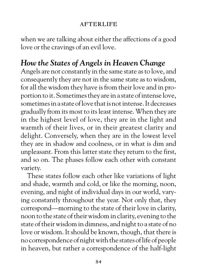when we are talking about either the affections of a good love or the cravings of an evil love.

# *How the States of Angels in Heaven Change*

Angels are not constantly in the same state as to love, and consequently they are not in the same state as to wisdom, for all the wisdom they have is from their love and in proportion to it. Sometimes they are in a state of intense love, some times in a state of love that is not intense. It decreases gradually from its most to its least intense. When they are in the highest level of love, they are in the light and warmth of their lives, or in their greatest clarity and delight. Conversely, when they are in the lowest level they are in shadow and coolness, or in what is dim and unpleasant. From this latter state they return to the first, and so on. The phases follow each other with constant variety.

These states follow each other like variations of light and shade, warmth and cold, or like the morning, noon, evening, and night of individual days in our world, varying constantly throughout the year. Not only that, they correspond—morning to the state of their love in clarity, noon to the state of their wisdom in clarity, evening to the state of their wisdom in dimness, and night to a state of no love or wisdom. It should be known, though, that there is no correspondence of night with the states of life of people in heaven, but rather a correspondence of the half-light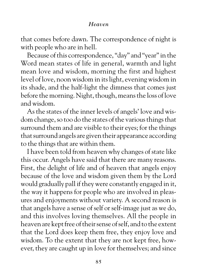that comes before dawn. The correspondence of night is with people who are in hell.

Because of this correspondence, "day" and "year" in the Word mean states of life in general, warmth and light mean love and wisdom, morning the first and highest level of love, noon wisdom in its light, evening wisdom in its shade, and the half-light the dimness that comes just before the morning. Night, though, means the loss of love and wisdom.

As the states of the inner levels of angels' love and wisdom change, so too do the states of the various things that surround them and are visible to their eyes; for the things that surround angels are given their appearance according to the things that are within them.

I have been told from heaven why changes of state like this occur. Angels have said that there are many reasons. First, the delight of life and of heaven that angels enjoy because of the love and wisdom given them by the Lord would gradually pall if they were constantly engaged in it, the way it happens for people who are involved in pleas ures and enjoyments without variety. A second reason is that angels have a sense of self or self-image just as we do, and this involves loving themselves. All the people in heaven are kept free of their sense of self, and to the extent that the Lord does keep them free, they enjoy love and wisdom. To the extent that they are not kept free, however, they are caught up in love for themselves; and since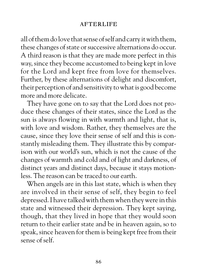all of them do love that sense of self and carry it with them, these changes of state or successive alternations do occur. A third reason is that they are made more perfect in this way, since they become accustomed to being kept in love for the Lord and kept free from love for themselves. Further, by these alternations of delight and discomfort, their perception of and sensitivity to what is good become more and more delicate.

They have gone on to say that the Lord does not produce these changes of their states, since the Lord as the sun is always flowing in with warmth and light, that is, with love and wisdom. Rather, they themselves are the cause, since they love their sense of self and this is constantly misleading them. They illustrate this by compar ison with our world's sun, which is not the cause of the changes of warmth and cold and of light and darkness, of distinct years and distinct days, because it stays motionless. The reason can be traced to our earth.

When angels are in this last state, which is when they are involved in their sense of self, they begin to feel depressed. I have talked with them when they were in this state and witnessed their depression. They kept saying, though, that they lived in hope that they would soon return to their earlier state and be in heaven again, so to speak, since heaven for them is being kept free from their sense of self.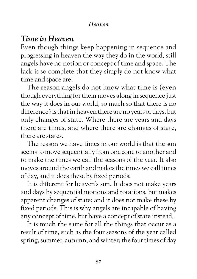## *Time in Heaven*

Even though things keep happening in sequence and progressing in heaven the way they do in the world, still angels have no notion or concept of time and space. The lack is so complete that they simply do not know what time and space are.

The reason angels do not know what time is (even though everything for them moves along in sequence just the way it does in our world, so much so that there is no difference) is that in heaven there are no years or days, but only changes of state. Where there are years and days there are times, and where there are changes of state, there are states.

The reason we have times in our world is that the sun seems to move sequentially from one zone to another and to make the times we call the seasons of the year. It also moves around the earth and makes the times we call times of day, and it does these by fixed periods.

It is different for heaven's sun. It does not make years and days by sequential motions and rotations, but makes apparent changes of state; and it does not make these by fixed periods. This is why angels are incapable of having any concept of time, but have a concept of state instead.

It is much the same for all the things that occur as a result of time, such as the four seasons of the year called spring, sum mer, autumn, and winter; the four times of day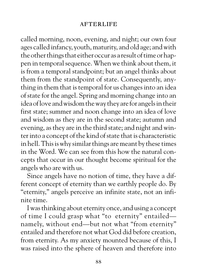called morning, noon, evening, and night; our own four ages called infancy, youth, maturity, and old age; and with the other things that either occur as a result of time or hap pen in temporal sequence. When we think about them, it is from a temporal standpoint; but an angel thinks about them from the standpoint of state. Consequently, any thing in them that is temporal for us changes into an idea of state for the angel. Spring and morning change into an idea of love and wisdom the way they are for angels in their first state; summer and noon change into an idea of love and wisdom as they are in the second state; autumn and evening, as they are in the third state; and night and winter into a concept of the kind of state that is characteristic in hell. This is why similar things are meant by these times in the Word. We can see from this how the natural concepts that occur in our thought become spiritual for the angels who are with us.

Since angels have no notion of time, they have a different concept of eternity than we earthly people do. By "eternity," angels perceive an infinite state, not an infinite time.

I was thinking about eternity once, and using a concept of time I could grasp what "to eternity" entailed namely, without end—but not what "from eternity" entailed and therefore not what God did before creation, from eternity. As my anxiety mounted because of this, I was raised into the sphere of heaven and therefore into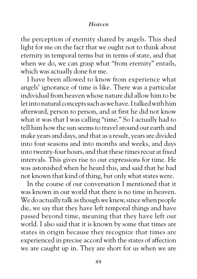the perception of eternity shared by angels. This shed light for me on the fact that we ought not to think about eternity in temporal terms but in terms of state, and that when we do, we can grasp what "from eternity" entails, which was actually done for me.

I have been allowed to know from experience what angels' ignorance of time is like. There was a particular individual from heaven whose nature did allow him to be let into natural concepts such as we have. I talked with him afterward, person to person, and at first he did not know what it was that I was calling "time." So I actually had to tell him how the sun seems to travel around our earth and make years and days, and that as a result, years are divided into four seasons and into months and weeks, and days into twenty-four hours, and that these times recur at fixed intervals. This gives rise to our expressions for time. He was astonished when he heard this, and said that he had not known that kind of thing, but only what states were.

In the course of our conversation I mentioned that it was known in our world that there is no time in heaven. We do actually talk as though we knew, since when people die, we say that they have left temporal things and have passed beyond time, meaning that they have left our world. I also said that it is known by some that times are states in origin because they recognize that times are experienced in precise accord with the states of affection we are caught up in. They are short for us when we are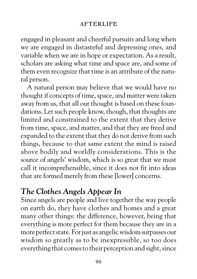engaged in pleasant and cheerful pursuits and long when we are engaged in distasteful and depressing ones, and variable when we are in hope or expectation. As a result, scholars are asking what time and space are, and some of them even recognize that time is an attribute of the natural person.

A natural person may believe that we would have no thought if concepts of time, space, and matter were taken away from us, that all our thought is based on these foundations. Let such people know, though, that thoughts are limited and constrained to the extent that they derive from time, space, and matter, and that they are freed and expanded to the extent that they do not derive from such things, because to that same extent the mind is raised above bodily and worldly considerations. This is the source of angels' wisdom, which is so great that we must call it incomprehensible, since it does not fit into ideas that are formed merely from these [lower] concerns.

# *The Clothes Angels Appear In*

Since angels are people and live together the way people on earth do, they have clothes and homes and a great many other things: the difference, however, being that everything is more perfect for them because they are in a more perfect state. For just as angelic wisdom surpasses our wisdom so greatly as to be inexpressible, so too does everything that comes to their perception and sight, since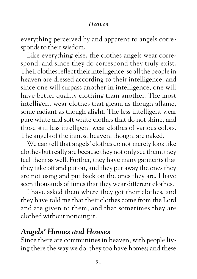everything perceived by and apparent to angels corre sponds to their wisdom.

Like everything else, the clothes angels wear correspond, and since they do correspond they truly exist. Their clothes reflect their intelligence, so all the people in heaven are dressed according to their intelligence; and since one will surpass another in intelligence, one will have better quality clothing than another. The most intelligent wear clothes that gleam as though aflame, some radiant as though alight. The less intelligent wear pure white and soft white clothes that do not shine, and those still less intelligent wear clothes of various colors. The angels of the inmost heaven, though, are naked.

We can tell that angels' clothes do not merely look like clothes but really are because they not only see them, they feel them as well. Further, they have many garments that they take off and put on, and they put away the ones they are not using and put back on the ones they are. I have seen thousands of times that they wear different clothes.

I have asked them where they got their clothes, and they have told me that their clothes come from the Lord and are given to them, and that sometimes they are clothed without noticing it.

# *Angels' Homes and Houses*

Since there are communities in heaven, with people living there the way we do, they too have homes; and these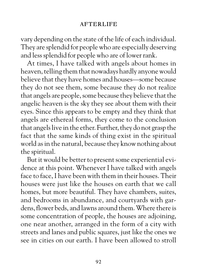vary depending on the state of the life of each individual. They are splendid for people who are especially deserving and less splendid for people who are of lower rank.

At times, I have talked with angels about homes in heaven, telling them that nowadays hardly anyone would believe that they have homes and houses—some because they do not see them, some because they do not realize that angels are people, some because they believe that the angelic heaven is the sky they see about them with their eyes. Since this appears to be empty and they think that angels are ethereal forms, they come to the conclusion that angels live in the ether. Further, they do not grasp the fact that the same kinds of thing exist in the spiritual world as in the natural, because they know nothing about the spiritual.

But it would be better to present some experiential evidence at this point. Whenever I have talked with angels face to face, I have been with them in their houses. Their houses were just like the houses on earth that we call homes, but more beautiful. They have chambers, suites, and bedrooms in abundance, and courtyards with gardens, flower beds, and lawns around them. Where there is some concentration of people, the houses are adjoining, one near another, arranged in the form of a city with streets and lanes and public squares, just like the ones we see in cities on our earth. I have been allowed to stroll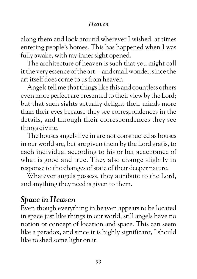along them and look around wherever I wished, at times entering people's homes. This has happened when I was fully awake, with my inner sight opened.

The architecture of heaven is such that you might call it the very essence of the art—and small wonder, since the art itself does come to us from heaven.

Angels tell me that things like this and countless others even more perfect are presented to their view by the Lord; but that such sights actually delight their minds more than their eyes because they see correspondences in the details, and through their correspondences they see things divine.

The houses angels live in are not constructed as houses in our world are, but are given them by the Lord gratis, to each individual according to his or her acceptance of what is good and true. They also change slightly in response to the changes of state of their deeper nature.

Whatever angels possess, they attribute to the Lord, and anything they need is given to them.

# *Space in Heaven*

Even though everything in heaven appears to be located in space just like things in our world, still angels have no notion or concept of location and space. This can seem like a paradox, and since it is highly significant, I should like to shed some light on it.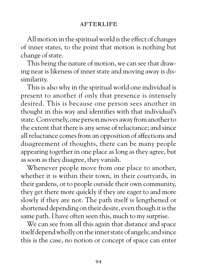All motion in the spiritual world is the effect of changes of inner states, to the point that motion is nothing but change of state.

This being the nature of motion, we can see that drawing near is likeness of inner state and moving away is dis similarity.

This is also why in the spiritual world one individual is present to another if only that presence is intensely desired. This is because one person sees another in thought in this way and identifies with that individual's state. Conversely, one person moves away from another to the extent that there is any sense of reluctance; and since all reluctance comes from an opposition of affections and dis agreement of thoughts, there can be many people appearing together in one place as long as they agree, but as soon as they disagree, they vanish.

Whenever people move from one place to another, whether it is within their town, in their courtyards, in their gardens, or to people outside their own community, they get there more quickly if they are eager to and more slowly if they are not. The path itself is lengthened or shortened depending on their desire, even though it is the same path. I have often seen this, much to my surprise.

We can see from all this again that distance and space itself depend wholly on the inner state of angels; and since this is the case, no notion or concept of space can enter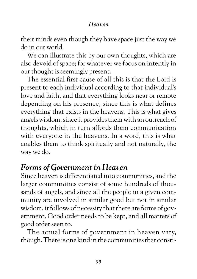their minds even though they have space just the way we do in our world.

We can illustrate this by our own thoughts, which are also devoid of space; for whatever we focus on intently in our thought is seemingly present.

The essential first cause of all this is that the Lord is present to each individual according to that individual's love and faith, and that everything looks near or remote depending on his presence, since this is what defines every thing that exists in the heavens. This is what gives angels wisdom, since it provides them with an outreach of thoughts, which in turn affords them communication with everyone in the heavens. In a word, this is what enables them to think spiritually and not naturally, the way we do.

# *Forms of Government in Heaven*

Since heaven is differentiated into communities, and the larger communities consist of some hundreds of thousands of angels, and since all the people in a given community are involved in similar good but not in similar wisdom, it follows of necessity that there are forms of govern ment. Good order needs to be kept, and all matters of good order seen to.

The actual forms of government in heaven vary, though. There is one kind in the communities that consti -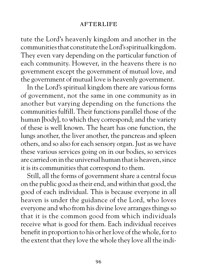tute the Lord's heavenly kingdom and another in the communities that constitute the Lord's spiritual kingdom. They even vary depending on the particular function of each community. However, in the heavens there is no government except the government of mutual love, and the government of mutual love is heavenly government.

In the Lord's spiritual kingdom there are various forms of government, not the same in one community as in another but varying depending on the functions the communities fulfill. Their functions parallel those of the human [body], to which they correspond; and the variety of these is well known. The heart has one function, the lungs another, the liver another, the pancreas and spleen others, and so also for each sensory organ. Just as we have these various services going on in our bodies, so services are carried on in the universal human that is heaven, since it is its communities that correspond to them.

Still, all the forms of government share a central focus on the public good as their end, and within that good, the good of each individual. This is because everyone in all heaven is under the guidance of the Lord, who loves every one and who from his divine love arranges things so that it is the common good from which individuals receive what is good for them. Each individual receives benefit in proportion to his or her love of the whole, for to the extent that they love the whole they love all the indi-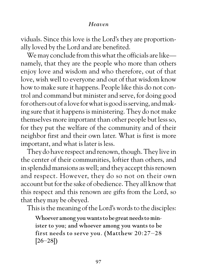viduals. Since this love is the Lord's they are proportion ally loved by the Lord and are benefited.

We may conclude from this what the officials are like namely, that they are the people who more than others enjoy love and wisdom and who therefore, out of that love, wish well to everyone and out of that wisdom know how to make sure it happens. People like this do not control and command but minister and serve, for doing good for others out of a love for what is good is serving, and mak ing sure that it happens is ministering. They do not make themselves more important than other people but less so, for they put the welfare of the community and of their neighbor first and their own later. What is first is more important, and what is later is less.

They do have respect and renown, though. They live in the center of their communities, loftier than others, and in splendid mansions as well; and they accept this renown and respect. However, they do so not on their own account but for the sake of obedience. They all know that this respect and this renown are gifts from the Lord, so that they may be obeyed.

This is the meaning of the Lord's words to the disciples:

Whoever among you wants to be great needs to minister to you; and whoever among you wants to be first needs to serve you. (Matthew 20:27–28 [26–28])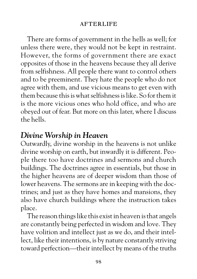There are forms of government in the hells as well; for unless there were, they would not be kept in restraint. However, the forms of government there are exact opposites of those in the heavens because they all derive from selfishness. All people there want to control others and to be preeminent. They hate the people who do not agree with them, and use vicious means to get even with them because this is what selfishness is like. So for them it is the more vicious ones who hold office, and who are obeyed out of fear. But more on this later, where I discuss the hells.

# *Divine Worship in Heaven*

Outwardly, divine worship in the heavens is not unlike divine worship on earth, but inwardly it is different. Peo ple there too have doctrines and sermons and church buildings. The doctrines agree in essentials, but those in the higher heavens are of deeper wisdom than those of lower heavens. The sermons are in keeping with the doctrines; and just as they have homes and mansions, they also have church buildings where the instruction takes place.

The reason things like this exist in heaven is that angels are constantly being perfected in wisdom and love. They have volition and intellect just as we do, and their intellect, like their intentions, is by nature constantly striving toward perfection—their intellect by means of the truths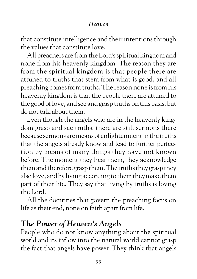that constitute intelligence and their intentions through the values that constitute love.

All preachers are from the Lord's spiritual kingdom and none from his heavenly kingdom. The reason they are from the spiritual kingdom is that people there are attuned to truths that stem from what is good, and all preaching comes from truths. The reason none is from his heavenly kingdom is that the people there are attuned to the good of love, and see and grasp truths on this basis, but do not talk about them.

Even though the angels who are in the heavenly kingdom grasp and see truths, there are still sermons there because sermons are means of enlightenment in the truths that the angels already know and lead to further perfection by means of many things they have not known before. The moment they hear them, they acknowledge them and therefore grasp them. The truths they grasp they also love, and by living according to them they make them part of their life. They say that living by truths is loving the Lord.

All the doctrines that govern the preaching focus on life as their end, none on faith apart from life.

# *The Power of Heaven's Angels*

People who do not know anything about the spiritual world and its inflow into the natural world cannot grasp the fact that angels have power. They think that angels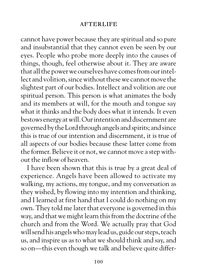can not have power because they are spiritual and so pure and insubstantial that they cannot even be seen by our eyes. People who probe more deeply into the causes of things, though, feel otherwise about it. They are aware that all the power we ourselves have comes from our intellect and volition, since without these we cannot move the slightest part of our bodies. Intellect and volition are our spiritual person. This person is what animates the body and its members at will, for the mouth and tongue say what it thinks and the body does what it intends. It even bestows energy at will. Our intention and discernment are gov erned by the Lord through angels and spirits; and since this is true of our intention and discernment, it is true of all aspects of our bodies because these latter come from the former. Believe it or not, we cannot move a step with out the inflow of heaven.

I have been shown that this is true by a great deal of experience. Angels have been allowed to activate my walking, my actions, my tongue, and my conversation as they wished, by flowing into my intention and thinking, and I learned at first hand that I could do nothing on my own. They told me later that everyone is governed in this way, and that we might learn this from the doctrine of the church and from the Word. We actually pray that God will send his angels who may lead us, guide our steps, teach us, and inspire us as to what we should think and say, and so on—this even though we talk and believe quite differ -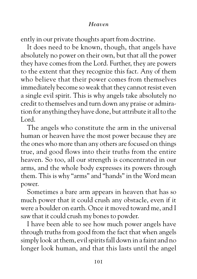ently in our private thoughts apart from doctrine.

It does need to be known, though, that angels have absolutely no power on their own, but that all the power they have comes from the Lord. Further, they are powers to the extent that they recognize this fact. Any of them who believe that their power comes from themselves immediately become so weak that they cannot resist even a single evil spirit. This is why angels take absolutely no credit to themselves and turn down any praise or admiration for anything they have done, but attribute it all to the Lord.

The angels who constitute the arm in the universal human or heaven have the most power because they are the ones who more than any others are focused on things true, and good flows into their truths from the entire heaven. So too, all our strength is concentrated in our arms, and the whole body expresses its powers through them. This is why "arms" and "hands" in the Word mean power.

Sometimes a bare arm appears in heaven that has so much power that it could crush any obstacle, even if it were a boulder on earth. Once it moved toward me, and I saw that it could crush my bones to powder.

I have been able to see how much power angels have through truths from good from the fact that when angels simply look at them, evil spirits fall down in a faint and no longer look human, and that this lasts until the angel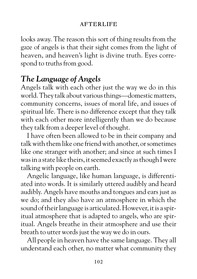looks away. The reason this sort of thing results from the gaze of angels is that their sight comes from the light of heaven, and heaven's light is divine truth. Eyes correspond to truths from good.

# *The Language of Angels*

Angels talk with each other just the way we do in this world. They talk about various things—domestic matters, community concerns, issues of moral life, and issues of spiritual life. There is no difference except that they talk with each other more intelligently than we do because they talk from a deeper level of thought.

I have often been allowed to be in their company and talk with them like one friend with another, or sometimes like one stranger with another; and since at such times I was in a state like theirs, it seemed exactly as though I were talking with people on earth.

Angelic language, like human language, is differentiated into words. It is similarly uttered audibly and heard audibly. Angels have mouths and tongues and ears just as we do; and they also have an atmosphere in which the sound of their language is articulated. However, it is a spir itual atmosphere that is adapted to angels, who are spiritual. Angels breathe in their atmosphere and use their breath to utter words just the way we do in ours.

All people in heaven have the same language. They all understand each other, no matter what community they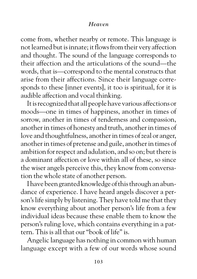come from, whether nearby or remote. This language is not learned but is innate; it flows from their very affection and thought. The sound of the language corresponds to their affection and the articulations of the sound—the words, that is—correspond to the mental constructs that arise from their affections. Since their language corre sponds to these [inner events], it too is spiritual, for it is audible affection and vocal thinking.

It is recognized that all people have various affections or moods—one in times of happiness, another in times of sorrow, another in times of tenderness and compassion, another in times of honesty and truth, another in times of love and thoughtfulness, another in times of zeal or anger, another in times of pretense and guile, another in times of ambition for respect and adulation, and so on; but there is a dominant affection or love within all of these, so since the wiser angels perceive this, they know from conversation the whole state of another person.

I have been granted knowledge of this through an abun dance of experience. I have heard angels discover a person's life simply by listening. They have told me that they know everything about another person's life from a few individual ideas because these enable them to know the person's ruling love, which contains everything in a pattern. This is all that our "book of life" is.

Angelic language has nothing in common with human language except with a few of our words whose sound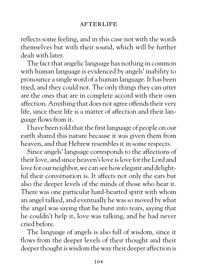reflects some feeling, and in this case not with the words them selves but with their sound, which will be further dealt with later.

The fact that angelic language has nothing in common with human language is evidenced by angels' inability to pronounce a single word of a human language. It has been tried, and they could not. The only things they can utter are the ones that are in complete accord with their own affection. Anything that does not agree offends their very life, since their life is a matter of affection and their language flows from it.

I have been told that the first language of people on our earth shared this nature because it was given them from heaven, and that Hebrew resembles it in some respects.

Since angels' language corresponds to the affections of their love, and since heaven's love is love for the Lord and love for our neighbor, we can see how elegant and delightful their conversation is. It affects not only the ears but also the deeper levels of the minds of those who hear it. There was one particular hard-hearted spirit with whom an angel talked, and eventually he was so moved by what the angel was saying that he burst into tears, saying that he couldn't help it, love was talking, and he had never cried before.

The language of angels is also full of wisdom, since it flows from the deeper levels of their thought and their deeper thought is wisdom the way their deeper affection is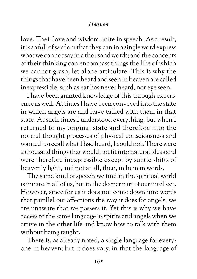love. Their love and wisdom unite in speech. As a result, it is so full of wisdom that they can in a single word express what we cannot say in a thousand words; and the concepts of their thinking can encompass things the like of which we cannot grasp, let alone articulate. This is why the things that have been heard and seen in heaven are called inexpressible, such as ear has never heard, nor eye seen.

I have been granted knowledge of this through experience as well. At times I have been conveyed into the state in which angels are and have talked with them in that state. At such times I understood everything, but when I returned to my original state and therefore into the normal thought processes of physical consciousness and wanted to recall what I had heard, I could not. There were a thousand things that would not fit into natural ideas and were therefore inexpressible except by subtle shifts of heavenly light, and not at all, then, in human words.

The same kind of speech we find in the spiritual world is innate in all of us, but in the deeper part of our intellect. However, since for us it does not come down into words that parallel our affections the way it does for angels, we are unaware that we possess it. Yet this is why we have access to the same language as spirits and angels when we arrive in the other life and know how to talk with them without being taught.

There is, as already noted, a single language for everyone in heaven; but it does vary, in that the language of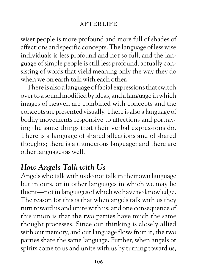wiser people is more profound and more full of shades of affections and specific concepts. The language of less wise individuals is less profound and not so full, and the language of simple people is still less profound, actually con sisting of words that yield meaning only the way they do when we on earth talk with each other.

There is also a language of facial expressions that switch over to a sound modified by ideas, and a language in which images of heaven are combined with concepts and the con cepts are presented visually. There is also a language of bodily movements responsive to affections and portraying the same things that their verbal expressions do. There is a language of shared affections and of shared thoughts; there is a thunderous language; and there are other languages as well.

# *How Angels Talk with Us*

Angels who talk with us do not talk in their own language but in ours, or in other languages in which we may be fluent—not in languages of which we have no knowledge. The reason for this is that when angels talk with us they turn toward us and unite with us; and one consequence of this union is that the two parties have much the same thought processes. Since our thinking is closely allied with our memory, and our language flows from it, the two parties share the same language. Further, when angels or spirits come to us and unite with us by turning toward us,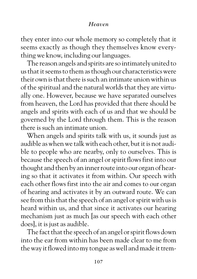they enter into our whole memory so completely that it seems exactly as though they themselves know everything we know, including our languages.

The reason angels and spirits are so intimately united to us that it seems to them as though our characteristics were their own is that there is such an intimate union within us of the spiritual and the natural worlds that they are virtually one. However, because we have separated ourselves from heaven, the Lord has provided that there should be angels and spirits with each of us and that we should be governed by the Lord through them. This is the reason there is such an intimate union.

When angels and spirits talk with us, it sounds just as audible as when we talk with each other, but it is not audible to people who are nearby, only to ourselves. This is because the speech of an angel or spirit flows first into our thought and then by an inner route into our organ of hear ing so that it activates it from within. Our speech with each other flows first into the air and comes to our organ of hearing and activates it by an outward route. We can see from this that the speech of an angel or spirit with us is heard within us, and that since it activates our hearing mechanism just as much [as our speech with each other does], it is just as audible.

The fact that the speech of an angel or spirit flows down into the ear from within has been made clear to me from the way it flowed into my tongue as well and made it trem -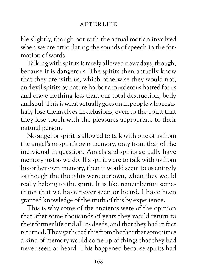ble slightly, though not with the actual motion involved when we are articulating the sounds of speech in the formation of words.

Talking with spirits is rarely allowed nowadays, though, because it is dangerous. The spirits then actually know that they are with us, which otherwise they would not; and evil spirits by nature harbor a murderous hatred for us and crave nothing less than our total destruction, body and soul. This is what actually goes on in people who regu larly lose themselves in delusions, even to the point that they lose touch with the pleasures appropriate to their natural person.

No angel or spirit is allowed to talk with one of us from the angel's or spirit's own memory, only from that of the individual in question. Angels and spirits actually have memory just as we do. If a spirit were to talk with us from his or her own memory, then it would seem to us entirely as though the thoughts were our own, when they would really belong to the spirit. It is like remembering some thing that we have never seen or heard. I have been granted knowledge of the truth of this by experience.

This is why some of the ancients were of the opinion that after some thousands of years they would return to their former life and all its deeds, and that they had in fact returned. They gathered this from the fact that sometimes a kind of memory would come up of things that they had never seen or heard. This happened because spirits had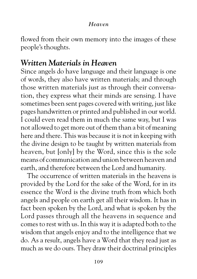flowed from their own memory into the images of these people's thoughts.

# *Written Materials in Heaven*

Since angels do have language and their language is one of words, they also have written materials; and through those written materials just as through their conversa tion, they express what their minds are sensing. I have sometimes been sent pages covered with writing, just like pages handwritten or printed and published in our world. I could even read them in much the same way, but I was not allowed to get more out of them than a bit of meaning here and there. This was because it is not in keeping with the divine design to be taught by written materials from heaven, but [only] by the Word, since this is the sole means of communication and union between heaven and earth, and therefore between the Lord and humanity.

The occurrence of written materials in the heavens is provided by the Lord for the sake of the Word, for in its essence the Word is the divine truth from which both angels and people on earth get all their wisdom. It has in fact been spoken by the Lord, and what is spoken by the Lord passes through all the heavens in sequence and comes to rest with us. In this way it is adapted both to the wisdom that angels enjoy and to the intelligence that we do. As a result, angels have a Word that they read just as much as we do ours. They draw their doctrinal principles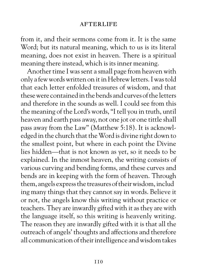from it, and their sermons come from it. It is the same Word; but its natural meaning, which to us is its literal meaning, does not exist in heaven. There is a spiritual meaning there instead, which is its inner meaning.

Another time I was sent a small page from heaven with only a few words written on it in Hebrew letters. I was told that each letter enfolded treasures of wisdom, and that these were contained in the bends and curves of the letters and therefore in the sounds as well. I could see from this the meaning of the Lord's words, "I tell you in truth, until heaven and earth pass away, not one jot or one tittle shall pass away from the Law" (Matthew 5:18). It is acknowledged in the church that the Word is divine right down to the smallest point, but where in each point the Divine lies hidden—that is not known as yet, so it needs to be explained. In the inmost heaven, the writing consists of various curving and bending forms, and these curves and bends are in keeping with the form of heaven. Through them, angels express the treasures of their wisdom, includ ing many things that they cannot say in words. Believe it or not, the angels know this writing without practice or teachers. They are inwardly gifted with it as they are with the language itself, so this writing is heavenly writing. The reason they are inwardly gifted with it is that all the outreach of angels' thoughts and affections and therefore all communication of their intelligence and wisdom takes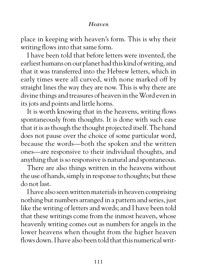place in keeping with heaven's form. This is why their writing flows into that same form.

I have been told that before letters were invented, the earliest humans on our planet had this kind of writing, and that it was transferred into the Hebrew letters, which in early times were all curved, with none marked off by straight lines the way they are now. This is why there are divine things and treasures of heaven in the Word even in its jots and points and little horns.

It is worth knowing that in the heavens, writing flows spontaneously from thoughts. It is done with such ease that it is as though the thought projected itself. The hand does not pause over the choice of some particular word, because the words—both the spoken and the written ones—are responsive to their individual thoughts, and anything that is so responsive is natural and spontaneous.

There are also things written in the heavens without the use of hands, simply in response to thoughts; but these do not last.

I have also seen written materials in heaven comprising nothing but numbers arranged in a pattern and series, just like the writing of letters and words; and I have been told that these writings come from the inmost heaven, whose heavenly writing comes out as numbers for angels in the lower heavens when thought from the higher heaven flows down. I have also been told that this numerical writ -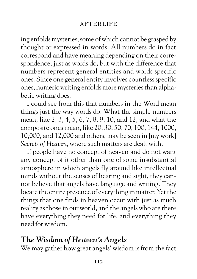ing enfolds mysteries, some of which cannot be grasped by thought or expressed in words. All numbers do in fact correspond and have meaning depending on their corre spondence, just as words do, but with the difference that numbers represent general entities and words specific ones. Since one general entity involves countless specific ones, numeric writing enfolds more mysteries than alpha betic writing does.

I could see from this that numbers in the Word mean things just the way words do. What the simple numbers mean, like 2, 3, 4, 5, 6, 7, 8, 9, 10, and 12, and what the com posite ones mean, like 20, 30, 50, 70, 100, 144, 1000, 10,000, and 12,000 and others, may be seen in [my work] *Secrets of Heaven*, where such matters are dealt with.

If people have no concept of heaven and do not want any concept of it other than one of some insubstantial atmosphere in which angels fly around like intellectual minds without the senses of hearing and sight, they cannot believe that angels have language and writing. They locate the entire presence of everything in matter. Yet the things that one finds in heaven occur with just as much reality as those in our world, and the angels who are there have everything they need for life, and everything they need for wisdom.

# *The Wisdom of Heaven's Angels*

We may gather how great angels' wisdom is from the fact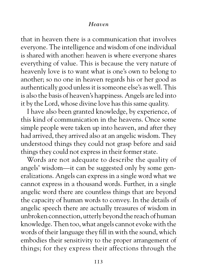that in heaven there is a communication that involves every one. The intelligence and wisdom of one individual is shared with another: heaven is where everyone shares every thing of value. This is because the very nature of heavenly love is to want what is one's own to belong to another; so no one in heaven regards his or her good as authen tically good unless it is someone else's as well. This is also the basis of heaven's happiness. Angels are led into it by the Lord, whose divine love has this same quality.

I have also been granted knowledge, by experience, of this kind of communication in the heavens. Once some simple people were taken up into heaven, and after they had arrived, they arrived also at an angelic wisdom. They understood things they could not grasp before and said things they could not express in their former state.

Words are not adequate to describe the quality of angels' wisdom—it can be suggested only by some generalizations. Angels can express in a single word what we cannot express in a thousand words. Further, in a single angelic word there are countless things that are beyond the capacity of human words to convey. In the details of angelic speech there are actually treasures of wisdom in unbroken connection, utterly beyond the reach of human knowledge. Then too, what angels cannot evoke with the words of their language they fill in with the sound, which embodies their sensitivity to the proper arrangement of things; for they express their affections through the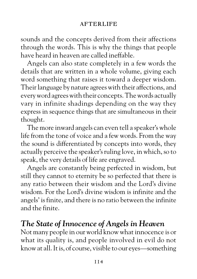sounds and the concepts derived from their affections through the words. This is why the things that people have heard in heaven are called ineffable.

Angels can also state completely in a few words the details that are written in a whole volume, giving each word something that raises it toward a deeper wisdom. Their language by nature agrees with their affections, and every word agrees with their concepts. The words actually vary in infinite shadings depending on the way they express in sequence things that are simultaneous in their thought.

The more inward angels can even tell a speaker's whole life from the tone of voice and a few words. From the way the sound is differentiated by concepts into words, they actually perceive the speaker's ruling love, in which, so to speak, the very details of life are engraved.

Angels are constantly being perfected in wisdom, but still they cannot to eternity be so perfected that there is any ratio between their wisdom and the Lord's divine wisdom. For the Lord's divine wisdom is infinite and the angels' is finite, and there is no ratio between the infinite and the finite.

# *The State of Innocence of Angels in Heaven*

Not many people in our world know what innocence is or what its quality is, and people involved in evil do not know at all. It is, of course, visible to our eyes—something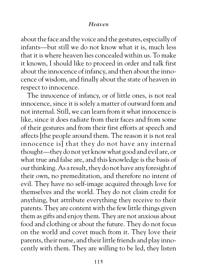about the face and the voice and the gestures, especially of infants—but still we do not know what it is, much less that it is where heaven lies concealed within us. To make it known, I should like to proceed in order and talk first about the innocence of infancy, and then about the innocence of wisdom, and finally about the state of heaven in respect to innocence.

The innocence of infancy, or of little ones, is not real innocence, since it is solely a matter of outward form and not internal. Still, we can learn from it what innocence is like, since it does radiate from their faces and from some of their gestures and from their first efforts at speech and affects [the people around them. The reason it is not real inno cence is that they do not have any internal thought—they do not yet know what good and evil are, or what true and false are, and this knowledge is the basis of our think ing. As a result, they do not have any foresight of their own, no premeditation, and therefore no intent of evil. They have no self*-*image acquired through love for them selves and the world. They do not claim credit for anything, but attribute everything they receive to their parents. They are content with the few little things given them as gifts and enjoy them. They are not anxious about food and clothing or about the future. They do not focus on the world and covet much from it. They love their parents, their nurse, and their little friends and play innocently with them. They are willing to be led, they listen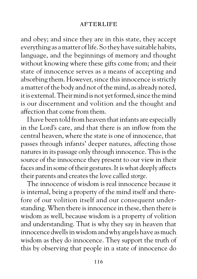and obey; and since they are in this state, they accept every thing as a matter of life. So they have suitable habits, language, and the beginnings of memory and thought without knowing where these gifts come from; and their state of innocence serves as a means of accepting and absorbing them. However, since this innocence is strictly a matter of the body and not of the mind, as already noted, it is external. Their mind is not yet formed, since the mind is our discernment and volition and the thought and affection that come from them.

I have been told from heaven that infants are especially in the Lord's care, and that there is an inflow from the central heaven, where the state is one of innocence, that passes through infants' deeper natures, affecting those natures in its passage only through innocence. This is the source of the innocence they present to our view in their faces and in some of their gestures. It is what deeply affects their parents and creates the love called *storge*.

The innocence of wisdom is real innocence because it is internal, being a property of the mind itself and therefore of our volition itself and our consequent under standing. When there is innocence in these, then there is wisdom as well, because wisdom is a property of volition and understanding. That is why they say in heaven that inno cence dwells in wisdom and why angels have as much wisdom as they do innocence. They support the truth of this by observing that people in a state of innocence do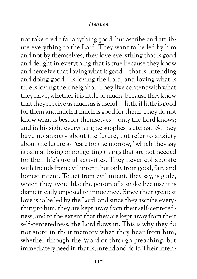not take credit for anything good, but ascribe and attribute everything to the Lord. They want to be led by him and not by themselves, they love everything that is good and delight in everything that is true because they know and perceive that loving what is good—that is, intending and doing good—is loving the Lord, and loving what is true is loving their neighbor. They live content with what they have, whether it is little or much, because they know that they receive as much as is useful—little if little is good for them and much if much is good for them. They do not know what is best for themselves—only the Lord knows; and in his sight everything he supplies is eternal. So they have no anxiety about the future, but refer to anxiety about the future as "care for the morrow," which they say is pain at losing or not getting things that are not needed for their life's useful activities. They never collaborate with friends from evil intent, but only from good, fair, and honest intent. To act from evil intent, they say, is guile, which they avoid like the poison of a snake because it is diametrically opposed to innocence. Since their greatest love is to be led by the Lord, and since they ascribe every thing to him, they are kept away from their self-centered ness, and to the extent that they are kept away from their self-centeredness, the Lord flows in. This is why they do not store in their memory what they hear from him, whether through the Word or through preaching, but immediately heed it, that is, intend and do it. Their inten -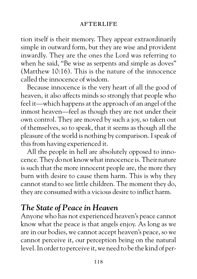tion itself is their memory. They appear extraordinarily simple in outward form, but they are wise and provident inwardly. They are the ones the Lord was referring to when he said, "Be wise as serpents and simple as doves" (Matthew 10:16). This is the nature of the innocence called the innocence of wisdom.

Because innocence is the very heart of all the good of heaven, it also affects minds so strongly that people who feel it—which happens at the approach of an angel of the inmost heaven—feel as though they are not under their own control. They are moved by such a joy, so taken out of themselves, so to speak, that it seems as though all the pleasure of the world is nothing by comparison. I speak of this from having experienced it.

All the people in hell are absolutely opposed to innocence. They do not know what innocence is. Their nature is such that the more innocent people are, the more they burn with desire to cause them harm. This is why they cannot stand to see little children. The moment they do, they are consumed with a vicious desire to inflict harm.

# *The State of Peace in Heaven*

Anyone who has not experienced heaven's peace cannot know what the peace is that angels enjoy. As long as we are in our bodies, we cannot accept heaven's peace, so we can not perceive it, our perception being on the natural level. In order to perceive it, we need to be the kind of per -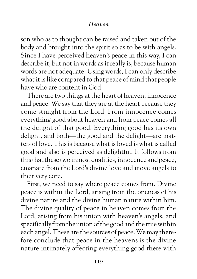son who as to thought can be raised and taken out of the body and brought into the spirit so as to be with angels. Since I have perceived heaven's peace in this way, I can describe it, but not in words as it really is, because human words are not adequate. Using words, I can only describe what it is like compared to that peace of mind that people have who are content in God.

There are two things at the heart of heaven, innocence and peace. We say that they are at the heart because they come straight from the Lord. From innocence comes every thing good about heaven and from peace comes all the delight of that good. Everything good has its own delight, and both—the good and the delight—are matters of love. This is because what is loved is what is called good and also is perceived as delightful. It follows from this that these two inmost qualities, innocence and peace, emanate from the Lord's divine love and move angels to their very core.

First, we need to say where peace comes from. Divine peace is within the Lord, arising from the oneness of his divine nature and the divine human nature within him. The divine quality of peace in heaven comes from the Lord, arising from his union with heaven's angels, and specifically from the union of the good and the true within each angel. These are the sources of peace. We may there fore conclude that peace in the heavens is the divine nature intimately affecting everything good there with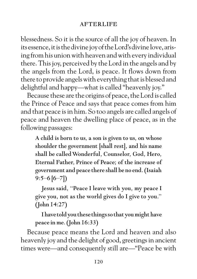blessedness. So it is the source of all the joy of heaven. In its essence, it is the divine joy of the Lord's divine love, aris ing from his union with heaven and with every individual there. This joy, perceived by the Lord in the angels and by the angels from the Lord, is peace. It flows down from there to provide angels with everything that is blessed and delightful and happy—what is called "heavenly joy."

Because these are the origins of peace, the Lord is called the Prince of Peace and says that peace comes from him and that peace is in him. So too angels are called angels of peace and heaven the dwelling place of peace, as in the following passages:

A child is born to us, a son is given to us, on whose shoulder the government [shall rest], and his name shall be called Wonderful, Counselor, God, Hero, Eternal Father, Prince of Peace; of the increase of government and peace there shall be no end. (Isaiah 9:5–6 [6–7])

Jesus said, "Peace I leave with you, my peace I give you, not as the world gives do I give to you." (John 14:27)

I have told you these things so that you might have peace in me. (John 16:33)

Because peace means the Lord and heaven and also heavenly joy and the delight of good, greetings in ancient times were—and consequently still are—"Peace be with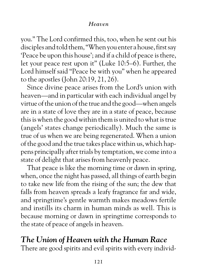you." The Lord confirmed this, too, when he sent out his disciples and told them, "When you enter a house, first say 'Peace be upon this house'; and if a child of peace is there, let your peace rest upon it" (Luke 10:5–6). Further, the Lord himself said "Peace be with you" when he appeared to the apostles (John 20:19, 21, 26).

Since divine peace arises from the Lord's union with heaven—and in particular with each individual angel by virtue of the union of the true and the good—when angels are in a state of love they are in a state of peace, because this is when the good within them is united to what is true (angels' states change periodically). Much the same is true of us when we are being regenerated. When a union of the good and the true takes place within us, which hap pens principally after trials by temptation, we come into a state of delight that arises from heavenly peace.

That peace is like the morning time or dawn in spring, when, once the night has passed, all things of earth begin to take new life from the rising of the sun; the dew that falls from heaven spreads a leafy fragrance far and wide, and springtime's gentle warmth makes meadows fertile and instills its charm in human minds as well. This is because morning or dawn in springtime corresponds to the state of peace of angels in heaven.

# *The Union of Heaven with the Human Race*

There are good spirits and evil spirits with every individ-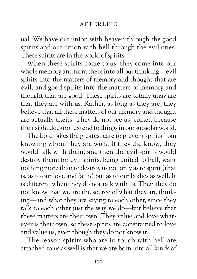ual. We have our union with heaven through the good spirits and our union with hell through the evil ones. These spirits are in the world of spirits.

When these spirits come to us, they come into our whole memory and from there into all our thinking—evil spirits into the matters of memory and thought that are evil, and good spirits into the matters of memory and thought that are good. These spirits are totally unaware that they are with us. Rather, as long as they are, they believe that all these matters of our memory and thought are actually theirs. They do not see us, either, because their sight does not extend to things in our subsolar world.

The Lord takes the greatest care to prevent spirits from knowing whom they are with. If they did know, they would talk with them, and then the evil spirits would destroy them; for evil spirits, being united to hell, want nothing more than to destroy us not only as to spirit (that is, as to our love and faith) but as to our bodies as well. It is different when they do not talk with us. Then they do not know that we are the source of what they are thinking—and what they are saying to each other, since they talk to each other just the way we do—but believe that these matters are their own. They value and love whatever is their own, so these spirits are constrained to love and value us, even though they do not know it.

The reason spirits who are in touch with hell are attached to us as well is that we are born into all kinds of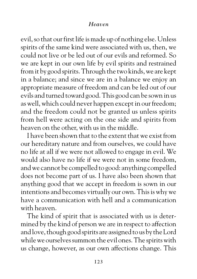evil, so that our first life is made up of nothing else. Unless spirits of the same kind were associated with us, then, we could not live or be led out of our evils and reformed. So we are kept in our own life by evil spirits and restrained from it by good spirits. Through the two kinds, we are kept in a balance; and since we are in a balance we enjoy an appropriate measure of freedom and can be led out of our evils and turned toward good. This good can be sown in us as well, which could never happen except in our freedom; and the freedom could not be granted us unless spirits from hell were acting on the one side and spirits from heaven on the other, with us in the middle.

I have been shown that to the extent that we exist from our hereditary nature and from ourselves, we could have no life at all if we were not allowed to engage in evil. We would also have no life if we were not in some freedom, and we cannot be compelled to good: anything compelled does not become part of us. I have also been shown that any thing good that we accept in freedom is sown in our intentions and becomes virtually our own. This is why we have a communication with hell and a communication with heaven.

The kind of spirit that is associated with us is determined by the kind of person we are in respect to affection and love, though good spirits are assigned to us by the Lord while we ourselves summon the evil ones. The spirits with us change, however, as our own affections change. This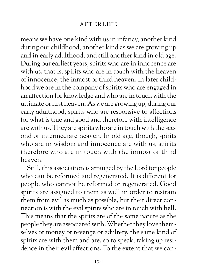means we have one kind with us in infancy, another kind during our childhood, another kind as we are growing up and in early adulthood, and still another kind in old age. During our earliest years, spirits who are in innocence are with us, that is, spirits who are in touch with the heaven of innocence, the inmost or third heaven. In later child hood we are in the company of spirits who are engaged in an affection for knowledge and who are in touch with the ultimate or first heaven. As we are growing up, during our early adulthood, spirits who are responsive to affections for what is true and good and therefore with intelligence are with us. They are spirits who are in touch with the sec ond or intermediate heaven. In old age, though, spirits who are in wisdom and innocence are with us, spirits therefore who are in touch with the inmost or third heaven.

Still, this association is arranged by the Lord for people who can be reformed and regenerated. It is different for people who cannot be reformed or regenerated. Good spirits are assigned to them as well in order to restrain them from evil as much as possible, but their direct con nection is with the evil spirits who are in touch with hell. This means that the spirits are of the same nature as the people they are associated with. Whether they love them selves or money or revenge or adultery, the same kind of spirits are with them and are, so to speak, taking up residence in their evil affections. To the extent that we can-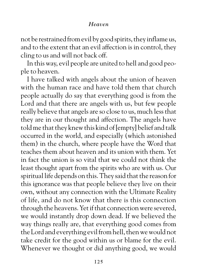not be restrained from evil by good spirits, they inflame us, and to the extent that an evil affection is in control, they cling to us and will not back off.

In this way, evil people are united to hell and good people to heaven.

I have talked with angels about the union of heaven with the human race and have told them that church people actually do say that everything good is from the Lord and that there are angels with us, but few people really believe that angels are so close to us, much less that they are in our thought and affection. The angels have told me that they knew this kind of [empty] belief and talk occurred in the world, and especially (which astonished them) in the church, where people have the Word that teaches them about heaven and its union with them. Yet in fact the union is so vital that we could not think the least thought apart from the spirits who are with us. Our spiritual life depends on this. They said that the reason for this ignorance was that people believe they live on their own, without any connection with the Ultimate Reality of life, and do not know that there is this connection through the heavens. Yet if that connection were severed, we would instantly drop down dead. If we believed the way things really are, that everything good comes from the Lord and everything evil from hell, then we would not take credit for the good within us or blame for the evil. Whenever we thought or did anything good, we would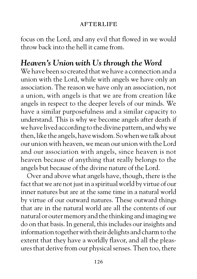focus on the Lord, and any evil that flowed in we would throw back into the hell it came from.

# *Heaven's Union with Us through the Word*

We have been so created that we have a connection and a union with the Lord, while with angels we have only an association. The reason we have only an association, not a union, with angels is that we are from creation like angels in respect to the deeper levels of our minds. We have a similar purposefulness and a similar capacity to under stand. This is why we become angels after death if we have lived according to the divine pattern, and why we then, like the angels, have wisdom. So when we talk about our union with heaven, we mean our union with the Lord and our association with angels, since heaven is not heaven because of anything that really belongs to the angels but because of the divine nature of the Lord.

Over and above what angels have, though, there is the fact that we are not just in a spiritual world by virtue of our inner natures but are at the same time in a natural world by virtue of our outward natures. These outward things that are in the natural world are all the contents of our natural or outer memory and the thinking and imaging we do on that basis. In general, this includes our insights and information together with their delights and charm to the extent that they have a worldly flavor, and all the pleasures that derive from our physical senses. Then too, there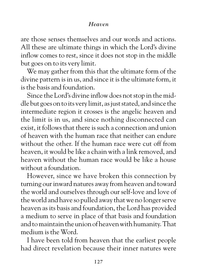are those senses themselves and our words and actions. All these are ultimate things in which the Lord's divine inflow comes to rest, since it does not stop in the middle but goes on to its very limit.

We may gather from this that the ultimate form of the divine pattern is in us, and since it is the ultimate form, it is the basis and foundation.

Since the Lord's divine inflow does not stop in the middle but goes on to its very limit, as just stated, and since the intermediate region it crosses is the angelic heaven and the limit is in us, and since nothing disconnected can exist, it follows that there is such a connection and union of heaven with the human race that neither can endure without the other. If the human race were cut off from heaven, it would be like a chain with a link removed, and heaven without the human race would be like a house without a foundation.

However, since we have broken this connection by turning our inward natures away from heaven and toward the world and ourselves through our self-love and love of the world and have so pulled away that we no longer serve heaven as its basis and foundation, the Lord has provided a medium to serve in place of that basis and foundation and to maintain the union of heaven with humanity. That medium is the Word.

I have been told from heaven that the earliest people had direct revelation because their inner natures were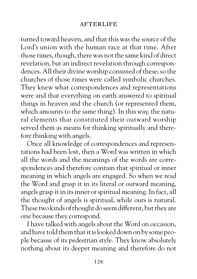turned toward heaven, and that this was the source of the Lord's union with the human race at that time. After those times, though, there was not the same kind of direct revelation, but an indirect revelation through correspondences. All their divine worship consisted of these; so the churches of those times were called symbolic churches. They knew what correspondences and representations were and that everything on earth answered to spiritual things in heaven and the church (or represented them, which amounts to the same thing). In this way, the natural elements that constituted their outward worship served them as means for thinking spiritually and therefore thinking with angels.

Once all knowledge of correspondences and represen tations had been lost, then a Word was written in which all the words and the meanings of the words are correspondences and therefore contain that spiritual or inner meaning in which angels are engaged. So when we read the Word and grasp it in its literal or outward meaning, angels grasp it in its inner or spiritual meaning. In fact, all the thought of angels is spiritual, while ours is natural. These two kinds of thought do seem different, but they are one because they correspond.

I have talked with angels about the Word on occasion, and have told them that it is looked down on by some peo ple because of its pedestrian style. They know absolutely nothing about its deeper meaning and therefore do not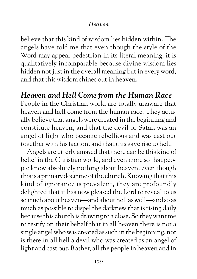believe that this kind of wisdom lies hidden within. The angels have told me that even though the style of the Word may appear pedestrian in its literal meaning, it is qualitatively incomparable because divine wisdom lies hidden not just in the overall meaning but in every word, and that this wisdom shines out in heaven.

*Heaven and Hell Come from the Human Race* People in the Christian world are totally unaware that heaven and hell come from the human race. They actually believe that angels were created in the beginning and constitute heaven, and that the devil or Satan was an angel of light who became rebellious and was cast out together with his faction, and that this gave rise to hell.

Angels are utterly amazed that there can be this kind of belief in the Christian world, and even more so that people know absolutely nothing about heaven, even though this is a primary doctrine of the church. Knowing that this kind of ignorance is prevalent, they are profoundly delighted that it has now pleased the Lord to reveal to us so much about heaven—and about hell as well—and so as much as possible to dispel the darkness that is rising daily because this church is drawing to a close. So they want me to testify on their behalf that in all heaven there is not a single angel who was created as such in the beginning, nor is there in all hell a devil who was created as an angel of light and cast out. Rather, all the people in heaven and in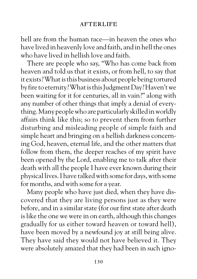hell are from the human race—in heaven the ones who have lived in heavenly love and faith, and in hell the ones who have lived in hellish love and faith.

There are people who say, "Who has come back from heaven and told us that it exists, or from hell, to say that it exists? What is this business about people being tortured by fire to eternity? What is this Judgment Day? Haven't we been waiting for it for centuries, all in vain?" along with any number of other things that imply a denial of everything. Many people who are particularly skilled in worldly affairs think like this; so to prevent them from further disturbing and misleading people of simple faith and simple heart and bringing on a hellish darkness concern ing God, heaven, eternal life, and the other matters that follow from them, the deeper reaches of my spirit have been opened by the Lord, enabling me to talk after their death with all the people I have ever known during their physical lives. I have talked with some for days, with some for months, and with some for a year.

Many people who have just died, when they have discovered that they are living persons just as they were before, and in a similar state (for our first state after death is like the one we were in on earth, although this changes gradually for us either toward heaven or toward hell), have been moved by a newfound joy at still being alive. They have said they would not have believed it. They were absolutely amazed that they had been in such igno-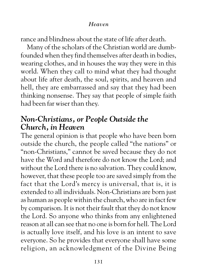rance and blindness about the state of life after death.

Many of the scholars of the Christian world are dumbfounded when they find themselves after death in bodies, wearing clothes, and in houses the way they were in this world. When they call to mind what they had thought about life after death, the soul, spirits, and heaven and hell, they are embarrassed and say that they had been thinking nonsense. They say that people of simple faith had been far wiser than they.

# *Non-Christians, or People Outside the Church, in Heaven*

The general opinion is that people who have been born out side the church, the people called "the nations" or "non-Christians," cannot be saved because they do not have the Word and therefore do not know the Lord; and without the Lord there is no salvation. They could know, however, that these people too are saved simply from the fact that the Lord's mercy is universal, that is, it is extended to all individuals. Non-Christians are born just as human as people within the church, who are in fact few by comparison. It is not their fault that they do not know the Lord. So anyone who thinks from any enlightened reason at all can see that no one is born for hell. The Lord is actually love itself, and his love is an intent to save every one. So he provides that every one shall have some religion, an acknowledgment of the Divine Being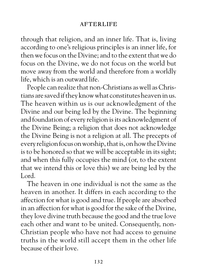through that religion, and an inner life. That is, living according to one's religious principles is an inner life, for then we focus on the Divine; and to the extent that we do focus on the Divine, we do not focus on the world but move away from the world and therefore from a worldly life, which is an outward life.

People can realize that non-Christians as well as Christians are saved if they know what constitutes heaven in us. The heaven within us is our acknowledgment of the Divine and our being led by the Divine. The beginning and foundation of every religion is its acknowledgment of the Divine Being; a religion that does not acknowledge the Divine Being is not a religion at all. The precepts of every religion focus on worship, that is, on how the Divine is to be honored so that we will be acceptable in its sight; and when this fully occupies the mind (or, to the extent that we intend this or love this) we are being led by the Lord.

The heaven in one individual is not the same as the heaven in another. It differs in each according to the affection for what is good and true. If people are absorbed in an affection for what is good for the sake of the Divine, they love divine truth because the good and the true love each other and want to be united. Consequently, non-Christian people who have not had access to genuine truths in the world still accept them in the other life because of their love.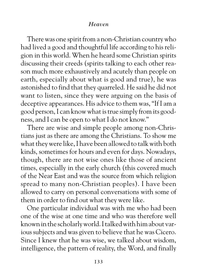There was one spirit from a non-Christian country who had lived a good and thoughtful life according to his religion in this world. When he heard some Christian spirits discussing their creeds (spirits talking to each other reason much more exhaustively and acutely than people on earth, especially about what is good and true), he was astonished to find that they quarreled. He said he did not want to listen, since they were arguing on the basis of deceptive appearances. His advice to them was, "If I am a good person, I can know what is true simply from its good ness, and I can be open to what I do not know."

There are wise and simple people among non-Christians just as there are among the Christians. To show me what they were like, I have been allowed to talk with both kinds, sometimes for hours and even for days. Nowadays, though, there are not wise ones like those of ancient times, especially in the early church (this covered much of the Near East and was the source from which religion spread to many non-Christian peoples). I have been allowed to carry on personal conversations with some of them in order to find out what they were like.

One particular individual was with me who had been one of the wise at one time and who was therefore well known in the scholarly world. I talked with him about var ious subjects and was given to believe that he was Cicero. Since I knew that he was wise, we talked about wisdom, intelligence, the pattern of reality, the Word, and finally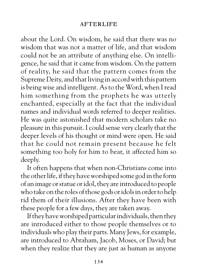about the Lord. On wisdom, he said that there was no wisdom that was not a matter of life, and that wisdom could not be an attribute of anything else. On intelligence, he said that it came from wisdom. On the pattern of reality, he said that the pattern comes from the Supreme Deity, and that living in accord with this pattern is being wise and intelligent. As to the Word, when I read him something from the prophets he was utterly enchanted, especially at the fact that the individual names and individual words referred to deeper realities. He was quite astonished that modern scholars take no pleasure in this pursuit. I could sense very clearly that the deeper levels of his thought or mind were open. He said that he could not remain present because he felt something too holy for him to bear, it affected him so deeply.

It often happens that when non-Christians come into the other life, if they have worshiped some god in the form of an image or statue or idol, they are introduced to people who take on the roles of those gods or idols in order to help rid them of their illusions. After they have been with these people for a few days, they are taken away.

If they have worshiped particular individuals, then they are introduced either to those people themselves or to individuals who play their parts. Many Jews, for example, are introduced to Abraham, Jacob, Moses, or David; but when they realize that they are just as human as anyone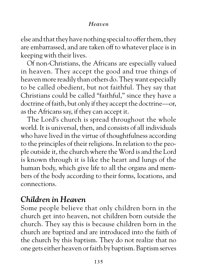else and that they have nothing special to offer them, they are embarrassed, and are taken off to whatever place is in keeping with their lives.

Of non-Christians, the Africans are especially valued in heaven. They accept the good and true things of heaven more readily than others do. They want especially to be called obedient, but not faithful. They say that Christians could be called "faithful," since they have a doctrine of faith, but only if they accept the doctrine—or, as the Africans say, if they can accept it.

The Lord's church is spread throughout the whole world. It is universal, then, and consists of all individuals who have lived in the virtue of thoughtfulness according to the principles of their religions. In relation to the people outside it, the church where the Word is and the Lord is known through it is like the heart and lungs of the human body, which give life to all the organs and members of the body according to their forms, locations, and connections.

# *Children in Heaven*

Some people believe that only children born in the church get into heaven, not children born outside the church. They say this is because children born in the church are baptized and are introduced into the faith of the church by this baptism. They do not realize that no one gets either heaven or faith by baptism. Baptism serves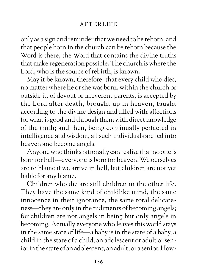only as a sign and reminder that we need to be reborn, and that people born in the church can be reborn because the Word is there, the Word that contains the divine truths that make regeneration possible. The church is where the Lord, who is the source of rebirth, is known.

May it be known, therefore, that every child who dies, no matter where he or she was born, within the church or outside it, of devout or irreverent parents, is accepted by the Lord after death, brought up in heaven, taught according to the divine design and filled with affections for what is good and through them with direct knowledge of the truth; and then, being continually perfected in intelligence and wisdom, all such individuals are led into heaven and become angels.

Anyone who thinks rationally can realize that no one is born for hell—everyone is born for heaven. We ourselves are to blame if we arrive in hell, but children are not yet liable for any blame.

Children who die are still children in the other life. They have the same kind of childlike mind, the same inno cence in their ignorance, the same total delicateness—they are only in the rudiments of becoming angels; for children are not angels in being but only angels in becoming. Actually everyone who leaves this world stays in the same state of life—a baby is in the state of a baby, a child in the state of a child, an adolescent or adult or sen ior in the state of an adolescent, an adult, or a senior. How -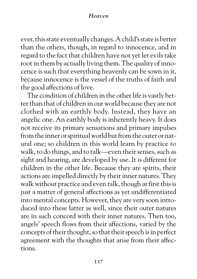ever, this state eventually changes. A child's state is better than the others, though, in regard to innocence, and in regard to the fact that children have not yet let evils take root in them by actually living them. The quality of innocence is such that everything heavenly can be sown in it, because innocence is the vessel of the truths of faith and the good affections of love.

The condition of children in the other life is vastly better than that of children in our world because they are not clothed with an earthly body. Instead, they have an angelic one. An earthly body is inherently heavy. It does not receive its primary sensations and primary impulses from the inner or spiritual world but from the outer or natural one; so children in this world learn by practice to walk, to do things, and to talk—even their senses, such as sight and hearing, are developed by use. It is different for children in the other life. Because they are spirits, their actions are impelled directly by their inner natures. They walk without practice and even talk, though at first this is just a matter of general affections as yet undifferentiated into mental concepts. However, they are very soon introduced into these latter as well, since their outer natures are in such concord with their inner natures. Then too, angels' speech flows from their affections, varied by the concepts of their thought, so that their speech is in perfect agreement with the thoughts that arise from their affections.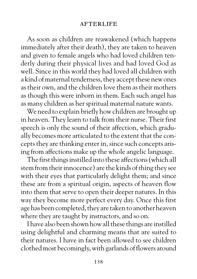As soon as children are reawakened (which happens immediately after their death), they are taken to heaven and given to female angels who had loved children tenderly during their physical lives and had loved God as well. Since in this world they had loved all children with a kind of maternal tenderness, they accept these new ones as their own, and the children love them as their mothers as though this were inborn in them. Each such angel has as many children as her spiritual maternal nature wants.

We need to explain briefly how children are brought up in heaven. They learn to talk from their nurse. Their first speech is only the sound of their affection, which gradually becomes more articulated to the extent that the con cepts they are thinking enter in, since such concepts aris ing from affections make up the whole angelic language.

The first things instilled into these affections (which all stem from their innocence) are the kinds of thing they see with their eyes that particularly delight them; and since these are from a spiritual origin, aspects of heaven flow into them that serve to open their deeper natures. In this way they become more perfect every day. Once this first age has been completed, they are taken to another heaven where they are taught by instructors, and so on.

I have also been shown how all these things are instilled using delightful and charming means that are suited to their natures. I have in fact been allowed to see children clothed most becomingly, with garlands of flowers around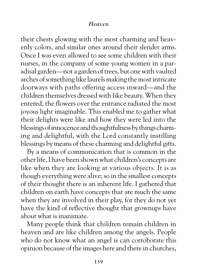their chests glowing with the most charming and heav enly colors, and similar ones around their slender arms. Once I was even allowed to see some children with their nurses, in the company of some young women in a paradisal garden—not a garden of trees, but one with vaulted arches of something like laurels making the most intricate doorways with paths offering access inward—and the children themselves dressed with like beauty. When they entered, the flowers over the entrance radiated the most joyous light imaginable. This enabled me to gather what their delights were like and how they were led into the blessings of innocence and thoughtfulness by things charming and delightful, with the Lord constantly instilling blessings by means of these charming and delightful gifts.

By a means of communication that is common in the other life, I have been shown what children's concepts are like when they are looking at various objects. It is as though everything were alive; so in the smallest concepts of their thought there is an inherent life. I gathered that children on earth have concepts that are much the same when they are involved in their play, for they do not yet have the kind of reflective thought that grownups have about what is inanimate.

Many people think that children remain children in heaven and are like children among the angels. People who do not know what an angel is can corroborate this opinion because of the images here and there in churches,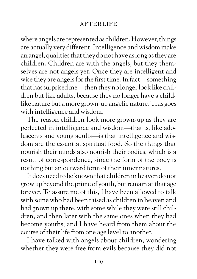where angels are represented as children. However, things are actually very different. Intelligence and wisdom make an angel, qualities that they do not have as long as they are children. Children are with the angels, but they themselves are not angels yet. Once they are intelligent and wise they are angels for the first time. In fact—something that has surprised me—then they no longer look like chil dren but like adults, because they no longer have a childlike nature but a more grown-up angelic nature. This goes with intelligence and wisdom.

The reason children look more grown-up as they are perfected in intelligence and wisdom—that is, like adolescents and young adults—is that intelligence and wisdom are the essential spiritual food. So the things that nourish their minds also nourish their bodies, which is a result of correspondence, since the form of the body is nothing but an outward form of their inner natures.

It does need to be known that children in heaven do not grow up beyond the prime of youth, but remain at that age forever. To assure me of this, I have been allowed to talk with some who had been raised as children in heaven and had grown up there, with some while they were still children, and then later with the same ones when they had become youths; and I have heard from them about the course of their life from one age level to another.

I have talked with angels about children, wondering whether they were free from evils because they did not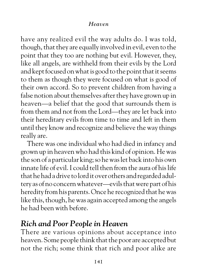have any realized evil the way adults do. I was told, though, that they are equally involved in evil, even to the point that they too are nothing but evil. However, they, like all angels, are withheld from their evils by the Lord and kept focused on what is good to the point that it seems to them as though they were focused on what is good of their own accord. So to prevent children from having a false notion about themselves after they have grown up in heaven—a belief that the good that surrounds them is from them and not from the Lord—they are let back into their hereditary evils from time to time and left in them until they know and recognize and believe the way things really are.

There was one individual who had died in infancy and grown up in heaven who had this kind of opinion. He was the son of a particular king; so he was let back into his own innate life of evil. I could tell then from the aura of his life that he had a drive to lord it over others and regarded adul tery as of no concern whatever—evils that were part of his heredity from his parents. Once he recognized that he was like this, though, he was again accepted among the angels he had been with before.

# *Rich and Poor People in Heaven*

There are various opinions about acceptance into heaven. Some people think that the poor are accepted but not the rich; some think that rich and poor alike are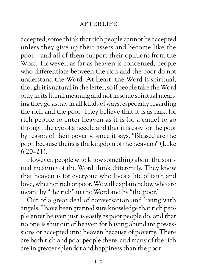accepted; some think that rich people cannot be accepted unless they give up their assets and become like the poor—and all of them support their opinions from the Word. However, as far as heaven is concerned, people who differentiate between the rich and the poor do not understand the Word. At heart, the Word is spiritual, though it is natural in the letter; so if people take the Word only in its literal meaning and not in some spiritual mean ing they go astray in all kinds of ways, especially regarding the rich and the poor. They believe that it is as hard for rich people to enter heaven as it is for a camel to go through the eye of a needle and that it is easy for the poor by reason of their poverty, since it says, "Blessed are the poor, because theirs is the kingdom of the heavens" (Luke 6:20–21).

However, people who know something about the spiritual meaning of the Word think differently. They know that heaven is for everyone who lives a life of faith and love, whether rich or poor. We will explain below who are meant by "the rich" in the Word and by "the poor."

Out of a great deal of conversation and living with angels, I have been granted sure knowledge that rich people enter heaven just as easily as poor people do, and that no one is shut out of heaven for having abundant posses sions or accepted into heaven because of poverty. There are both rich and poor people there, and many of the rich are in greater splendor and happiness than the poor.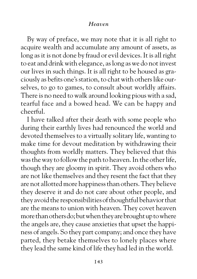By way of preface, we may note that it is all right to acquire wealth and accumulate any amount of assets, as long as it is not done by fraud or evil devices. It is all right to eat and drink with elegance, as long as we do not invest our lives in such things. It is all right to be housed as graciously as befits one's station, to chat with others like our selves, to go to games, to consult about worldly affairs. There is no need to walk around looking pious with a sad, tearful face and a bowed head. We can be happy and cheerful.

I have talked after their death with some people who during their earthly lives had renounced the world and devoted themselves to a virtually solitary life, wanting to make time for devout meditation by withdrawing their thoughts from worldly matters. They believed that this was the way to follow the path to heaven. In the other life, though they are gloomy in spirit. They avoid others who are not like themselves and they resent the fact that they are not allotted more happiness than others. They believe they deserve it and do not care about other people, and they avoid the responsibilities of thoughtful behavior that are the means to union with heaven. They covet heaven more than others do; but when they are brought up to where the angels are, they cause anxieties that upset the happiness of angels. So they part company; and once they have parted, they betake themselves to lonely places where they lead the same kind of life they had led in the world.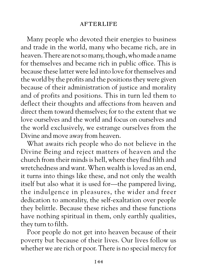Many people who devoted their energies to business and trade in the world, many who became rich, are in heaven. There are not so many, though, who made a name for them selves and became rich in public office. This is because these latter were led into love for themselves and the world by the profits and the positions they were given because of their administration of justice and morality and of profits and positions. This in turn led them to deflect their thoughts and affections from heaven and direct them toward themselves; for to the extent that we love ourselves and the world and focus on ourselves and the world exclusively, we estrange ourselves from the Divine and move away from heaven.

What awaits rich people who do not believe in the Divine Being and reject matters of heaven and the church from their minds is hell, where they find filth and wretchedness and want. When wealth is loved as an end, it turns into things like these, and not only the wealth itself but also what it is used for—the pampered living, the indulgence in pleasures, the wider and freer dedication to amorality, the self-exaltation over people they belittle. Because these riches and these functions have nothing spiritual in them, only earthly qualities, they turn to filth.

Poor people do not get into heaven because of their poverty but because of their lives. Our lives follow us whether we are rich or poor. There is no special mercy for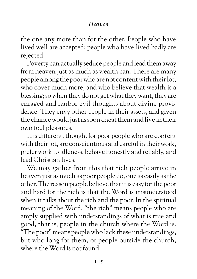the one any more than for the other. People who have lived well are accepted; people who have lived badly are rejected.

Poverty can actually seduce people and lead them away from heaven just as much as wealth can. There are many people among the poor who are not content with their lot, who covet much more, and who believe that wealth is a blessing; so when they do not get what they want, they are enraged and harbor evil thoughts about divine providence. They envy other people in their assets, and given the chance would just as soon cheat them and live in their own foul pleasures.

It is different, though, for poor people who are content with their lot, are conscientious and careful in their work, prefer work to idleness, behave honestly and reliably, and lead Christian lives.

We may gather from this that rich people arrive in heaven just as much as poor people do, one as easily as the other. The reason people believe that it is easy for the poor and hard for the rich is that the Word is misunderstood when it talks about the rich and the poor. In the spiritual meaning of the Word, "the rich" means people who are amply supplied with understandings of what is true and good, that is, people in the church where the Word is. "The poor" means people who lack these understandings, but who long for them, or people outside the church, where the Word is not found.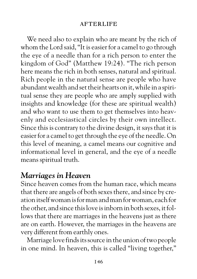We need also to explain who are meant by the rich of whom the Lord said, "It is easier for a camel to go through the eye of a needle than for a rich person to enter the kingdom of God" (Matthew 19:24). "The rich person here means the rich in both senses, natural and spiritual. Rich people in the natural sense are people who have abundant wealth and set their hearts on it, while in a spiritual sense they are people who are amply supplied with insights and knowledge (for these are spiritual wealth) and who want to use them to get themselves into heavenly and ecclesiastical circles by their own intellect. Since this is contrary to the divine design, it says that it is easier for a camel to get through the eye of the needle. On this level of meaning, a camel means our cognitive and informational level in general, and the eye of a needle means spiritual truth.

# *Marriages in Heaven*

Since heaven comes from the human race, which means that there are angels of both sexes there, and since by creation itself woman is for man and man for woman, each for the other, and since this love is inborn in both sexes, it fol lows that there are marriages in the heavens just as there are on earth. However, the marriages in the heavens are very different from earthly ones.

Marriage love finds its source in the union of two people in one mind. In heaven, this is called "living together,"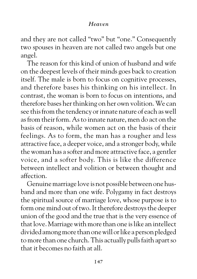and they are not called "two" but "one." Consequently two spouses in heaven are not called two angels but one angel.

The reason for this kind of union of husband and wife on the deepest levels of their minds goes back to creation itself. The male is born to focus on cognitive processes, and therefore bases his thinking on his intellect. In contrast, the woman is born to focus on intentions, and therefore bases her thinking on her own volition. We can see this from the tendency or innate nature of each as well as from their form. As to innate nature, men do act on the basis of reason, while women act on the basis of their feelings. As to form, the man has a rougher and less attractive face, a deeper voice, and a stronger body, while the woman has a softer and more attractive face, a gentler voice, and a softer body. This is like the difference between intellect and volition or between thought and affection.

Genuine marriage love is not possible between one husband and more than one wife. Polygamy in fact destroys the spiritual source of marriage love, whose purpose is to form one mind out of two. It therefore destroys the deeper union of the good and the true that is the very essence of that love. Marriage with more than one is like an intellect divided among more than one will or like a person pledged to more than one church. This actually pulls faith apart so that it becomes no faith at all.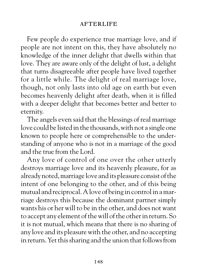Few people do experience true marriage love, and if people are not intent on this, they have absolutely no knowledge of the inner delight that dwells within that love. They are aware only of the delight of lust, a delight that turns disagreeable after people have lived together for a little while. The delight of real marriage love, though, not only lasts into old age on earth but even becomes heavenly delight after death, when it is filled with a deeper delight that becomes better and better to eternity.

The angels even said that the blessings of real marriage love could be listed in the thousands, with not a single one known to people here or comprehensible to the under standing of anyone who is not in a marriage of the good and the true from the Lord.

Any love of control of one over the other utterly destroys marriage love and its heavenly pleasure, for as already noted, marriage love and its pleasure consist of the intent of one belonging to the other, and of this being mutual and reciprocal. A love of being in control in a mar riage destroys this because the dominant partner simply wants his or her will to be in the other, and does not want to accept any element of the will of the other in return. So it is not mutual, which means that there is no sharing of any love and its pleasure with the other, and no accepting in return. Yet this sharing and the union that follows from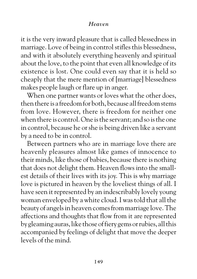it is the very inward pleasure that is called blessedness in marriage. Love of being in control stifles this blessedness, and with it absolutely everything heavenly and spiritual about the love, to the point that even all knowledge of its existence is lost. One could even say that it is held so cheaply that the mere mention of [marriage] blessedness makes people laugh or flare up in anger.

When one partner wants or loves what the other does, then there is a freedom for both, because all freedom stems from love. However, there is freedom for neither one when there is control. One is the servant; and so is the one in control, because he or she is being driven like a servant by a need to be in control.

Between partners who are in marriage love there are heavenly pleasures almost like games of innocence to their minds, like those of babies, because there is nothing that does not delight them. Heaven flows into the smallest details of their lives with its joy. This is why marriage love is pictured in heaven by the loveliest things of all. I have seen it represented by an indescribably lovely young woman enveloped by a white cloud. I was told that all the beauty of angels in heaven comes from marriage love. The affections and thoughts that flow from it are represented by gleaming auras, like those of fiery gems or rubies, all this accompanied by feelings of delight that move the deeper levels of the mind.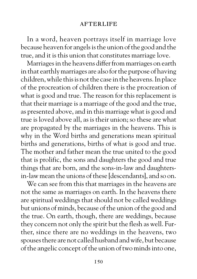In a word, heaven portrays itself in marriage love because heaven for angels is the union of the good and the true, and it is this union that constitutes marriage love.

Marriages in the heavens differ from marriages on earth in that earthly marriages are also for the purpose of having children, while this is not the case in the heavens. In place of the procreation of children there is the procreation of what is good and true. The reason for this replacement is that their marriage is a marriage of the good and the true, as presented above, and in this marriage what is good and true is loved above all, as is their union; so these are what are propagated by the marriages in the heavens. This is why in the Word births and generations mean spiritual births and generations, births of what is good and true. The mother and father mean the true united to the good that is prolific, the sons and daughters the good and true things that are born, and the sons-in-law and daughtersin-law mean the unions of these [descendants], and so on.

We can see from this that marriages in the heavens are not the same as marriages on earth. In the heavens there are spiritual weddings that should not be called weddings but unions of minds, because of the union of the good and the true. On earth, though, there are weddings, because they concern not only the spirit but the flesh as well. Further, since there are no weddings in the heavens, two spouses there are not called husband and wife, but because of the angelic concept of the union of two minds into one,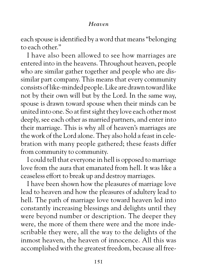each spouse is identified by a word that means "belonging to each other."

I have also been allowed to see how marriages are entered into in the heavens. Throughout heaven, people who are similar gather together and people who are dissimilar part company. This means that every community consists of like-minded people. Like are drawn toward like not by their own will but by the Lord. In the same way, spouse is drawn toward spouse when their minds can be united into one. So at first sight they love each other most deeply, see each other as married partners, and enter into their marriage. This is why all of heaven's marriages are the work of the Lord alone. They also hold a feast in celebra tion with many people gathered; these feasts differ from community to community.

I could tell that everyone in hell is opposed to marriage love from the aura that emanated from hell. It was like a ceaseless effort to break up and destroy marriages.

I have been shown how the pleasures of marriage love lead to heaven and how the pleasures of adultery lead to hell. The path of marriage love toward heaven led into constantly increasing blessings and delights until they were beyond number or description. The deeper they were, the more of them there were and the more indescribable they were, all the way to the delights of the inmost heaven, the heaven of innocence. All this was accomplished with the greatest freedom, because all free -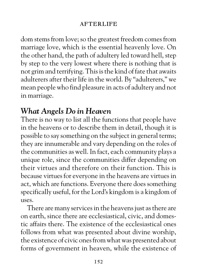dom stems from love; so the greatest freedom comes from marriage love, which is the essential heavenly love. On the other hand, the path of adultery led toward hell, step by step to the very lowest where there is nothing that is not grim and terrifying. This is the kind of fate that awaits adulterers after their life in the world. By "adulterers," we mean people who find pleasure in acts of adultery and not in marriage.

# *What Angels Do in Heaven*

There is no way to list all the functions that people have in the heavens or to describe them in detail, though it is possible to say something on the subject in general terms; they are innumerable and vary depending on the roles of the communities as well. In fact, each community plays a unique role, since the communities differ depending on their virtues and therefore on their function. This is because virtues for everyone in the heavens are virtues in act, which are functions. Everyone there does something specifically useful, for the Lord's kingdom is a kingdom of uses.

There are many services in the heavens just as there are on earth, since there are ecclesiastical, civic, and domestic affairs there. The existence of the ecclesiastical ones follows from what was presented about divine worship, the existence of civic ones from what was presented about forms of government in heaven, while the existence of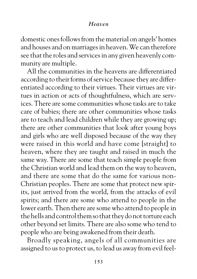domestic ones follows from the material on angels' homes and houses and on marriages in heaven. We can therefore see that the roles and services in any given heavenly com munity are multiple.

All the communities in the heavens are differentiated according to their forms of service because they are differentiated according to their virtues. Their virtues are vir tues in action or acts of thoughtfulness, which are services. There are some communities whose tasks are to take care of babies; there are other communities whose tasks are to teach and lead children while they are growing up; there are other communities that look after young boys and girls who are well disposed because of the way they were raised in this world and have come [straight] to heaven, where they are taught and raised in much the same way. There are some that teach simple people from the Christian world and lead them on the way to heaven, and there are some that do the same for various non-Christian peoples. There are some that protect new spirits, just arrived from the world, from the attacks of evil spirits; and there are some who attend to people in the lower earth. Then there are some who attend to people in the hells and control them so that they do not torture each other beyond set limits. There are also some who tend to people who are being awakened from their death.

Broadly speaking, angels of all communities are assigned to us to protect us, to lead us away from evil feel -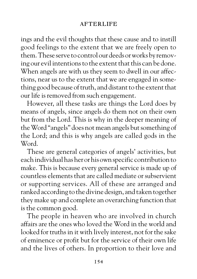ings and the evil thoughts that these cause and to instill good feelings to the extent that we are freely open to them. These serve to control our deeds or works by remov ing our evil intentions to the extent that this can be done. When angels are with us they seem to dwell in our affections, near us to the extent that we are engaged in some thing good because of truth, and distant to the extent that our life is removed from such engagement.

However, all these tasks are things the Lord does by means of angels, since angels do them not on their own but from the Lord. This is why in the deeper meaning of the Word "angels" does not mean angels but something of the Lord; and this is why angels are called gods in the Word.

These are general categories of angels' activities, but each individual has her or his own specific contribution to make. This is because every general service is made up of countless elements that are called mediate or subservient or supporting services. All of these are arranged and ranked according to the divine design, and taken together they make up and complete an overarching function that is the common good.

The people in heaven who are involved in church affairs are the ones who loved the Word in the world and looked for truths in it with lively interest, not for the sake of eminence or profit but for the service of their own life and the lives of others. In proportion to their love and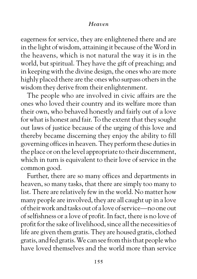eagerness for service, they are enlightened there and are in the light of wisdom, attaining it because of the Word in the heavens, which is not natural the way it is in the world, but spiritual. They have the gift of preaching; and in keeping with the divine design, the ones who are more highly placed there are the ones who surpass others in the wisdom they derive from their enlightenment.

The people who are involved in civic affairs are the ones who loved their country and its welfare more than their own, who behaved honestly and fairly out of a love for what is honest and fair. To the extent that they sought out laws of justice because of the urging of this love and thereby became discerning they enjoy the ability to fill gov erning offices in heaven. They perform these duties in the place or on the level appropriate to their discernment, which in turn is equivalent to their love of service in the common good.

Further, there are so many offices and departments in heaven, so many tasks, that there are simply too many to list. There are relatively few in the world. No matter how many people are involved, they are all caught up in a love of their work and tasks out of a love of service—no one out of selfishness or a love of profit. In fact, there is no love of profit for the sake of livelihood, since all the necessities of life are given them gratis. They are housed gratis, clothed gratis, and fed gratis. We can see from this that people who have loved themselves and the world more than service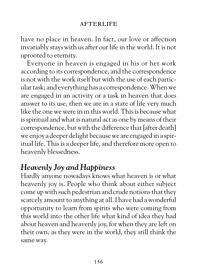have no place in heaven. In fact, our love or affection invariably stays with us after our life in the world. It is not uprooted to eternity.

Everyone in heaven is engaged in his or her work according to its correspondence, and the correspondence is not with the work itself but with the use of each particular task; and everything has a correspondence. When we are engaged in an activity or a task in heaven that does answer to its use, then we are in a state of life very much like the one we were in in this world. This is because what is spiritual and what is natural act as one by means of their correspondence, but with the difference that [after death] we enjoy a deeper delight because we are engaged in a spir itual life. This is a deeper life, and therefore more open to heavenly blessedness.

# *Heavenly Joy and Happiness*

Hardly anyone nowadays knows what heaven is or what heavenly joy is. People who think about either subject come up with such pedestrian and crude notions that they scarcely amount to anything at all. I have had a wonderful opportunity to learn from spirits who were coming from this world into the other life what kind of idea they had about heaven and heavenly joy, for when they are left on their own, as they were in the world, they still think the same way.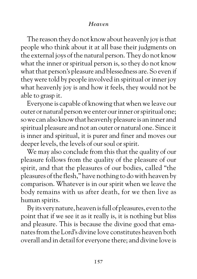The reason they do not know about heavenly joy is that people who think about it at all base their judgments on the external joys of the natural person. They do not know what the inner or spiritual person is, so they do not know what that person's pleasure and blessedness are. So even if they were told by people involved in spiritual or inner joy what heavenly joy is and how it feels, they would not be able to grasp it.

Everyone is capable of knowing that when we leave our outer or natural person we enter our inner or spiritual one; so we can also know that heavenly pleasure is an inner and spiritual pleasure and not an outer or natural one. Since it is inner and spiritual, it is purer and finer and moves our deeper levels, the levels of our soul or spirit.

We may also conclude from this that the quality of our pleasure follows from the quality of the pleasure of our spirit, and that the pleasures of our bodies, called "the pleasures of the flesh," have nothing to do with heaven by comparison. Whatever is in our spirit when we leave the body remains with us after death, for we then live as human spirits.

By its very nature, heaven is full of pleasures, even to the point that if we see it as it really is, it is nothing but bliss and pleasure. This is because the divine good that emanates from the Lord's divine love constitutes heaven both overall and in detail for everyone there; and divine love is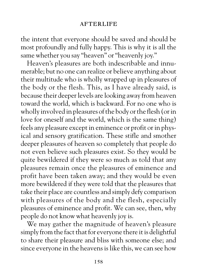the intent that everyone should be saved and should be most profoundly and fully happy. This is why it is all the same whether you say "heaven" or "heavenly joy."

Heaven's pleasures are both indescribable and innumerable; but no one can realize or believe anything about their multitude who is wholly wrapped up in pleasures of the body or the flesh. This, as I have already said, is because their deeper levels are looking away from heaven toward the world, which is backward. For no one who is wholly involved in pleasures of the body or the flesh (or in love for oneself and the world, which is the same thing) feels any pleasure except in eminence or profit or in physical and sensory gratification. These stifle and smother deeper pleasures of heaven so completely that people do not even believe such pleasures exist. So they would be quite bewildered if they were so much as told that any pleasures remain once the pleasures of eminence and profit have been taken away; and they would be even more bewildered if they were told that the pleasures that take their place are countless and simply defy comparison with pleasures of the body and the flesh, especially pleasures of eminence and profit. We can see, then, why people do not know what heavenly joy is.

We may gather the magnitude of heaven's pleasure simply from the fact that for everyone there it is delightful to share their pleasure and bliss with someone else; and since everyone in the heavens is like this, we can see how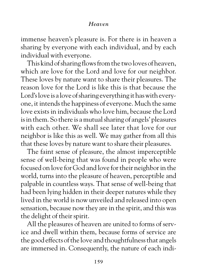immense heaven's pleasure is. For there is in heaven a sharing by everyone with each individual, and by each individual with everyone.

This kind of sharing flows from the two loves of heaven, which are love for the Lord and love for our neighbor. These loves by nature want to share their pleasures. The reason love for the Lord is like this is that because the Lord's love is a love of sharing everything it has with every one, it intends the happiness of everyone. Much the same love exists in individuals who love him, because the Lord is in them. So there is a mutual sharing of angels' pleasures with each other. We shall see later that love for our neighbor is like this as well. We may gather from all this that these loves by nature want to share their pleasures.

The faint sense of pleasure, the almost imperceptible sense of well-being that was found in people who were focused on love for God and love for their neighbor in the world, turns into the pleasure of heaven, perceptible and palpable in countless ways. That sense of well-being that had been lying hidden in their deeper natures while they lived in the world is now unveiled and released into open sensation, because now they are in the spirit, and this was the delight of their spirit.

All the pleasures of heaven are united to forms of service and dwell within them, because forms of service are the good effects of the love and thoughtfulness that angels are immersed in. Consequently, the nature of each indi-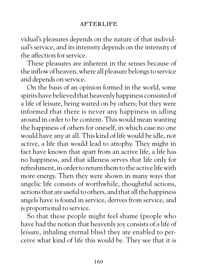vidual's pleasures depends on the nature of that individual's service, and its intensity depends on the intensity of the affection for service.

These pleasures are inherent in the senses because of the inflow of heaven, where all pleasure belongs to service and depends on service.

On the basis of an opinion formed in the world, some spirits have believed that heavenly happiness consisted of a life of leisure, being waited on by others; but they were informed that there is never any happiness in idling around in order to be content. This would mean wanting the happiness of others for oneself, in which case no one would have any at all. This kind of life would be idle, not active, a life that would lead to atrophy. They might in fact have known that apart from an active life, a life has no happiness, and that idleness serves that life only for refreshment, in order to return them to the active life with more energy. Then they were shown in many ways that angelic life consists of worthwhile, thoughtful actions, actions that are useful to others, and that all the happiness angels have is found in service, derives from service, and is proportional to service.

So that these people might feel shame (people who have had the notion that heavenly joy consists of a life of leisure, inhaling eternal bliss) they are enabled to perceive what kind of life this would be. They see that it is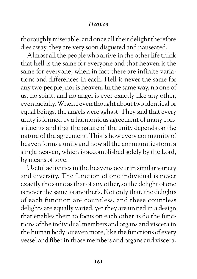thoroughly miserable; and once all their delight therefore dies away, they are very soon disgusted and nauseated.

Almost all the people who arrive in the other life think that hell is the same for everyone and that heaven is the same for everyone, when in fact there are infinite variations and differences in each. Hell is never the same for any two people, nor is heaven. In the same way, no one of us, no spirit, and no angel is ever exactly like any other, even facially. When I even thought about two identical or equal beings, the angels were aghast. They said that every unity is formed by a harmonious agreement of many constituents and that the nature of the unity depends on the nature of the agreement. This is how every community of heaven forms a unity and how all the communities form a single heaven, which is accomplished solely by the Lord, by means of love.

Useful activities in the heavens occur in similar variety and diversity. The function of one individual is never exactly the same as that of any other, so the delight of one is never the same as another's. Not only that, the delights of each function are countless, and these countless delights are equally varied, yet they are united in a design that enables them to focus on each other as do the functions of the individual members and organs and viscera in the human body; or even more, like the functions of every vessel and fiber in those members and organs and viscera.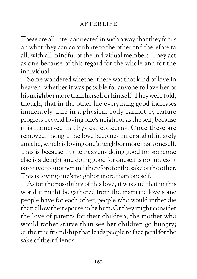These are all interconnected in such a way that they focus on what they can contribute to the other and therefore to all, with all mindful of the individual members. They act as one because of this regard for the whole and for the individual.

Some wondered whether there was that kind of love in heaven, whether it was possible for anyone to love her or his neighbor more than herself or himself. They were told, though, that in the other life everything good increases immensely. Life in a physical body cannot by nature progress beyond loving one's neighbor as the self, because it is immersed in physical concerns. Once these are removed, though, the love becomes purer and ultimately angelic, which is loving one's neighbor more than oneself. This is because in the heavens doing good for someone else is a delight and doing good for oneself is not unless it is to give to another and therefore for the sake of the other. This is loving one's neighbor more than oneself.

As for the possibility of this love, it was said that in this world it might be gathered from the marriage love some people have for each other, people who would rather die than allow their spouse to be hurt. Or they might consider the love of parents for their children, the mother who would rather starve than see her children go hungry; or the true friendship that leads people to face peril for the sake of their friends.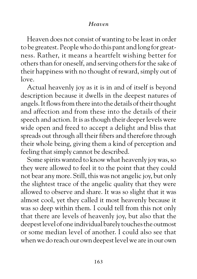### *Heaven*

Heaven does not consist of wanting to be least in order to be greatest. People who do this pant and long for great ness. Rather, it means a heartfelt wishing better for others than for oneself, and serving others for the sake of their happiness with no thought of reward, simply out of love.

Actual heavenly joy as it is in and of itself is beyond description because it dwells in the deepest natures of angels. It flows from there into the details of their thought and affection and from these into the details of their speech and action. It is as though their deeper levels were wide open and freed to accept a delight and bliss that spreads out through all their fibers and therefore through their whole being, giving them a kind of perception and feeling that simply cannot be described.

Some spirits wanted to know what heavenly joy was, so they were allowed to feel it to the point that they could not bear any more. Still, this was not angelic joy, but only the slightest trace of the angelic quality that they were allowed to observe and share. It was so slight that it was almost cool, yet they called it most heavenly because it was so deep within them. I could tell from this not only that there are levels of heavenly joy, but also that the deepest level of one individual barely touches the outmost or some median level of another. I could also see that when we do reach our own deepest level we are in our own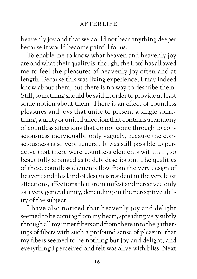heavenly joy and that we could not bear anything deeper because it would become painful for us.

To enable me to know what heaven and heavenly joy are and what their quality is, though, the Lord has allowed me to feel the pleasures of heavenly joy often and at length. Because this was living experience, I may indeed know about them, but there is no way to describe them. Still, something should be said in order to provide at least some notion about them. There is an effect of countless pleasures and joys that unite to present a single something, a unity or united affection that contains a harmony of countless affections that do not come through to con sciousness individually, only vaguely, because the consciousness is so very general. It was still possible to perceive that there were countless elements within it, so beautifully arranged as to defy description. The qualities of those countless elements flow from the very design of heaven; and this kind of design is resident in the very least affections, affections that are manifest and perceived only as a very general unity, depending on the perceptive ability of the subject.

I have also noticed that heavenly joy and delight seemed to be coming from my heart, spreading very subtly through all my inner fibers and from there into the gather ings of fibers with such a profound sense of pleasure that my fibers seemed to be nothing but joy and delight, and every thing I perceived and felt was alive with bliss. Next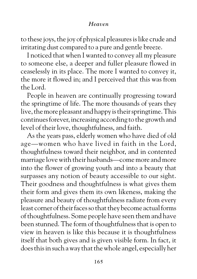### *Heaven*

to these joys, the joy of physical pleasures is like crude and irritating dust compared to a pure and gentle breeze.

I noticed that when I wanted to convey all my pleasure to someone else, a deeper and fuller pleasure flowed in cease lessly in its place. The more I wanted to convey it, the more it flowed in; and I perceived that this was from the Lord.

People in heaven are continually progressing toward the springtime of life. The more thousands of years they live, the more pleasant and happy is their springtime. This continues forever, increasing according to the growth and level of their love, thoughtfulness, and faith.

As the years pass, elderly women who have died of old age—women who have lived in faith in the Lord, thoughtfulness toward their neighbor, and in contented marriage love with their husbands—come more and more into the flower of growing youth and into a beauty that surpasses any notion of beauty accessible to our sight. Their goodness and thoughtfulness is what gives them their form and gives them its own likeness, making the pleasure and beauty of thoughtfulness radiate from every least corner of their faces so that they become actual forms of thoughtfulness. Some people have seen them and have been stunned. The form of thoughtfulness that is open to view in heaven is like this because it is thoughtfulness itself that both gives and is given visible form. In fact, it does this in such a way that the whole angel, especially her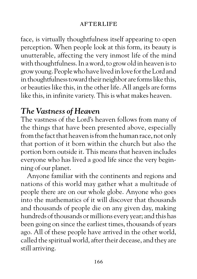face, is virtually thoughtfulness itself appearing to open perception. When people look at this form, its beauty is unutterable, affecting the very inmost life of the mind with thoughtfulness. In a word, to grow old in heaven is to grow young. People who have lived in love for the Lord and in thoughtfulness toward their neighbor are forms like this, or beauties like this, in the other life. All angels are forms like this, in infinite variety. This is what makes heaven.

# *The Vastness of Heaven*

The vastness of the Lord's heaven follows from many of the things that have been presented above, especially from the fact that heaven is from the human race, not only that portion of it born within the church but also the portion born outside it. This means that heaven includes everyone who has lived a good life since the very beginning of our planet.

Anyone familiar with the continents and regions and nations of this world may gather what a multitude of people there are on our whole globe. Anyone who goes into the mathematics of it will discover that thousands and thousands of people die on any given day, making hun dreds of thousands or millions every year; and this has been going on since the earliest times, thousands of years ago. All of these people have arrived in the other world, called the spiritual world, after their decease, and they are still arriving.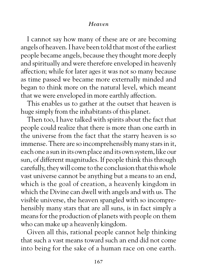#### *Heaven*

I cannot say how many of these are or are becoming angels of heaven. I have been told that most of the earliest people became angels, because they thought more deeply and spiritually and were therefore enveloped in heavenly affection; while for later ages it was not so many because as time passed we became more externally minded and began to think more on the natural level, which meant that we were enveloped in more earthly affection.

This enables us to gather at the outset that heaven is huge simply from the inhabitants of this planet.

Then too, I have talked with spirits about the fact that people could realize that there is more than one earth in the universe from the fact that the starry heaven is so immense. There are so incomprehensibly many stars in it, each one a sun in its own place and its own system, like our sun, of different magnitudes. If people think this through carefully, they will come to the conclusion that this whole vast universe cannot be anything but a means to an end, which is the goal of creation, a heavenly kingdom in which the Divine can dwell with angels and with us. The visible universe, the heaven spangled with so incomprehensibly many stars that are all suns, is in fact simply a means for the production of planets with people on them who can make up a heavenly kingdom.

Given all this, rational people cannot help thinking that such a vast means toward such an end did not come into being for the sake of a human race on one earth.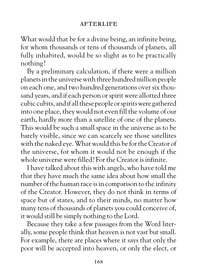What would that be for a divine being, an infinite being, for whom thousands or tens of thousands of planets, all fully inhabited, would be so slight as to be practically nothing?

By a preliminary calculation, if there were a million planets in the universe with three hundred million people on each one, and two hundred generations over six thousand years, and if each person or spirit were allotted three cubic cubits, and if all these people or spirits were gathered into one place, they would not even fill the volume of our earth, hardly more than a satellite of one of the planets. This would be such a small space in the universe as to be barely visible, since we can scarcely see those satellites with the naked eye. What would this be for the Creator of the universe, for whom it would not be enough if the whole universe were filled? For the Creator is infinite.

I have talked about this with angels, who have told me that they have much the same idea about how small the number of the human race is in comparison to the infinity of the Creator. However, they do not think in terms of space but of states, and to their minds, no matter how many tens of thousands of planets you could conceive of, it would still be simply nothing to the Lord.

Because they take a few passages from the Word literally, some people think that heaven is not vast but small. For example, there are places where it says that only the poor will be accepted into heaven, or only the elect, or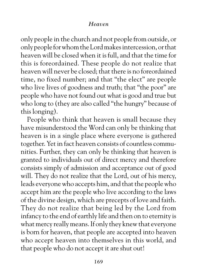#### *Heaven*

only people in the church and not people from outside, or only people for whom the Lord makes intercession, or that heaven will be closed when it is full, and that the time for this is foreordained. These people do not realize that heaven will never be closed; that there is no foreordained time, no fixed number; and that "the elect" are people who live lives of goodness and truth; that "the poor" are people who have not found out what is good and true but who long to (they are also called "the hungry" because of this longing).

People who think that heaven is small because they have misunderstood the Word can only be thinking that heaven is in a single place where everyone is gathered together. Yet in fact heaven consists of countless commu nities. Further, they can only be thinking that heaven is granted to individuals out of direct mercy and therefore consists simply of admission and acceptance out of good will. They do not realize that the Lord, out of his mercy, leads everyone who accepts him, and that the people who accept him are the people who live according to the laws of the divine design, which are precepts of love and faith. They do not realize that being led by the Lord from infancy to the end of earthly life and then on to eternity is what mercy really means. If only they knew that everyone is born for heaven, that people are accepted into heaven who accept heaven into themselves in this world, and that people who do not accept it are shut out!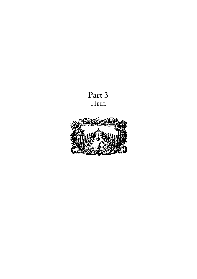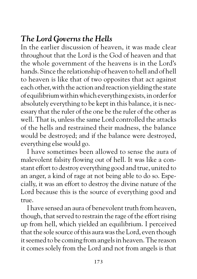# *The Lord Governs the Hells*

In the earlier discussion of heaven, it was made clear through out that the Lord is the God of heaven and that the whole government of the heavens is in the Lord's hands. Since the relationship of heaven to hell and of hell to heaven is like that of two opposites that act against each other, with the action and reaction yielding the state of equilibrium within which everything exists, in order for absolutely everything to be kept in this balance, it is necessary that the ruler of the one be the ruler of the other as well. That is, unless the same Lord controlled the attacks of the hells and restrained their madness, the balance would be destroyed; and if the balance were destroyed, everything else would go.

I have sometimes been allowed to sense the aura of malevolent falsity flowing out of hell. It was like a constant effort to destroy everything good and true, united to an anger, a kind of rage at not being able to do so. Espe cially, it was an effort to destroy the divine nature of the Lord because this is the source of everything good and true.

I have sensed an aura of benevolent truth from heaven, though, that served to restrain the rage of the effort rising up from hell, which yielded an equilibrium. I perceived that the sole source of this aura was the Lord, even though it seemed to be coming from angels in heaven. The reason it comes solely from the Lord and not from angels is that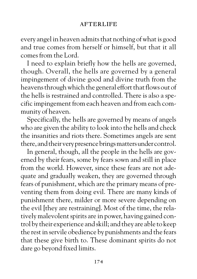every angel in heaven admits that nothing of what is good and true comes from herself or himself, but that it all comes from the Lord.

I need to explain briefly how the hells are governed, though. Overall, the hells are governed by a general impinge ment of divine good and divine truth from the heavens through which the general effort that flows out of the hells is restrained and controlled. There is also a specific impingement from each heaven and from each com munity of heaven.

Specifically, the hells are governed by means of angels who are given the ability to look into the hells and check the insanities and riots there. Sometimes angels are sent there, and their very presence brings matters under control.

In general, though, all the people in the hells are governed by their fears, some by fears sown and still in place from the world. However, since these fears are not adequate and gradually weaken, they are governed through fears of punishment, which are the primary means of preventing them from doing evil. There are many kinds of punishment there, milder or more severe depending on the evil [they are restraining]. Most of the time, the rela tively malevolent spirits are in power, having gained control by their experience and skill; and they are able to keep the rest in servile obedience by punishments and the fears that these give birth to. These dominant spirits do not dare go beyond fixed limits.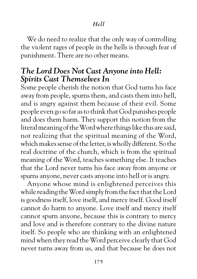We do need to realize that the only way of controlling the violent rages of people in the hells is through fear of pun ishment. There are no other means.

# *The Lord Does Not Cast Anyone into Hell: Spirits Cast Themselves In*

Some people cherish the notion that God turns his face away from people, spurns them, and casts them into hell, and is angry against them because of their evil. Some people even go so far as to think that God punishes people and does them harm. They support this notion from the literal meaning of the Word where things like this are said, not realizing that the spiritual meaning of the Word, which makes sense of the letter, is wholly different. So the real doctrine of the church, which is from the spiritual meaning of the Word, teaches something else. It teaches that the Lord never turns his face away from anyone or spurns anyone, never casts anyone into hell or is angry.

Anyone whose mind is enlightened perceives this while reading the Word simply from the fact that the Lord is goodness itself, love itself, and mercy itself. Good itself cannot do harm to anyone. Love itself and mercy itself cannot spurn anyone, because this is contrary to mercy and love and is therefore contrary to the divine nature itself. So people who are thinking with an enlightened mind when they read the Word perceive clearly that God never turns away from us, and that because he does not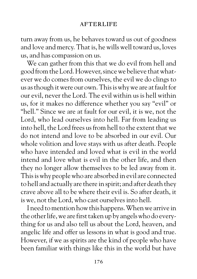turn away from us, he behaves toward us out of goodness and love and mercy. That is, he wills well toward us, loves us, and has compassion on us.

We can gather from this that we do evil from hell and good from the Lord. However, since we believe that what ever we do comes from ourselves, the evil we do clings to us as though it were our own. This is why we are at fault for our evil, never the Lord. The evil within us is hell within us, for it makes no difference whether you say "evil" or "hell." Since we are at fault for our evil, it is we, not the Lord, who lead ourselves into hell. Far from leading us into hell, the Lord frees us from hell to the extent that we do not intend and love to be absorbed in our evil. Our whole volition and love stays with us after death. People who have intended and loved what is evil in the world intend and love what is evil in the other life, and then they no longer allow themselves to be led away from it. This is why people who are absorbed in evil are connected to hell and actually are there in spirit; and after death they crave above all to be where their evil is. So after death, it is we, not the Lord, who cast ourselves into hell.

I need to mention how this happens. When we arrive in the other life, we are first taken up by angels who do every thing for us and also tell us about the Lord, heaven, and angelic life and offer us lessons in what is good and true. However, if we as spirits are the kind of people who have been familiar with things like this in the world but have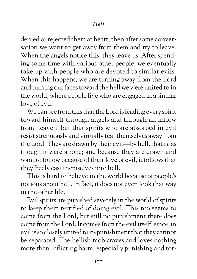denied or rejected them at heart, then after some conversation we want to get away from them and try to leave. When the angels notice this, they leave us. After spending some time with various other people, we eventually take up with people who are devoted to similar evils. When this happens, we are turning away from the Lord and turning our faces toward the hell we were united to in the world, where people live who are engaged in a similar love of evil.

We can see from this that the Lord is leading every spirit toward himself through angels and through an inflow from heaven, but that spirits who are absorbed in evil resist strenuously and virtually tear themselves away from the Lord. They are drawn by their evil—by hell, that is, as though it were a rope; and because they are drawn and want to follow because of their love of evil, it follows that they freely cast themselves into hell.

This is hard to believe in the world because of people's notions about hell. In fact, it does not even look that way in the other life.

Evil spirits are punished severely in the world of spirits to keep them terrified of doing evil. This too seems to come from the Lord, but still no punishment there does come from the Lord. It comes from the evil itself, since an evil is so closely united to its punishment that they cannot be separated. The hellish mob craves and loves nothing more than inflicting harm, especially punishing and tor-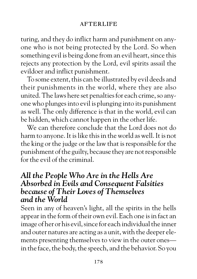turing, and they do inflict harm and punishment on anyone who is not being protected by the Lord. So when something evil is being done from an evil heart, since this rejects any protection by the Lord, evil spirits assail the evildoer and inflict punishment.

To some extent, this can be illustrated by evil deeds and their punishments in the world, where they are also united. The laws here set penalties for each crime, so any one who plunges into evil is plunging into its punishment as well. The only difference is that in the world, evil can be hidden, which cannot happen in the other life.

We can therefore conclude that the Lord does not do harm to anyone. It is like this in the world as well. It is not the king or the judge or the law that is responsible for the punishment of the guilty, because they are not responsible for the evil of the criminal.

# *All the People Who Are in the Hells Are Absorbed in Evils and Consequent Falsities because of Their Loves of Themselves and the World*

Seen in any of heaven's light, all the spirits in the hells appear in the form of their own evil. Each one is in fact an image of her or his evil, since for each individual the inner and outer natures are acting as a unit, with the deeper elements presenting themselves to view in the outer ones in the face, the body, the speech, and the behavior. So you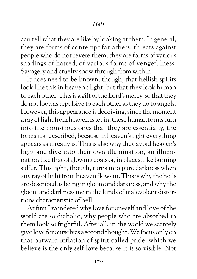can tell what they are like by looking at them. In general, they are forms of contempt for others, threats against people who do not revere them; they are forms of various shadings of hatred, of various forms of vengefulness. Savagery and cruelty show through from within.

It does need to be known, though, that hellish spirits look like this in heaven's light, but that they look human to each other. This is a gift of the Lord's mercy, so that they do not look as repulsive to each other as they do to angels. However, this appearance is deceiving, since the moment a ray of light from heaven is let in, these human forms turn into the monstrous ones that they are essentially, the forms just described, because in heaven's light everything appears as it really is. This is also why they avoid heaven's light and dive into their own illumination, an illumination like that of glowing coals or, in places, like burning sulfur. This light, though, turns into pure darkness when any ray of light from heaven flows in. This is why the hells are described as being in gloom and darkness, and why the gloom and darkness mean the kinds of malevolent distor tions characteristic of hell.

At first I wondered why love for oneself and love of the world are so diabolic, why people who are absorbed in them look so frightful. After all, in the world we scarcely give love for ourselves a second thought. We focus only on that outward inflation of spirit called pride, which we believe is the only self-love because it is so visible. Not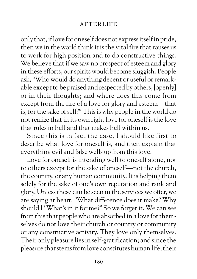only that, if love for oneself does not express itself in pride, then we in the world think it is the vital fire that rouses us to work for high position and to do constructive things. We believe that if we saw no prospect of esteem and glory in these efforts, our spirits would become sluggish. People ask, "Who would do anything decent or useful or remark able except to be praised and respected by others, [openly] or in their thoughts; and where does this come from except from the fire of a love for glory and esteem—that is, for the sake of self?" This is why people in the world do not realize that in its own right love for oneself is the love that rules in hell and that makes hell within us.

Since this is in fact the case, I should like first to describe what love for oneself is, and then explain that every thing evil and false wells up from this love.

Love for oneself is intending well to oneself alone, not to others except for the sake of oneself—not the church, the country, or any human community. It is helping them solely for the sake of one's own reputation and rank and glory. Unless these can be seen in the services we offer, we are saying at heart, "What difference does it make? Why should I? What's in it for me?" So we forget it. We can see from this that people who are absorbed in a love for them selves do not love their church or country or community or any constructive activity. They love only themselves. Their only pleasure lies in self-gratification; and since the pleasure that stems from love constitutes human life, their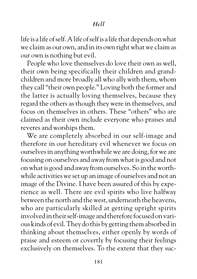life is a life of self. A life of self is a life that depends on what we claim as our own, and in its own right what we claim as our own is nothing but evil.

People who love themselves do love their own as well, their own being specifically their children and grandchildren and more broadly all who ally with them, whom they call "their own people." Loving both the former and the latter is actually loving themselves, because they regard the others as though they were in themselves, and focus on themselves in others. These "others" who are claimed as their own include everyone who praises and reveres and worships them.

We are completely absorbed in our self-image and therefore in our hereditary evil whenever we focus on ourselves in anything worthwhile we are doing, for we are focusing on ourselves and away from what is good and not on what is good and away from ourselves. So in the worth while activities we set up an image of ourselves and not an image of the Divine. I have been assured of this by experience as well. There are evil spirits who live halfway between the north and the west, underneath the heavens, who are particularly skilled at getting upright spirits involved in their self-image and therefore focused on various kinds of evil. They do this by getting them absorbed in thinking about themselves, either openly by words of praise and esteem or covertly by focusing their feelings exclusively on themselves. To the extent that they suc-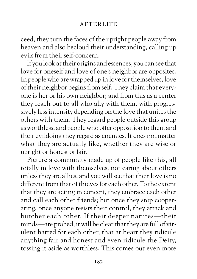ceed, they turn the faces of the upright people away from heaven and also becloud their understanding, calling up evils from their self-concern.

If you look at their origins and essences, you can see that love for oneself and love of one's neighbor are opposites. In people who are wrapped up in love for themselves, love of their neighbor begins from self. They claim that every one is her or his own neighbor; and from this as a center they reach out to all who ally with them, with progressively less intensity depending on the love that unites the others with them. They regard people outside this group as worthless, and people who offer opposition to them and their evildoing they regard as enemies. It does not matter what they are actually like, whether they are wise or upright or honest or fair.

Picture a community made up of people like this, all totally in love with themselves, not caring about others unless they are allies, and you will see that their love is no different from that of thieves for each other. To the extent that they are acting in concert, they embrace each other and call each other friends; but once they stop cooperating, once anyone resists their control, they attack and butcher each other. If their deeper natures—their minds—are probed, it will be clear that they are full of vir ulent hatred for each other, that at heart they ridicule anything fair and honest and even ridicule the Deity, tossing it aside as worthless. This comes out even more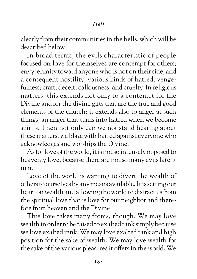clearly from their communities in the hells, which will be described below.

In broad terms, the evils characteristic of people focused on love for themselves are contempt for others; envy; enmity toward anyone who is not on their side, and a consequent hostility; various kinds of hatred; vengefulness; craft; deceit; callousness; and cruelty. In religious matters, this extends not only to a contempt for the Divine and for the divine gifts that are the true and good elements of the church; it extends also to anger at such things, an anger that turns into hatred when we become spirits. Then not only can we not stand hearing about these matters, we blaze with hatred against everyone who acknowledges and worships the Divine.

As for love of the world, it is not so intensely opposed to heavenly love, because there are not so many evils latent in it.

Love of the world is wanting to divert the wealth of others to ourselves by any means available. It is setting our heart on wealth and allowing the world to distract us from the spiritual love that is love for our neighbor and therefore from heaven and the Divine.

This love takes many forms, though. We may love wealth in order to be raised to exalted rank simply because we love exalted rank. We may love exalted rank and high position for the sake of wealth. We may love wealth for the sake of the various pleasures it offers in the world. We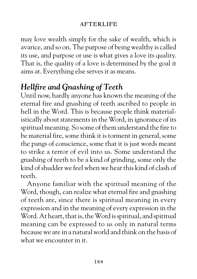may love wealth simply for the sake of wealth, which is avarice, and so on. The purpose of being wealthy is called its use, and purpose or use is what gives a love its quality. That is, the quality of a love is determined by the goal it aims at. Everything else serves it as means.

# *Hellfire and Gnashing of Teeth*

Until now, hardly anyone has known the meaning of the eternal fire and gnashing of teeth ascribed to people in hell in the Word. This is because people think materialistically about statements in the Word, in ignorance of its spiritual meaning. So some of them understand the fire to be material fire, some think it is torment in general, some the pangs of conscience, some that it is just words meant to strike a terror of evil into us. Some understand the gnash ing of teeth to be a kind of grinding, some only the kind of shudder we feel when we hear this kind of clash of teeth.

Anyone familiar with the spiritual meaning of the Word, though, can realize what eternal fire and gnashing of teeth are, since there is spiritual meaning in every expression and in the meaning of every expression in the Word. At heart, that is, the Word is spiritual, and spiritual meaning can be expressed to us only in natural terms because we are in a natural world and think on the basis of what we encounter in it.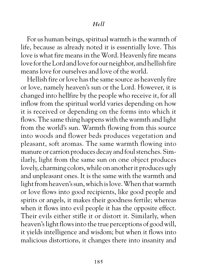For us human beings, spiritual warmth is the warmth of life, because as already noted it is essentially love. This love is what fire means in the Word. Heavenly fire means love for the Lord and love for our neighbor, and hellish fire means love for ourselves and love of the world.

Hellish fire or love has the same source as heavenly fire or love, namely heaven's sun or the Lord. However, it is changed into hellfire by the people who receive it, for all inflow from the spiritual world varies depending on how it is received or depending on the forms into which it flows. The same thing happens with the warmth and light from the world's sun. Warmth flowing from this source into woods and flower beds produces vegetation and pleasant, soft aromas. The same warmth flowing into manure or carrion produces decay and foul stenches. Sim ilarly, light from the same sun on one object produces lovely, charming colors, while on another it produces ugly and unpleasant ones. It is the same with the warmth and light from heaven's sun, which is love. When that warmth or love flows into good recipients, like good people and spirits or angels, it makes their goodness fertile; whereas when it flows into evil people it has the opposite effect. Their evils either stifle it or distort it. Similarly, when heaven's light flows into the true perceptions of good will, it yields intelligence and wisdom; but when it flows into malicious distortions, it changes there into insanity and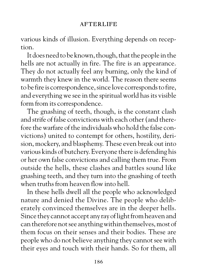various kinds of illusion. Everything depends on reception.

It does need to be known, though, that the people in the hells are not actually in fire. The fire is an appearance. They do not actually feel any burning, only the kind of warmth they knew in the world. The reason there seems to be fire is correspondence, since love corresponds to fire, and everything we see in the spiritual world has its visible form from its correspondence.

The gnashing of teeth, though, is the constant clash and strife of false convictions with each other (and there fore the warfare of the individuals who hold the false con victions) united to contempt for others, hostility, deri sion, mockery, and blasphemy. These even break out into various kinds of butchery. Everyone there is defending his or her own false convictions and calling them true. From outside the hells, these clashes and battles sound like gnash ing teeth, and they turn into the gnashing of teeth when truths from heaven flow into hell

In these hells dwell all the people who acknowledged nature and denied the Divine. The people who deliberately convinced themselves are in the deeper hells. Since they cannot accept any ray of light from heaven and can therefore not see anything within themselves, most of them focus on their senses and their bodies. These are people who do not believe anything they cannot see with their eyes and touch with their hands. So for them, all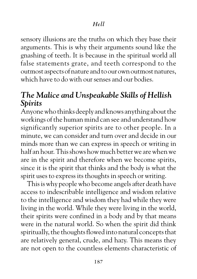sensory illusions are the truths on which they base their arguments. This is why their arguments sound like the gnashing of teeth. It is because in the spiritual world all false statements grate, and teeth correspond to the outmost aspects of nature and to our own outmost natures, which have to do with our senses and our bodies.

# *The Malice and Unspeakable Skills of Hellish Spirits*

Anyone who thinks deeply and knows anything about the workings of the human mind can see and understand how significantly superior spirits are to other people. In a minute, we can consider and turn over and decide in our minds more than we can express in speech or writing in half an hour. This shows how much better we are when we are in the spirit and therefore when we become spirits, since it is the spirit that thinks and the body is what the spirit uses to express its thoughts in speech or writing.

This is why people who become angels after death have access to indescribable intelligence and wisdom relative to the intelligence and wisdom they had while they were living in the world. While they were living in the world, their spirits were confined in a body and by that means were in the natural world. So when the spirit did think spiritually, the thoughts flowed into natural concepts that are relatively general, crude, and hazy. This means they are not open to the countless elements characteristic of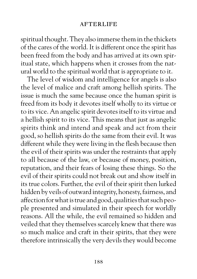spiritual thought. They also immerse them in the thickets of the cares of the world. It is different once the spirit has been freed from the body and has arrived at its own spiritual state, which happens when it crosses from the natural world to the spiritual world that is appropriate to it.

The level of wisdom and intelligence for angels is also the level of malice and craft among hellish spirits. The issue is much the same because once the human spirit is freed from its body it devotes itself wholly to its virtue or to its vice. An angelic spirit devotes itself to its virtue and a hellish spirit to its vice. This means that just as angelic spirits think and intend and speak and act from their good, so hellish spirits do the same from their evil. It was different while they were living in the flesh because then the evil of their spirits was under the restraints that apply to all because of the law, or because of money, position, reputation, and their fears of losing these things. So the evil of their spirits could not break out and show itself in its true colors. Further, the evil of their spirit then lurked hidden by veils of outward integrity, honesty, fairness, and affection for what is true and good, qualities that such peo ple presented and simulated in their speech for worldly reasons. All the while, the evil remained so hidden and veiled that they themselves scarcely knew that there was so much malice and craft in their spirits, that they were therefore intrinsically the very devils they would become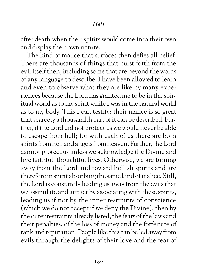after death when their spirits would come into their own and display their own nature.

The kind of malice that surfaces then defies all belief. There are thousands of things that burst forth from the evil itself then, including some that are beyond the words of any language to describe. I have been allowed to learn and even to observe what they are like by many experiences because the Lord has granted me to be in the spir itual world as to my spirit while I was in the natural world as to my body. This I can testify: their malice is so great that scarcely a thousandth part of it can be described. Fur ther, if the Lord did not protect us we would never be able to escape from hell; for with each of us there are both spirits from hell and angels from heaven. Further, the Lord cannot protect us unless we acknowledge the Divine and live faithful, thoughtful lives. Otherwise, we are turning away from the Lord and toward hellish spirits and are therefore in spirit absorbing the same kind of malice. Still, the Lord is constantly leading us away from the evils that we assimilate and attract by associating with these spirits, leading us if not by the inner restraints of conscience (which we do not accept if we deny the Divine), then by the outer restraints already listed, the fears of the laws and their penalties, of the loss of money and the forfeiture of rank and reputation. People like this can be led away from evils through the delights of their love and the fear of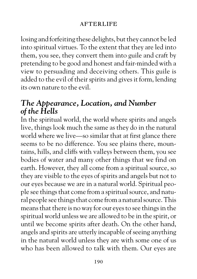losing and forfeiting these delights, but they cannot be led into spiritual virtues. To the extent that they are led into them, you see, they convert them into guile and craft by pretending to be good and honest and fair-minded with a view to persuading and deceiving others. This guile is added to the evil of their spirits and gives it form, lending its own nature to the evil.

# *The Appearance, Location, and Number of the Hells*

In the spiritual world, the world where spirits and angels live, things look much the same as they do in the natural world where we live—so similar that at first glance there seems to be no difference. You see plains there, mountains, hills, and cliffs with valleys between them, you see bodies of water and many other things that we find on earth. However, they all come from a spiritual source, so they are visible to the eyes of spirits and angels but not to our eyes because we are in a natural world. Spiritual peo ple see things that come from a spiritual source, and natu ral people see things that come from a natural source. This means that there is no way for our eyes to see things in the spiritual world unless we are allowed to be in the spirit, or until we become spirits after death. On the other hand, angels and spirits are utterly incapable of seeing anything in the natural world unless they are with some one of us who has been allowed to talk with them. Our eyes are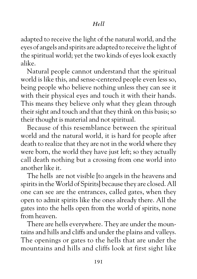adapted to receive the light of the natural world, and the eyes of angels and spirits are adapted to receive the light of the spiritual world; yet the two kinds of eyes look exactly alike.

Natural people cannot understand that the spiritual world is like this, and sense-centered people even less so, being people who believe nothing unless they can see it with their physical eyes and touch it with their hands. This means they believe only what they glean through their sight and touch and that they think on this basis; so their thought is material and not spiritual.

Because of this resemblance between the spiritual world and the natural world, it is hard for people after death to realize that they are not in the world where they were born, the world they have just left; so they actually call death nothing but a crossing from one world into another like it.

The hells are not visible [to angels in the heavens and spirits in the World of Spirits] because they are closed. All one can see are the entrances, called gates, when they open to admit spirits like the ones already there. All the gates into the hells open from the world of spirits, none from heaven.

There are hells everywhere. They are under the mountains and hills and cliffs and under the plains and valleys. The openings or gates to the hells that are under the mountains and hills and cliffs look at first sight like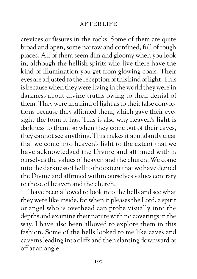crevices or fissures in the rocks. Some of them are quite broad and open, some narrow and confined, full of rough places. All of them seem dim and gloomy when you look in, although the hellish spirits who live there have the kind of illumination you get from glowing coals. Their eyes are adjusted to the reception of this kind of light. This is because when they were living in the world they were in darkness about divine truths owing to their denial of them. They were in a kind of light as to their false convic tions because they affirmed them, which gave their eyesight the form it has. This is also why heaven's light is darkness to them, so when they come out of their caves, they can not see anything. This makes it abundantly clear that we come into heaven's light to the extent that we have acknowledged the Divine and affirmed within ourselves the values of heaven and the church. We come into the darkness of hell to the extent that we have denied the Divine and affirmed within ourselves values contrary to those of heaven and the church.

I have been allowed to look into the hells and see what they were like inside, for when it pleases the Lord, a spirit or angel who is overhead can probe visually into the depths and examine their nature with no coverings in the way. I have also been allowed to explore them in this fashion. Some of the hells looked to me like caves and caverns leading into cliffs and then slanting downward or off at an angle.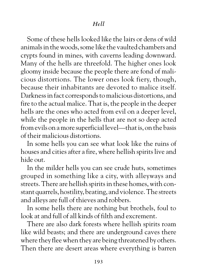Some of these hells looked like the lairs or dens of wild animals in the woods, some like the vaulted chambers and crypts found in mines, with caverns leading downward. Many of the hells are threefold. The higher ones look gloomy inside because the people there are fond of mali cious distortions. The lower ones look fiery, though, because their inhabitants are devoted to malice itself. Darkness in fact corresponds to malicious distortions, and fire to the actual malice. That is, the people in the deeper hells are the ones who acted from evil on a deeper level, while the people in the hells that are not so deep acted from evils on a more superficial level—that is, on the basis of their malicious distortions.

In some hells you can see what look like the ruins of houses and cities after a fire, where hellish spirits live and hide out.

In the milder hells you can see crude huts, sometimes grouped in something like a city, with alleyways and streets. There are hellish spirits in these homes, with con stant quarrels, hostility, beating, and violence. The streets and alleys are full of thieves and robbers.

In some hells there are nothing but brothels, foul to look at and full of all kinds of filth and excrement.

There are also dark forests where hellish spirits roam like wild beasts; and there are underground caves there where they flee when they are being threatened by others. Then there are desert areas where everything is barren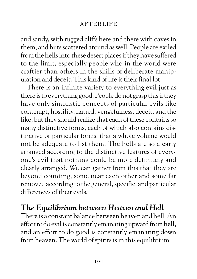and sandy, with rugged cliffs here and there with caves in them, and huts scattered around as well. People are exiled from the hells into these desert places if they have suffered to the limit, especially people who in the world were craftier than others in the skills of deliberate manip ulation and deceit. This kind of life is their final lot.

There is an infinite variety to everything evil just as there is to everything good. People do not grasp this if they have only simplistic concepts of particular evils like contempt, hostility, hatred, vengefulness, deceit, and the like; but they should realize that each of these contains so many distinctive forms, each of which also contains distinctive or particular forms, that a whole volume would not be adequate to list them. The hells are so clearly arranged according to the distinctive features of every one's evil that nothing could be more definitely and clearly arranged. We can gather from this that they are beyond counting, some near each other and some far removed according to the general, specific, and particular differences of their evils.

# *The Equilibrium between Heaven and Hell*

There is a constant balance between heaven and hell. An effort to do evil is constantly emanating upward from hell, and an effort to do good is constantly emanating down from heaven. The world of spirits is in this equilibrium.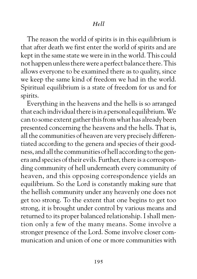The reason the world of spirits is in this equilibrium is that after death we first enter the world of spirits and are kept in the same state we were in in the world. This could not happen unless there were a perfect balance there. This allows everyone to be examined there as to quality, since we keep the same kind of freedom we had in the world. Spiritual equilibrium is a state of freedom for us and for spirits.

Everything in the heavens and the hells is so arranged that each individual there is in a personal equilibrium. We can to some extent gather this from what has already been presented concerning the heavens and the hells. That is, all the communities of heaven are very precisely differen tiated according to the genera and species of their goodness, and all the communities of hell according to the gen era and species of their evils. Further, there is a correspon ding community of hell underneath every community of heaven, and this opposing correspondence yields an equilibrium. So the Lord is constantly making sure that the hellish community under any heavenly one does not get too strong. To the extent that one begins to get too strong, it is brought under control by various means and returned to its proper balanced relationship. I shall men tion only a few of the many means. Some involve a stronger presence of the Lord. Some involve closer com munication and union of one or more communities with